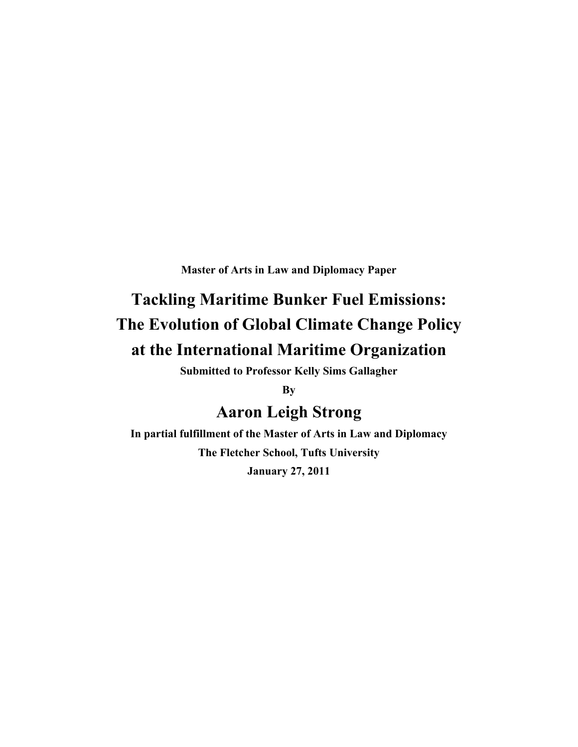**Master of Arts in Law and Diplomacy Paper**

# **Tackling Maritime Bunker Fuel Emissions: The Evolution of Global Climate Change Policy at the International Maritime Organization**

**Submitted to Professor Kelly Sims Gallagher**

**By** 

# **Aaron Leigh Strong**

**In partial fulfillment of the Master of Arts in Law and Diplomacy The Fletcher School, Tufts University January 27, 2011**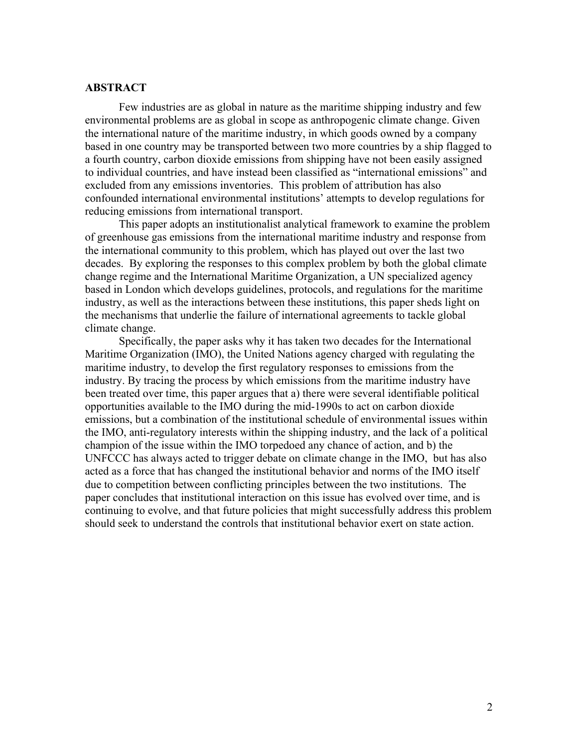#### **ABSTRACT**

Few industries are as global in nature as the maritime shipping industry and few environmental problems are as global in scope as anthropogenic climate change. Given the international nature of the maritime industry, in which goods owned by a company based in one country may be transported between two more countries by a ship flagged to a fourth country, carbon dioxide emissions from shipping have not been easily assigned to individual countries, and have instead been classified as "international emissions" and excluded from any emissions inventories. This problem of attribution has also confounded international environmental institutions' attempts to develop regulations for reducing emissions from international transport.

This paper adopts an institutionalist analytical framework to examine the problem of greenhouse gas emissions from the international maritime industry and response from the international community to this problem, which has played out over the last two decades. By exploring the responses to this complex problem by both the global climate change regime and the International Maritime Organization, a UN specialized agency based in London which develops guidelines, protocols, and regulations for the maritime industry, as well as the interactions between these institutions, this paper sheds light on the mechanisms that underlie the failure of international agreements to tackle global climate change.

Specifically, the paper asks why it has taken two decades for the International Maritime Organization (IMO), the United Nations agency charged with regulating the maritime industry, to develop the first regulatory responses to emissions from the industry. By tracing the process by which emissions from the maritime industry have been treated over time, this paper argues that a) there were several identifiable political opportunities available to the IMO during the mid-1990s to act on carbon dioxide emissions, but a combination of the institutional schedule of environmental issues within the IMO, anti-regulatory interests within the shipping industry, and the lack of a political champion of the issue within the IMO torpedoed any chance of action, and b) the UNFCCC has always acted to trigger debate on climate change in the IMO, but has also acted as a force that has changed the institutional behavior and norms of the IMO itself due to competition between conflicting principles between the two institutions. The paper concludes that institutional interaction on this issue has evolved over time, and is continuing to evolve, and that future policies that might successfully address this problem should seek to understand the controls that institutional behavior exert on state action.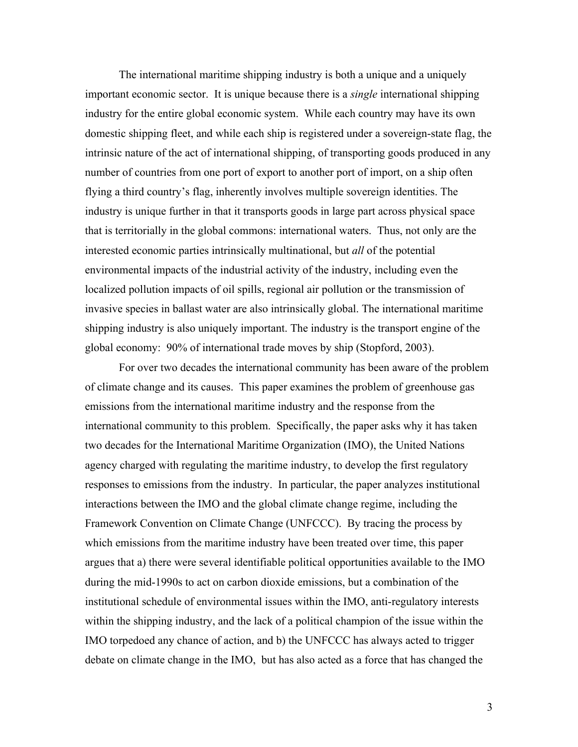The international maritime shipping industry is both a unique and a uniquely important economic sector. It is unique because there is a *single* international shipping industry for the entire global economic system. While each country may have its own domestic shipping fleet, and while each ship is registered under a sovereign-state flag, the intrinsic nature of the act of international shipping, of transporting goods produced in any number of countries from one port of export to another port of import, on a ship often flying a third country's flag, inherently involves multiple sovereign identities. The industry is unique further in that it transports goods in large part across physical space that is territorially in the global commons: international waters. Thus, not only are the interested economic parties intrinsically multinational, but *all* of the potential environmental impacts of the industrial activity of the industry, including even the localized pollution impacts of oil spills, regional air pollution or the transmission of invasive species in ballast water are also intrinsically global. The international maritime shipping industry is also uniquely important. The industry is the transport engine of the global economy: 90% of international trade moves by ship (Stopford, 2003).

For over two decades the international community has been aware of the problem of climate change and its causes. This paper examines the problem of greenhouse gas emissions from the international maritime industry and the response from the international community to this problem. Specifically, the paper asks why it has taken two decades for the International Maritime Organization (IMO), the United Nations agency charged with regulating the maritime industry, to develop the first regulatory responses to emissions from the industry. In particular, the paper analyzes institutional interactions between the IMO and the global climate change regime, including the Framework Convention on Climate Change (UNFCCC). By tracing the process by which emissions from the maritime industry have been treated over time, this paper argues that a) there were several identifiable political opportunities available to the IMO during the mid-1990s to act on carbon dioxide emissions, but a combination of the institutional schedule of environmental issues within the IMO, anti-regulatory interests within the shipping industry, and the lack of a political champion of the issue within the IMO torpedoed any chance of action, and b) the UNFCCC has always acted to trigger debate on climate change in the IMO, but has also acted as a force that has changed the

3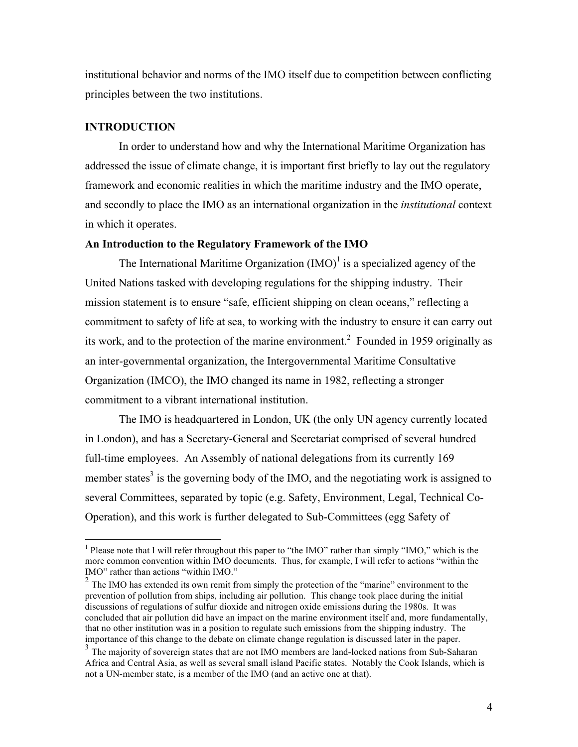institutional behavior and norms of the IMO itself due to competition between conflicting principles between the two institutions.

#### **INTRODUCTION**

In order to understand how and why the International Maritime Organization has addressed the issue of climate change, it is important first briefly to lay out the regulatory framework and economic realities in which the maritime industry and the IMO operate, and secondly to place the IMO as an international organization in the *institutional* context in which it operates.

#### **An Introduction to the Regulatory Framework of the IMO**

The International Maritime Organization  $(MO)^{1}$  is a specialized agency of the United Nations tasked with developing regulations for the shipping industry. Their mission statement is to ensure "safe, efficient shipping on clean oceans," reflecting a commitment to safety of life at sea, to working with the industry to ensure it can carry out its work, and to the protection of the marine environment.<sup>2</sup> Founded in 1959 originally as an inter-governmental organization, the Intergovernmental Maritime Consultative Organization (IMCO), the IMO changed its name in 1982, reflecting a stronger commitment to a vibrant international institution.

The IMO is headquartered in London, UK (the only UN agency currently located in London), and has a Secretary-General and Secretariat comprised of several hundred full-time employees. An Assembly of national delegations from its currently 169 member states<sup>3</sup> is the governing body of the IMO, and the negotiating work is assigned to several Committees, separated by topic (e.g. Safety, Environment, Legal, Technical Co-Operation), and this work is further delegated to Sub-Committees (egg Safety of

 $\frac{1}{1}$ <sup>1</sup> Please note that I will refer throughout this paper to "the IMO" rather than simply "IMO," which is the more common convention within IMO documents. Thus, for example, I will refer to actions "within the IMO" rather than actions "within IMO."

 $2$  The IMO has extended its own remit from simply the protection of the "marine" environment to the prevention of pollution from ships, including air pollution. This change took place during the initial discussions of regulations of sulfur dioxide and nitrogen oxide emissions during the 1980s. It was concluded that air pollution did have an impact on the marine environment itself and, more fundamentally, that no other institution was in a position to regulate such emissions from the shipping industry. The importance of this change to the debate on climate change regulation is discussed later in the paper.

 $3<sup>3</sup>$  The majority of sovereign states that are not IMO members are land-locked nations from Sub-Saharan Africa and Central Asia, as well as several small island Pacific states. Notably the Cook Islands, which is not a UN-member state, is a member of the IMO (and an active one at that).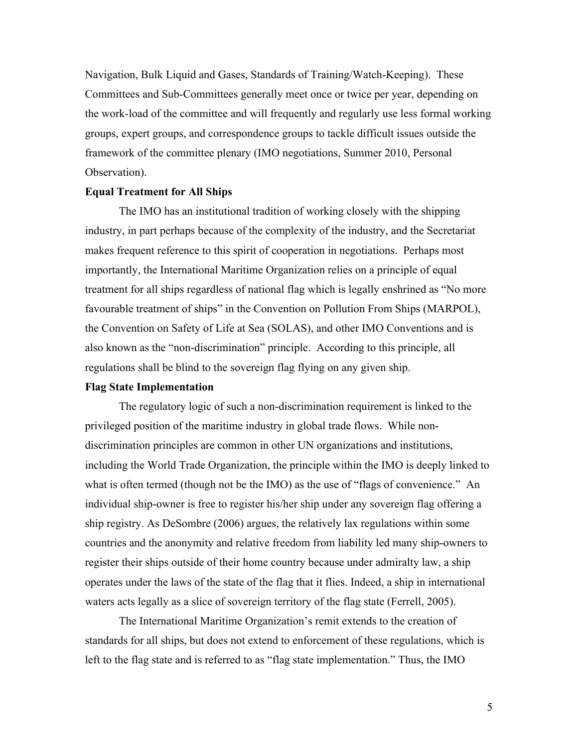Navigation, Bulk Liquid and Gases, Standards of Training/Watch-Keeping). These Committees and Sub-Committees generally meet once or twice per year, depending on the work-load of the committee and will frequently and regularly use less formal working groups, expert groups, and correspondence groups to tackle difficult issues outside the framework of the committee plenary (IMO negotiations, Summer 2010, Personal Observation).

#### **Equal Treatment for All Ships**

The IMO has an institutional tradition of working closely with the shipping industry, in part perhaps because of the complexity of the industry, and the Secretariat makes frequent reference to this spirit of cooperation in negotiations. Perhaps most importantly, the International Maritime Organization relies on a principle of equal treatment for all ships regardless of national flag which is legally enshrined as "No more favourable treatment of ships" in the Convention on Pollution From Ships (MARPOL), the Convention on Safety of Life at Sea (SOLAS), and other IMO Conventions and is also known as the "non-discrimination" principle. According to this principle, all regulations shall be blind to the sovereign flag flying on any given ship.

#### **Flag State Implementation**

The regulatory logic of such a non-discrimination requirement is linked to the privileged position of the maritime industry in global trade flows. While nondiscrimination principles are common in other UN organizations and institutions, including the World Trade Organization, the principle within the IMO is deeply linked to what is often termed (though not be the IMO) as the use of "flags of convenience." An individual ship-owner is free to register his/her ship under any sovereign flag offering a ship registry. As DeSombre (2006) argues, the relatively lax regulations within some countries and the anonymity and relative freedom from liability led many ship-owners to register their ships outside of their home country because under admiralty law, a ship operates under the laws of the state of the flag that it flies. Indeed, a ship in international waters acts legally as a slice of sovereign territory of the flag state (Ferrell, 2005).

The International Maritime Organization's remit extends to the creation of standards for all ships, but does not extend to enforcement of these regulations, which is left to the flag state and is referred to as "flag state implementation." Thus, the IMO

5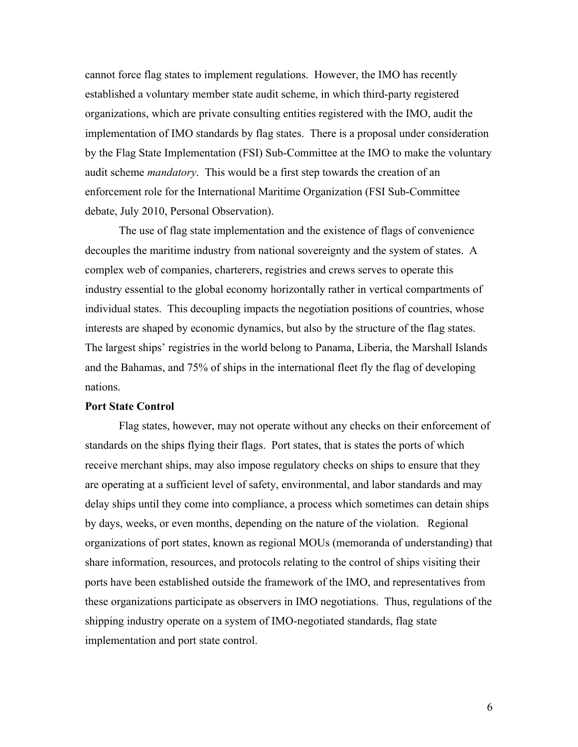cannot force flag states to implement regulations. However, the IMO has recently established a voluntary member state audit scheme, in which third-party registered organizations, which are private consulting entities registered with the IMO, audit the implementation of IMO standards by flag states. There is a proposal under consideration by the Flag State Implementation (FSI) Sub-Committee at the IMO to make the voluntary audit scheme *mandatory*. This would be a first step towards the creation of an enforcement role for the International Maritime Organization (FSI Sub-Committee debate, July 2010, Personal Observation).

The use of flag state implementation and the existence of flags of convenience decouples the maritime industry from national sovereignty and the system of states. A complex web of companies, charterers, registries and crews serves to operate this industry essential to the global economy horizontally rather in vertical compartments of individual states. This decoupling impacts the negotiation positions of countries, whose interests are shaped by economic dynamics, but also by the structure of the flag states. The largest ships' registries in the world belong to Panama, Liberia, the Marshall Islands and the Bahamas, and 75% of ships in the international fleet fly the flag of developing nations.

#### **Port State Control**

Flag states, however, may not operate without any checks on their enforcement of standards on the ships flying their flags. Port states, that is states the ports of which receive merchant ships, may also impose regulatory checks on ships to ensure that they are operating at a sufficient level of safety, environmental, and labor standards and may delay ships until they come into compliance, a process which sometimes can detain ships by days, weeks, or even months, depending on the nature of the violation. Regional organizations of port states, known as regional MOUs (memoranda of understanding) that share information, resources, and protocols relating to the control of ships visiting their ports have been established outside the framework of the IMO, and representatives from these organizations participate as observers in IMO negotiations. Thus, regulations of the shipping industry operate on a system of IMO-negotiated standards, flag state implementation and port state control.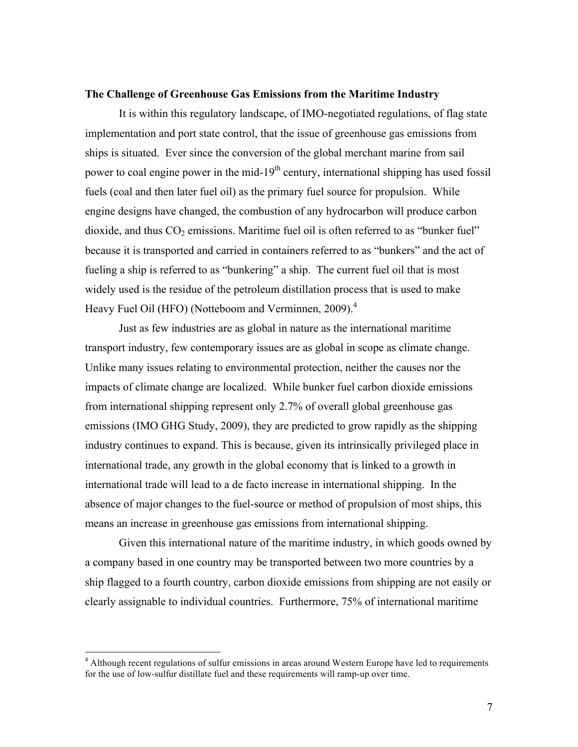#### **The Challenge of Greenhouse Gas Emissions from the Maritime Industry**

It is within this regulatory landscape, of IMO-negotiated regulations, of flag state implementation and port state control, that the issue of greenhouse gas emissions from ships is situated. Ever since the conversion of the global merchant marine from sail power to coal engine power in the mid-19<sup>th</sup> century, international shipping has used fossil fuels (coal and then later fuel oil) as the primary fuel source for propulsion. While engine designs have changed, the combustion of any hydrocarbon will produce carbon dioxide, and thus  $CO<sub>2</sub>$  emissions. Maritime fuel oil is often referred to as "bunker fuel" because it is transported and carried in containers referred to as "bunkers" and the act of fueling a ship is referred to as "bunkering" a ship. The current fuel oil that is most widely used is the residue of the petroleum distillation process that is used to make Heavy Fuel Oil (HFO) (Notteboom and Verminnen, 2009).<sup>4</sup>

Just as few industries are as global in nature as the international maritime transport industry, few contemporary issues are as global in scope as climate change. Unlike many issues relating to environmental protection, neither the causes nor the impacts of climate change are localized. While bunker fuel carbon dioxide emissions from international shipping represent only 2.7% of overall global greenhouse gas emissions (IMO GHG Study, 2009), they are predicted to grow rapidly as the shipping industry continues to expand. This is because, given its intrinsically privileged place in international trade, any growth in the global economy that is linked to a growth in international trade will lead to a de facto increase in international shipping. In the absence of major changes to the fuel-source or method of propulsion of most ships, this means an increase in greenhouse gas emissions from international shipping.

Given this international nature of the maritime industry, in which goods owned by a company based in one country may be transported between two more countries by a ship flagged to a fourth country, carbon dioxide emissions from shipping are not easily or clearly assignable to individual countries. Furthermore, 75% of international maritime

<sup>&</sup>lt;sup>4</sup> Although recent regulations of sulfur emissions in areas around Western Europe have led to requirements for the use of low-sulfur distillate fuel and these requirements will ramp-up over time.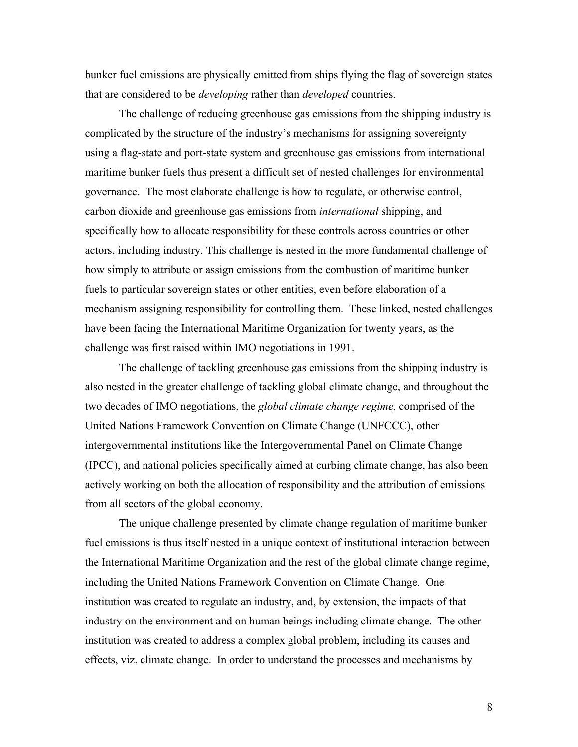bunker fuel emissions are physically emitted from ships flying the flag of sovereign states that are considered to be *developing* rather than *developed* countries.

The challenge of reducing greenhouse gas emissions from the shipping industry is complicated by the structure of the industry's mechanisms for assigning sovereignty using a flag-state and port-state system and greenhouse gas emissions from international maritime bunker fuels thus present a difficult set of nested challenges for environmental governance. The most elaborate challenge is how to regulate, or otherwise control, carbon dioxide and greenhouse gas emissions from *international* shipping, and specifically how to allocate responsibility for these controls across countries or other actors, including industry. This challenge is nested in the more fundamental challenge of how simply to attribute or assign emissions from the combustion of maritime bunker fuels to particular sovereign states or other entities, even before elaboration of a mechanism assigning responsibility for controlling them. These linked, nested challenges have been facing the International Maritime Organization for twenty years, as the challenge was first raised within IMO negotiations in 1991.

The challenge of tackling greenhouse gas emissions from the shipping industry is also nested in the greater challenge of tackling global climate change, and throughout the two decades of IMO negotiations, the *global climate change regime,* comprised of the United Nations Framework Convention on Climate Change (UNFCCC), other intergovernmental institutions like the Intergovernmental Panel on Climate Change (IPCC), and national policies specifically aimed at curbing climate change, has also been actively working on both the allocation of responsibility and the attribution of emissions from all sectors of the global economy.

The unique challenge presented by climate change regulation of maritime bunker fuel emissions is thus itself nested in a unique context of institutional interaction between the International Maritime Organization and the rest of the global climate change regime, including the United Nations Framework Convention on Climate Change. One institution was created to regulate an industry, and, by extension, the impacts of that industry on the environment and on human beings including climate change. The other institution was created to address a complex global problem, including its causes and effects, viz. climate change. In order to understand the processes and mechanisms by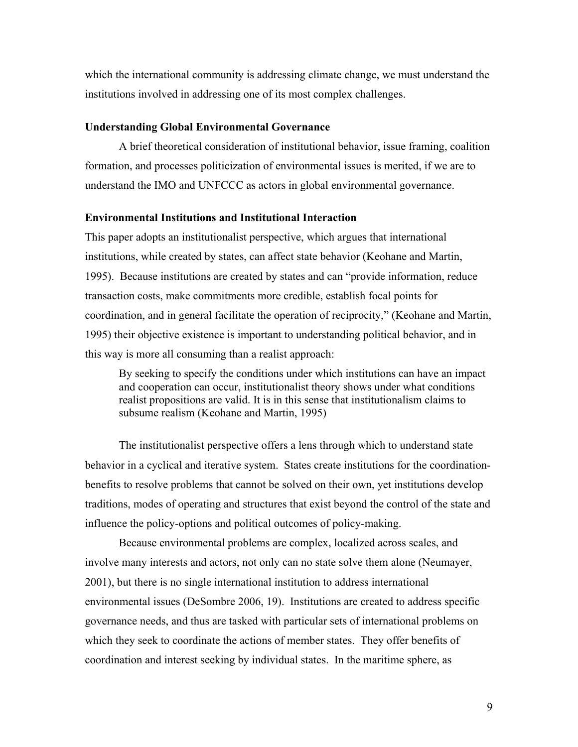which the international community is addressing climate change, we must understand the institutions involved in addressing one of its most complex challenges.

#### **Understanding Global Environmental Governance**

A brief theoretical consideration of institutional behavior, issue framing, coalition formation, and processes politicization of environmental issues is merited, if we are to understand the IMO and UNFCCC as actors in global environmental governance.

#### **Environmental Institutions and Institutional Interaction**

This paper adopts an institutionalist perspective, which argues that international institutions, while created by states, can affect state behavior (Keohane and Martin, 1995). Because institutions are created by states and can "provide information, reduce transaction costs, make commitments more credible, establish focal points for coordination, and in general facilitate the operation of reciprocity," (Keohane and Martin, 1995) their objective existence is important to understanding political behavior, and in this way is more all consuming than a realist approach:

By seeking to specify the conditions under which institutions can have an impact and cooperation can occur, institutionalist theory shows under what conditions realist propositions are valid. It is in this sense that institutionalism claims to subsume realism (Keohane and Martin, 1995)

The institutionalist perspective offers a lens through which to understand state behavior in a cyclical and iterative system. States create institutions for the coordinationbenefits to resolve problems that cannot be solved on their own, yet institutions develop traditions, modes of operating and structures that exist beyond the control of the state and influence the policy-options and political outcomes of policy-making.

Because environmental problems are complex, localized across scales, and involve many interests and actors, not only can no state solve them alone (Neumayer, 2001), but there is no single international institution to address international environmental issues (DeSombre 2006, 19). Institutions are created to address specific governance needs, and thus are tasked with particular sets of international problems on which they seek to coordinate the actions of member states. They offer benefits of coordination and interest seeking by individual states. In the maritime sphere, as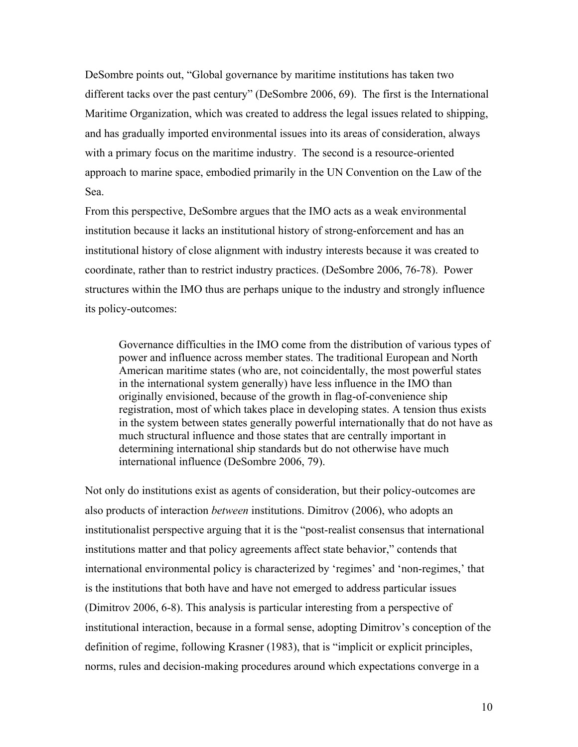DeSombre points out, "Global governance by maritime institutions has taken two different tacks over the past century" (DeSombre 2006, 69). The first is the International Maritime Organization, which was created to address the legal issues related to shipping, and has gradually imported environmental issues into its areas of consideration, always with a primary focus on the maritime industry. The second is a resource-oriented approach to marine space, embodied primarily in the UN Convention on the Law of the Sea.

From this perspective, DeSombre argues that the IMO acts as a weak environmental institution because it lacks an institutional history of strong-enforcement and has an institutional history of close alignment with industry interests because it was created to coordinate, rather than to restrict industry practices. (DeSombre 2006, 76-78). Power structures within the IMO thus are perhaps unique to the industry and strongly influence its policy-outcomes:

Governance difficulties in the IMO come from the distribution of various types of power and influence across member states. The traditional European and North American maritime states (who are, not coincidentally, the most powerful states in the international system generally) have less influence in the IMO than originally envisioned, because of the growth in flag-of-convenience ship registration, most of which takes place in developing states. A tension thus exists in the system between states generally powerful internationally that do not have as much structural influence and those states that are centrally important in determining international ship standards but do not otherwise have much international influence (DeSombre 2006, 79).

Not only do institutions exist as agents of consideration, but their policy-outcomes are also products of interaction *between* institutions. Dimitrov (2006), who adopts an institutionalist perspective arguing that it is the "post-realist consensus that international institutions matter and that policy agreements affect state behavior," contends that international environmental policy is characterized by 'regimes' and 'non-regimes,' that is the institutions that both have and have not emerged to address particular issues (Dimitrov 2006, 6-8). This analysis is particular interesting from a perspective of institutional interaction, because in a formal sense, adopting Dimitrov's conception of the definition of regime, following Krasner (1983), that is "implicit or explicit principles, norms, rules and decision-making procedures around which expectations converge in a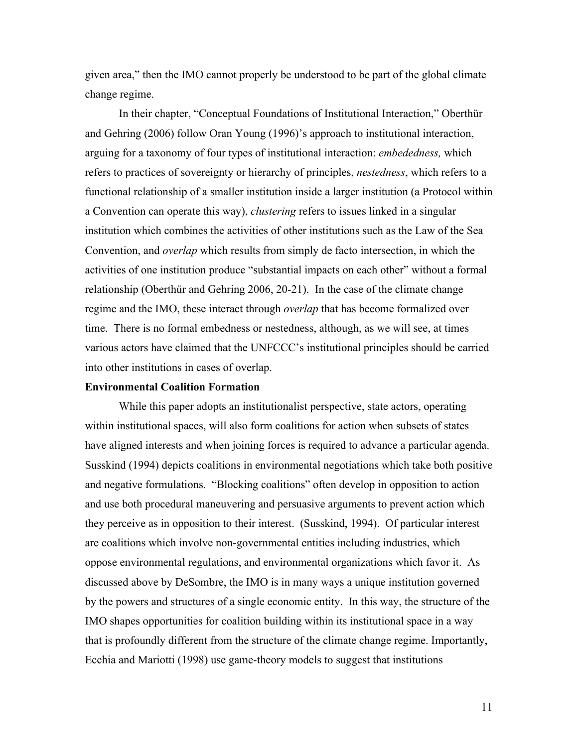given area," then the IMO cannot properly be understood to be part of the global climate change regime.

In their chapter, "Conceptual Foundations of Institutional Interaction," Oberthür and Gehring (2006) follow Oran Young (1996)'s approach to institutional interaction, arguing for a taxonomy of four types of institutional interaction: *embededness,* which refers to practices of sovereignty or hierarchy of principles, *nestedness*, which refers to a functional relationship of a smaller institution inside a larger institution (a Protocol within a Convention can operate this way), *clustering* refers to issues linked in a singular institution which combines the activities of other institutions such as the Law of the Sea Convention, and *overlap* which results from simply de facto intersection, in which the activities of one institution produce "substantial impacts on each other" without a formal relationship (Oberthür and Gehring 2006, 20-21). In the case of the climate change regime and the IMO, these interact through *overlap* that has become formalized over time. There is no formal embedness or nestedness, although, as we will see, at times various actors have claimed that the UNFCCC's institutional principles should be carried into other institutions in cases of overlap.

#### **Environmental Coalition Formation**

While this paper adopts an institutionalist perspective, state actors, operating within institutional spaces, will also form coalitions for action when subsets of states have aligned interests and when joining forces is required to advance a particular agenda. Susskind (1994) depicts coalitions in environmental negotiations which take both positive and negative formulations. "Blocking coalitions" often develop in opposition to action and use both procedural maneuvering and persuasive arguments to prevent action which they perceive as in opposition to their interest. (Susskind, 1994). Of particular interest are coalitions which involve non-governmental entities including industries, which oppose environmental regulations, and environmental organizations which favor it. As discussed above by DeSombre, the IMO is in many ways a unique institution governed by the powers and structures of a single economic entity. In this way, the structure of the IMO shapes opportunities for coalition building within its institutional space in a way that is profoundly different from the structure of the climate change regime. Importantly, Ecchia and Mariotti (1998) use game-theory models to suggest that institutions

11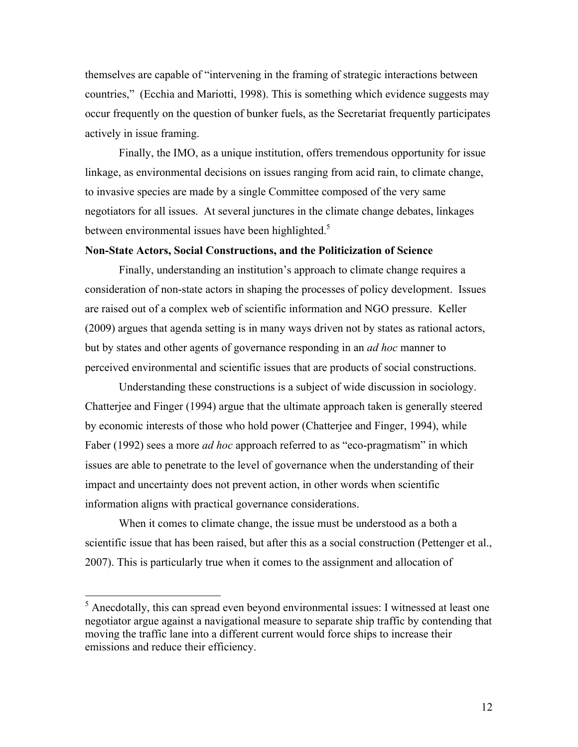themselves are capable of "intervening in the framing of strategic interactions between countries," (Ecchia and Mariotti, 1998). This is something which evidence suggests may occur frequently on the question of bunker fuels, as the Secretariat frequently participates actively in issue framing.

Finally, the IMO, as a unique institution, offers tremendous opportunity for issue linkage, as environmental decisions on issues ranging from acid rain, to climate change, to invasive species are made by a single Committee composed of the very same negotiators for all issues. At several junctures in the climate change debates, linkages between environmental issues have been highlighted. $5$ 

#### **Non-State Actors, Social Constructions, and the Politicization of Science**

Finally, understanding an institution's approach to climate change requires a consideration of non-state actors in shaping the processes of policy development. Issues are raised out of a complex web of scientific information and NGO pressure. Keller (2009) argues that agenda setting is in many ways driven not by states as rational actors, but by states and other agents of governance responding in an *ad hoc* manner to perceived environmental and scientific issues that are products of social constructions.

Understanding these constructions is a subject of wide discussion in sociology. Chatterjee and Finger (1994) argue that the ultimate approach taken is generally steered by economic interests of those who hold power (Chatterjee and Finger, 1994), while Faber (1992) sees a more *ad hoc* approach referred to as "eco-pragmatism" in which issues are able to penetrate to the level of governance when the understanding of their impact and uncertainty does not prevent action, in other words when scientific information aligns with practical governance considerations.

When it comes to climate change, the issue must be understood as a both a scientific issue that has been raised, but after this as a social construction (Pettenger et al., 2007). This is particularly true when it comes to the assignment and allocation of

<sup>&</sup>lt;sup>5</sup> Anecdotally, this can spread even beyond environmental issues: I witnessed at least one negotiator argue against a navigational measure to separate ship traffic by contending that moving the traffic lane into a different current would force ships to increase their emissions and reduce their efficiency.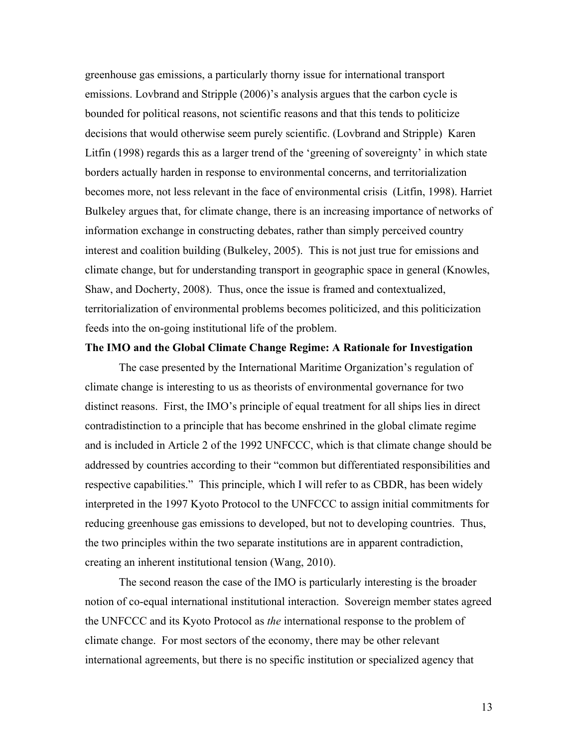greenhouse gas emissions, a particularly thorny issue for international transport emissions. Lovbrand and Stripple (2006)'s analysis argues that the carbon cycle is bounded for political reasons, not scientific reasons and that this tends to politicize decisions that would otherwise seem purely scientific. (Lovbrand and Stripple) Karen Litfin (1998) regards this as a larger trend of the 'greening of sovereignty' in which state borders actually harden in response to environmental concerns, and territorialization becomes more, not less relevant in the face of environmental crisis (Litfin, 1998). Harriet Bulkeley argues that, for climate change, there is an increasing importance of networks of information exchange in constructing debates, rather than simply perceived country interest and coalition building (Bulkeley, 2005). This is not just true for emissions and climate change, but for understanding transport in geographic space in general (Knowles, Shaw, and Docherty, 2008). Thus, once the issue is framed and contextualized, territorialization of environmental problems becomes politicized, and this politicization feeds into the on-going institutional life of the problem.

#### **The IMO and the Global Climate Change Regime: A Rationale for Investigation**

The case presented by the International Maritime Organization's regulation of climate change is interesting to us as theorists of environmental governance for two distinct reasons. First, the IMO's principle of equal treatment for all ships lies in direct contradistinction to a principle that has become enshrined in the global climate regime and is included in Article 2 of the 1992 UNFCCC, which is that climate change should be addressed by countries according to their "common but differentiated responsibilities and respective capabilities." This principle, which I will refer to as CBDR, has been widely interpreted in the 1997 Kyoto Protocol to the UNFCCC to assign initial commitments for reducing greenhouse gas emissions to developed, but not to developing countries. Thus, the two principles within the two separate institutions are in apparent contradiction, creating an inherent institutional tension (Wang, 2010).

The second reason the case of the IMO is particularly interesting is the broader notion of co-equal international institutional interaction. Sovereign member states agreed the UNFCCC and its Kyoto Protocol as *the* international response to the problem of climate change. For most sectors of the economy, there may be other relevant international agreements, but there is no specific institution or specialized agency that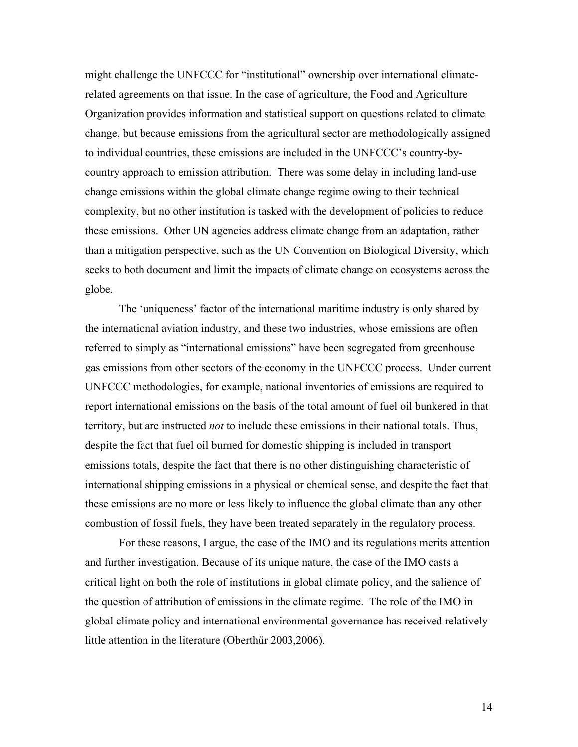might challenge the UNFCCC for "institutional" ownership over international climaterelated agreements on that issue. In the case of agriculture, the Food and Agriculture Organization provides information and statistical support on questions related to climate change, but because emissions from the agricultural sector are methodologically assigned to individual countries, these emissions are included in the UNFCCC's country-bycountry approach to emission attribution. There was some delay in including land-use change emissions within the global climate change regime owing to their technical complexity, but no other institution is tasked with the development of policies to reduce these emissions. Other UN agencies address climate change from an adaptation, rather than a mitigation perspective, such as the UN Convention on Biological Diversity, which seeks to both document and limit the impacts of climate change on ecosystems across the globe.

The 'uniqueness' factor of the international maritime industry is only shared by the international aviation industry, and these two industries, whose emissions are often referred to simply as "international emissions" have been segregated from greenhouse gas emissions from other sectors of the economy in the UNFCCC process. Under current UNFCCC methodologies, for example, national inventories of emissions are required to report international emissions on the basis of the total amount of fuel oil bunkered in that territory, but are instructed *not* to include these emissions in their national totals. Thus, despite the fact that fuel oil burned for domestic shipping is included in transport emissions totals, despite the fact that there is no other distinguishing characteristic of international shipping emissions in a physical or chemical sense, and despite the fact that these emissions are no more or less likely to influence the global climate than any other combustion of fossil fuels, they have been treated separately in the regulatory process.

For these reasons, I argue, the case of the IMO and its regulations merits attention and further investigation. Because of its unique nature, the case of the IMO casts a critical light on both the role of institutions in global climate policy, and the salience of the question of attribution of emissions in the climate regime. The role of the IMO in global climate policy and international environmental governance has received relatively little attention in the literature (Oberthür 2003,2006).

14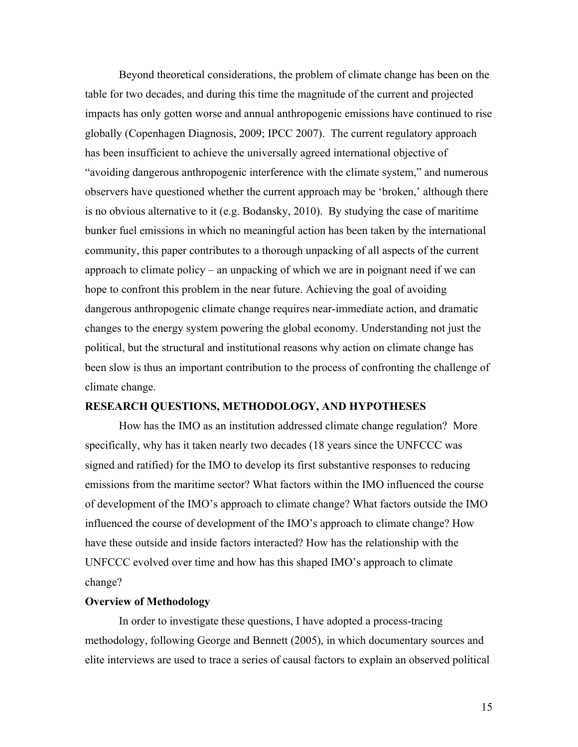Beyond theoretical considerations, the problem of climate change has been on the table for two decades, and during this time the magnitude of the current and projected impacts has only gotten worse and annual anthropogenic emissions have continued to rise globally (Copenhagen Diagnosis, 2009; IPCC 2007). The current regulatory approach has been insufficient to achieve the universally agreed international objective of "avoiding dangerous anthropogenic interference with the climate system," and numerous observers have questioned whether the current approach may be 'broken,' although there is no obvious alternative to it (e.g. Bodansky, 2010). By studying the case of maritime bunker fuel emissions in which no meaningful action has been taken by the international community, this paper contributes to a thorough unpacking of all aspects of the current approach to climate policy – an unpacking of which we are in poignant need if we can hope to confront this problem in the near future. Achieving the goal of avoiding dangerous anthropogenic climate change requires near-immediate action, and dramatic changes to the energy system powering the global economy. Understanding not just the political, but the structural and institutional reasons why action on climate change has been slow is thus an important contribution to the process of confronting the challenge of climate change.

#### **RESEARCH QUESTIONS, METHODOLOGY, AND HYPOTHESES**

How has the IMO as an institution addressed climate change regulation? More specifically, why has it taken nearly two decades (18 years since the UNFCCC was signed and ratified) for the IMO to develop its first substantive responses to reducing emissions from the maritime sector? What factors within the IMO influenced the course of development of the IMO's approach to climate change? What factors outside the IMO influenced the course of development of the IMO's approach to climate change? How have these outside and inside factors interacted? How has the relationship with the UNFCCC evolved over time and how has this shaped IMO's approach to climate change?

#### **Overview of Methodology**

In order to investigate these questions, I have adopted a process-tracing methodology, following George and Bennett (2005), in which documentary sources and elite interviews are used to trace a series of causal factors to explain an observed political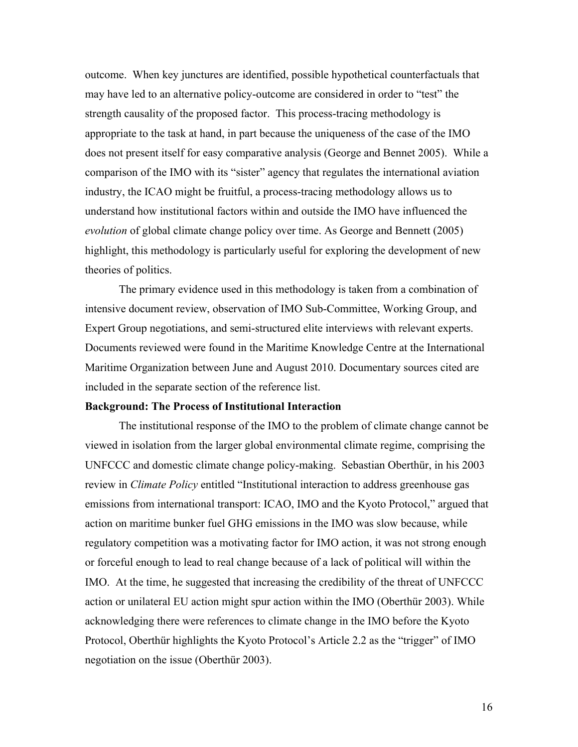outcome. When key junctures are identified, possible hypothetical counterfactuals that may have led to an alternative policy-outcome are considered in order to "test" the strength causality of the proposed factor. This process-tracing methodology is appropriate to the task at hand, in part because the uniqueness of the case of the IMO does not present itself for easy comparative analysis (George and Bennet 2005). While a comparison of the IMO with its "sister" agency that regulates the international aviation industry, the ICAO might be fruitful, a process-tracing methodology allows us to understand how institutional factors within and outside the IMO have influenced the *evolution* of global climate change policy over time. As George and Bennett (2005) highlight, this methodology is particularly useful for exploring the development of new theories of politics.

The primary evidence used in this methodology is taken from a combination of intensive document review, observation of IMO Sub-Committee, Working Group, and Expert Group negotiations, and semi-structured elite interviews with relevant experts. Documents reviewed were found in the Maritime Knowledge Centre at the International Maritime Organization between June and August 2010. Documentary sources cited are included in the separate section of the reference list.

#### **Background: The Process of Institutional Interaction**

The institutional response of the IMO to the problem of climate change cannot be viewed in isolation from the larger global environmental climate regime, comprising the UNFCCC and domestic climate change policy-making. Sebastian Oberthür, in his 2003 review in *Climate Policy* entitled "Institutional interaction to address greenhouse gas emissions from international transport: ICAO, IMO and the Kyoto Protocol," argued that action on maritime bunker fuel GHG emissions in the IMO was slow because, while regulatory competition was a motivating factor for IMO action, it was not strong enough or forceful enough to lead to real change because of a lack of political will within the IMO. At the time, he suggested that increasing the credibility of the threat of UNFCCC action or unilateral EU action might spur action within the IMO (Oberthür 2003). While acknowledging there were references to climate change in the IMO before the Kyoto Protocol, Oberthür highlights the Kyoto Protocol's Article 2.2 as the "trigger" of IMO negotiation on the issue (Oberthür 2003).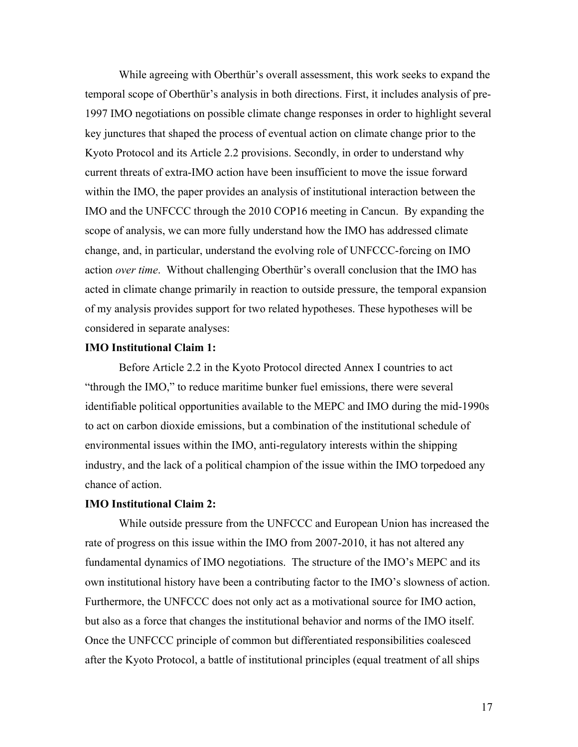While agreeing with Oberthür's overall assessment, this work seeks to expand the temporal scope of Oberthür's analysis in both directions. First, it includes analysis of pre-1997 IMO negotiations on possible climate change responses in order to highlight several key junctures that shaped the process of eventual action on climate change prior to the Kyoto Protocol and its Article 2.2 provisions. Secondly, in order to understand why current threats of extra-IMO action have been insufficient to move the issue forward within the IMO, the paper provides an analysis of institutional interaction between the IMO and the UNFCCC through the 2010 COP16 meeting in Cancun. By expanding the scope of analysis, we can more fully understand how the IMO has addressed climate change, and, in particular, understand the evolving role of UNFCCC-forcing on IMO action *over time*. Without challenging Oberthür's overall conclusion that the IMO has acted in climate change primarily in reaction to outside pressure, the temporal expansion of my analysis provides support for two related hypotheses. These hypotheses will be considered in separate analyses:

#### **IMO Institutional Claim 1:**

Before Article 2.2 in the Kyoto Protocol directed Annex I countries to act "through the IMO," to reduce maritime bunker fuel emissions, there were several identifiable political opportunities available to the MEPC and IMO during the mid-1990s to act on carbon dioxide emissions, but a combination of the institutional schedule of environmental issues within the IMO, anti-regulatory interests within the shipping industry, and the lack of a political champion of the issue within the IMO torpedoed any chance of action.

#### **IMO Institutional Claim 2:**

While outside pressure from the UNFCCC and European Union has increased the rate of progress on this issue within the IMO from 2007-2010, it has not altered any fundamental dynamics of IMO negotiations. The structure of the IMO's MEPC and its own institutional history have been a contributing factor to the IMO's slowness of action. Furthermore, the UNFCCC does not only act as a motivational source for IMO action, but also as a force that changes the institutional behavior and norms of the IMO itself. Once the UNFCCC principle of common but differentiated responsibilities coalesced after the Kyoto Protocol, a battle of institutional principles (equal treatment of all ships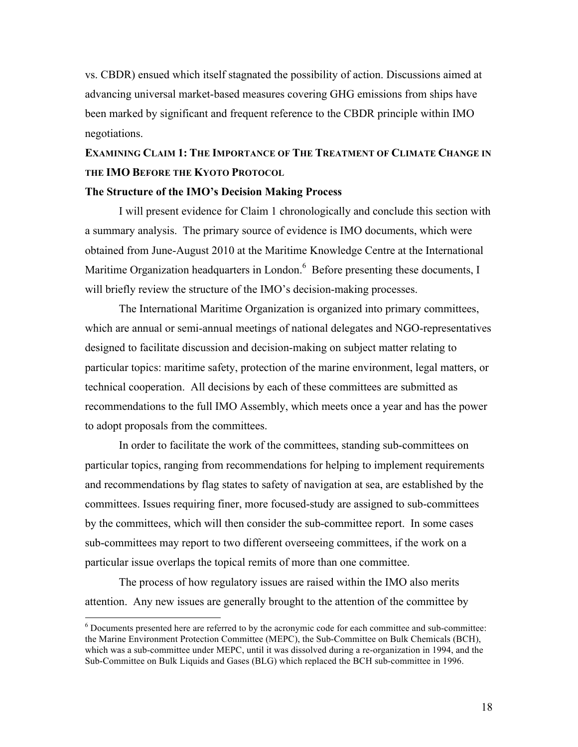vs. CBDR) ensued which itself stagnated the possibility of action. Discussions aimed at advancing universal market-based measures covering GHG emissions from ships have been marked by significant and frequent reference to the CBDR principle within IMO negotiations.

## **EXAMINING CLAIM 1: THE IMPORTANCE OF THE TREATMENT OF CLIMATE CHANGE IN THE IMO BEFORE THE KYOTO PROTOCOL**

#### **The Structure of the IMO's Decision Making Process**

I will present evidence for Claim 1 chronologically and conclude this section with a summary analysis. The primary source of evidence is IMO documents, which were obtained from June-August 2010 at the Maritime Knowledge Centre at the International Maritime Organization headquarters in London.<sup>6</sup> Before presenting these documents, I will briefly review the structure of the IMO's decision-making processes.

The International Maritime Organization is organized into primary committees, which are annual or semi-annual meetings of national delegates and NGO-representatives designed to facilitate discussion and decision-making on subject matter relating to particular topics: maritime safety, protection of the marine environment, legal matters, or technical cooperation. All decisions by each of these committees are submitted as recommendations to the full IMO Assembly, which meets once a year and has the power to adopt proposals from the committees.

In order to facilitate the work of the committees, standing sub-committees on particular topics, ranging from recommendations for helping to implement requirements and recommendations by flag states to safety of navigation at sea, are established by the committees. Issues requiring finer, more focused-study are assigned to sub-committees by the committees, which will then consider the sub-committee report. In some cases sub-committees may report to two different overseeing committees, if the work on a particular issue overlaps the topical remits of more than one committee.

The process of how regulatory issues are raised within the IMO also merits attention. Any new issues are generally brought to the attention of the committee by

 $\frac{1}{6}$  $6$  Documents presented here are referred to by the acronymic code for each committee and sub-committee: the Marine Environment Protection Committee (MEPC), the Sub-Committee on Bulk Chemicals (BCH), which was a sub-committee under MEPC, until it was dissolved during a re-organization in 1994, and the Sub-Committee on Bulk Liquids and Gases (BLG) which replaced the BCH sub-committee in 1996.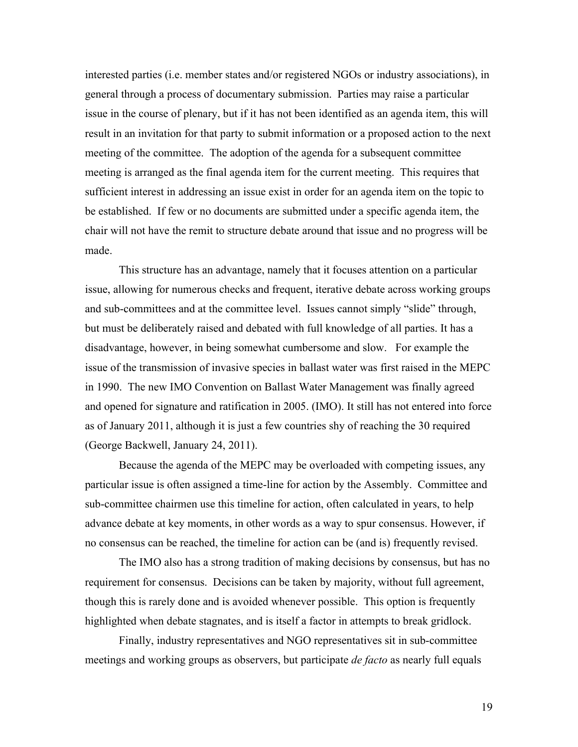interested parties (i.e. member states and/or registered NGOs or industry associations), in general through a process of documentary submission. Parties may raise a particular issue in the course of plenary, but if it has not been identified as an agenda item, this will result in an invitation for that party to submit information or a proposed action to the next meeting of the committee. The adoption of the agenda for a subsequent committee meeting is arranged as the final agenda item for the current meeting. This requires that sufficient interest in addressing an issue exist in order for an agenda item on the topic to be established. If few or no documents are submitted under a specific agenda item, the chair will not have the remit to structure debate around that issue and no progress will be made.

This structure has an advantage, namely that it focuses attention on a particular issue, allowing for numerous checks and frequent, iterative debate across working groups and sub-committees and at the committee level. Issues cannot simply "slide" through, but must be deliberately raised and debated with full knowledge of all parties. It has a disadvantage, however, in being somewhat cumbersome and slow. For example the issue of the transmission of invasive species in ballast water was first raised in the MEPC in 1990. The new IMO Convention on Ballast Water Management was finally agreed and opened for signature and ratification in 2005. (IMO). It still has not entered into force as of January 2011, although it is just a few countries shy of reaching the 30 required (George Backwell, January 24, 2011).

Because the agenda of the MEPC may be overloaded with competing issues, any particular issue is often assigned a time-line for action by the Assembly. Committee and sub-committee chairmen use this timeline for action, often calculated in years, to help advance debate at key moments, in other words as a way to spur consensus. However, if no consensus can be reached, the timeline for action can be (and is) frequently revised.

The IMO also has a strong tradition of making decisions by consensus, but has no requirement for consensus. Decisions can be taken by majority, without full agreement, though this is rarely done and is avoided whenever possible. This option is frequently highlighted when debate stagnates, and is itself a factor in attempts to break gridlock.

Finally, industry representatives and NGO representatives sit in sub-committee meetings and working groups as observers, but participate *de facto* as nearly full equals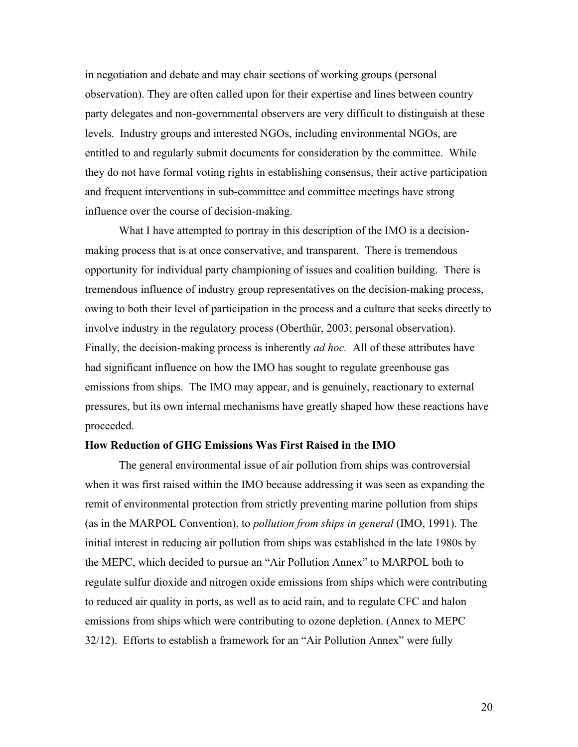in negotiation and debate and may chair sections of working groups (personal observation). They are often called upon for their expertise and lines between country party delegates and non-governmental observers are very difficult to distinguish at these levels. Industry groups and interested NGOs, including environmental NGOs, are entitled to and regularly submit documents for consideration by the committee. While they do not have formal voting rights in establishing consensus, their active participation and frequent interventions in sub-committee and committee meetings have strong influence over the course of decision-making.

What I have attempted to portray in this description of the IMO is a decisionmaking process that is at once conservative, and transparent. There is tremendous opportunity for individual party championing of issues and coalition building. There is tremendous influence of industry group representatives on the decision-making process, owing to both their level of participation in the process and a culture that seeks directly to involve industry in the regulatory process (Oberthür, 2003; personal observation). Finally, the decision-making process is inherently *ad hoc.* All of these attributes have had significant influence on how the IMO has sought to regulate greenhouse gas emissions from ships. The IMO may appear, and is genuinely, reactionary to external pressures, but its own internal mechanisms have greatly shaped how these reactions have proceeded.

#### **How Reduction of GHG Emissions Was First Raised in the IMO**

The general environmental issue of air pollution from ships was controversial when it was first raised within the IMO because addressing it was seen as expanding the remit of environmental protection from strictly preventing marine pollution from ships (as in the MARPOL Convention), to *pollution from ships in general* (IMO, 1991). The initial interest in reducing air pollution from ships was established in the late 1980s by the MEPC, which decided to pursue an "Air Pollution Annex" to MARPOL both to regulate sulfur dioxide and nitrogen oxide emissions from ships which were contributing to reduced air quality in ports, as well as to acid rain, and to regulate CFC and halon emissions from ships which were contributing to ozone depletion. (Annex to MEPC 32/12). Efforts to establish a framework for an "Air Pollution Annex" were fully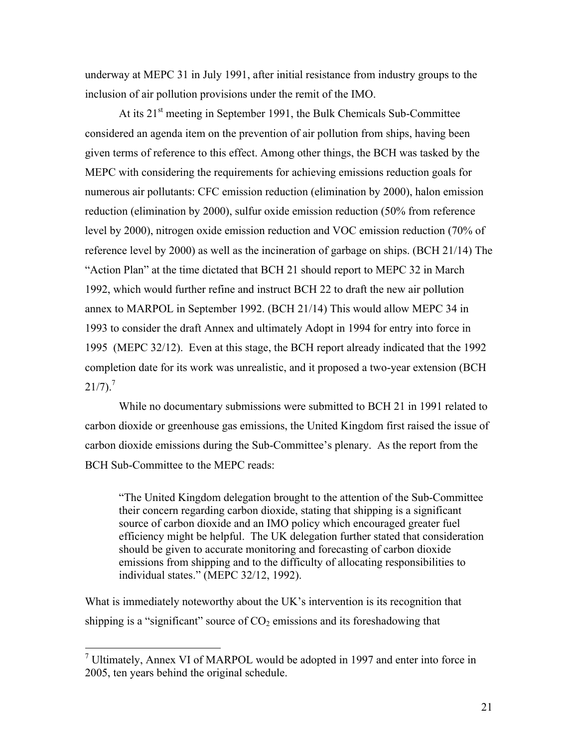underway at MEPC 31 in July 1991, after initial resistance from industry groups to the inclusion of air pollution provisions under the remit of the IMO.

At its  $21<sup>st</sup>$  meeting in September 1991, the Bulk Chemicals Sub-Committee considered an agenda item on the prevention of air pollution from ships, having been given terms of reference to this effect. Among other things, the BCH was tasked by the MEPC with considering the requirements for achieving emissions reduction goals for numerous air pollutants: CFC emission reduction (elimination by 2000), halon emission reduction (elimination by 2000), sulfur oxide emission reduction (50% from reference level by 2000), nitrogen oxide emission reduction and VOC emission reduction (70% of reference level by 2000) as well as the incineration of garbage on ships. (BCH 21/14) The "Action Plan" at the time dictated that BCH 21 should report to MEPC 32 in March 1992, which would further refine and instruct BCH 22 to draft the new air pollution annex to MARPOL in September 1992. (BCH 21/14) This would allow MEPC 34 in 1993 to consider the draft Annex and ultimately Adopt in 1994 for entry into force in 1995 (MEPC 32/12). Even at this stage, the BCH report already indicated that the 1992 completion date for its work was unrealistic, and it proposed a two-year extension (BCH  $21/7$ ).<sup>7</sup>

While no documentary submissions were submitted to BCH 21 in 1991 related to carbon dioxide or greenhouse gas emissions, the United Kingdom first raised the issue of carbon dioxide emissions during the Sub-Committee's plenary. As the report from the BCH Sub-Committee to the MEPC reads:

"The United Kingdom delegation brought to the attention of the Sub-Committee their concern regarding carbon dioxide, stating that shipping is a significant source of carbon dioxide and an IMO policy which encouraged greater fuel efficiency might be helpful. The UK delegation further stated that consideration should be given to accurate monitoring and forecasting of carbon dioxide emissions from shipping and to the difficulty of allocating responsibilities to individual states." (MEPC 32/12, 1992).

What is immediately noteworthy about the UK's intervention is its recognition that shipping is a "significant" source of  $CO<sub>2</sub>$  emissions and its foreshadowing that

 <sup>7</sup> Ultimately, Annex VI of MARPOL would be adopted in 1997 and enter into force in 2005, ten years behind the original schedule.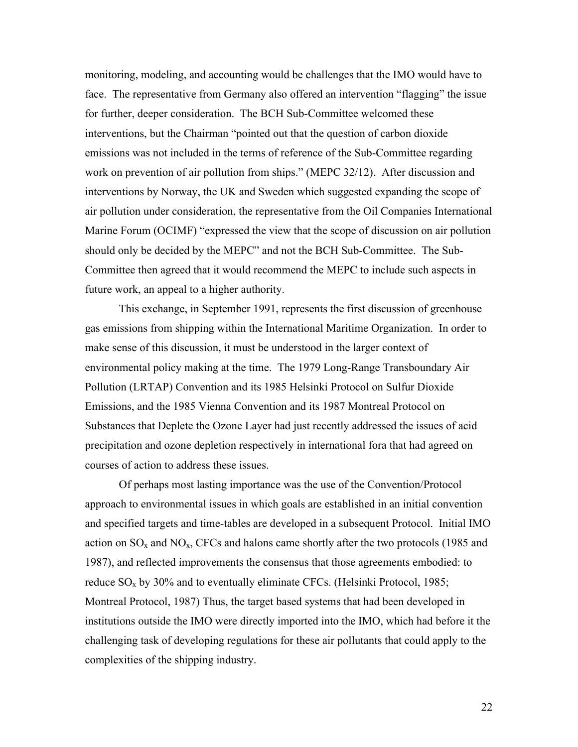monitoring, modeling, and accounting would be challenges that the IMO would have to face. The representative from Germany also offered an intervention "flagging" the issue for further, deeper consideration. The BCH Sub-Committee welcomed these interventions, but the Chairman "pointed out that the question of carbon dioxide emissions was not included in the terms of reference of the Sub-Committee regarding work on prevention of air pollution from ships." (MEPC 32/12). After discussion and interventions by Norway, the UK and Sweden which suggested expanding the scope of air pollution under consideration, the representative from the Oil Companies International Marine Forum (OCIMF) "expressed the view that the scope of discussion on air pollution should only be decided by the MEPC" and not the BCH Sub-Committee. The Sub-Committee then agreed that it would recommend the MEPC to include such aspects in future work, an appeal to a higher authority.

This exchange, in September 1991, represents the first discussion of greenhouse gas emissions from shipping within the International Maritime Organization. In order to make sense of this discussion, it must be understood in the larger context of environmental policy making at the time. The 1979 Long-Range Transboundary Air Pollution (LRTAP) Convention and its 1985 Helsinki Protocol on Sulfur Dioxide Emissions, and the 1985 Vienna Convention and its 1987 Montreal Protocol on Substances that Deplete the Ozone Layer had just recently addressed the issues of acid precipitation and ozone depletion respectively in international fora that had agreed on courses of action to address these issues.

Of perhaps most lasting importance was the use of the Convention/Protocol approach to environmental issues in which goals are established in an initial convention and specified targets and time-tables are developed in a subsequent Protocol. Initial IMO action on  $SO_x$  and  $NO_x$ , CFCs and halons came shortly after the two protocols (1985 and 1987), and reflected improvements the consensus that those agreements embodied: to reduce  $SO_x$  by 30% and to eventually eliminate CFCs. (Helsinki Protocol, 1985; Montreal Protocol, 1987) Thus, the target based systems that had been developed in institutions outside the IMO were directly imported into the IMO, which had before it the challenging task of developing regulations for these air pollutants that could apply to the complexities of the shipping industry.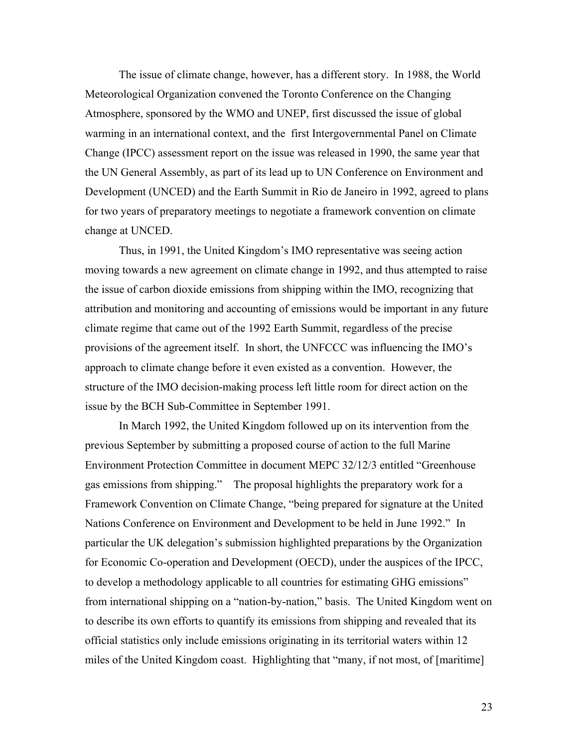The issue of climate change, however, has a different story. In 1988, the World Meteorological Organization convened the Toronto Conference on the Changing Atmosphere, sponsored by the WMO and UNEP, first discussed the issue of global warming in an international context, and the first Intergovernmental Panel on Climate Change (IPCC) assessment report on the issue was released in 1990, the same year that the UN General Assembly, as part of its lead up to UN Conference on Environment and Development (UNCED) and the Earth Summit in Rio de Janeiro in 1992, agreed to plans for two years of preparatory meetings to negotiate a framework convention on climate change at UNCED.

Thus, in 1991, the United Kingdom's IMO representative was seeing action moving towards a new agreement on climate change in 1992, and thus attempted to raise the issue of carbon dioxide emissions from shipping within the IMO, recognizing that attribution and monitoring and accounting of emissions would be important in any future climate regime that came out of the 1992 Earth Summit, regardless of the precise provisions of the agreement itself. In short, the UNFCCC was influencing the IMO's approach to climate change before it even existed as a convention. However, the structure of the IMO decision-making process left little room for direct action on the issue by the BCH Sub-Committee in September 1991.

In March 1992, the United Kingdom followed up on its intervention from the previous September by submitting a proposed course of action to the full Marine Environment Protection Committee in document MEPC 32/12/3 entitled "Greenhouse gas emissions from shipping." The proposal highlights the preparatory work for a Framework Convention on Climate Change, "being prepared for signature at the United Nations Conference on Environment and Development to be held in June 1992." In particular the UK delegation's submission highlighted preparations by the Organization for Economic Co-operation and Development (OECD), under the auspices of the IPCC, to develop a methodology applicable to all countries for estimating GHG emissions" from international shipping on a "nation-by-nation," basis. The United Kingdom went on to describe its own efforts to quantify its emissions from shipping and revealed that its official statistics only include emissions originating in its territorial waters within 12 miles of the United Kingdom coast. Highlighting that "many, if not most, of [maritime]

23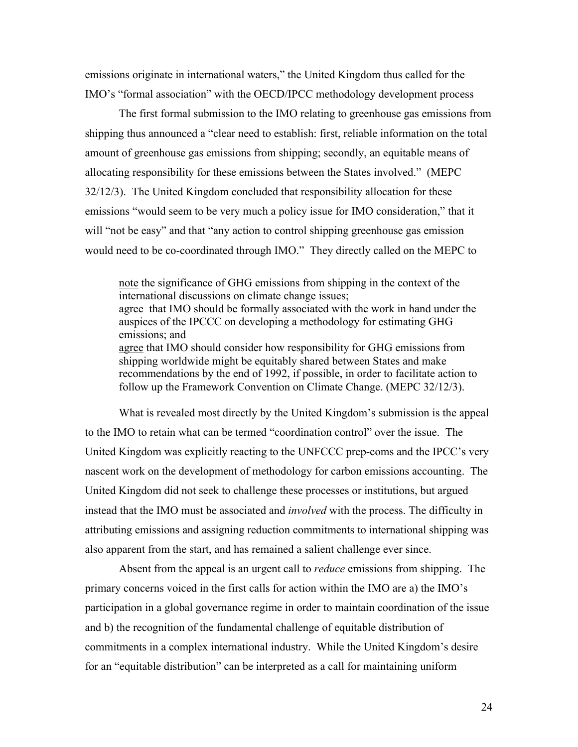emissions originate in international waters," the United Kingdom thus called for the IMO's "formal association" with the OECD/IPCC methodology development process

The first formal submission to the IMO relating to greenhouse gas emissions from shipping thus announced a "clear need to establish: first, reliable information on the total amount of greenhouse gas emissions from shipping; secondly, an equitable means of allocating responsibility for these emissions between the States involved." (MEPC 32/12/3). The United Kingdom concluded that responsibility allocation for these emissions "would seem to be very much a policy issue for IMO consideration," that it will "not be easy" and that "any action to control shipping greenhouse gas emission would need to be co-coordinated through IMO." They directly called on the MEPC to

note the significance of GHG emissions from shipping in the context of the international discussions on climate change issues; agree that IMO should be formally associated with the work in hand under the auspices of the IPCCC on developing a methodology for estimating GHG emissions; and agree that IMO should consider how responsibility for GHG emissions from shipping worldwide might be equitably shared between States and make recommendations by the end of 1992, if possible, in order to facilitate action to follow up the Framework Convention on Climate Change. (MEPC 32/12/3).

What is revealed most directly by the United Kingdom's submission is the appeal to the IMO to retain what can be termed "coordination control" over the issue. The United Kingdom was explicitly reacting to the UNFCCC prep-coms and the IPCC's very nascent work on the development of methodology for carbon emissions accounting. The United Kingdom did not seek to challenge these processes or institutions, but argued instead that the IMO must be associated and *involved* with the process. The difficulty in attributing emissions and assigning reduction commitments to international shipping was also apparent from the start, and has remained a salient challenge ever since.

Absent from the appeal is an urgent call to *reduce* emissions from shipping. The primary concerns voiced in the first calls for action within the IMO are a) the IMO's participation in a global governance regime in order to maintain coordination of the issue and b) the recognition of the fundamental challenge of equitable distribution of commitments in a complex international industry. While the United Kingdom's desire for an "equitable distribution" can be interpreted as a call for maintaining uniform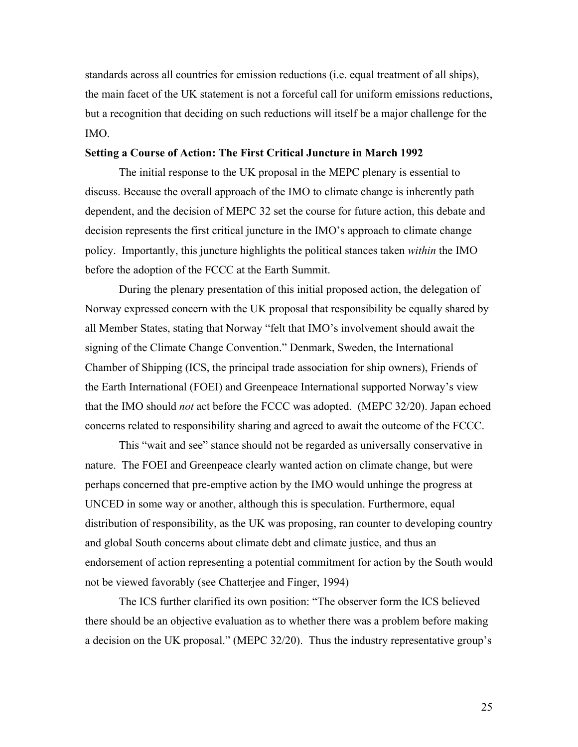standards across all countries for emission reductions (i.e. equal treatment of all ships), the main facet of the UK statement is not a forceful call for uniform emissions reductions, but a recognition that deciding on such reductions will itself be a major challenge for the IMO.

#### **Setting a Course of Action: The First Critical Juncture in March 1992**

The initial response to the UK proposal in the MEPC plenary is essential to discuss. Because the overall approach of the IMO to climate change is inherently path dependent, and the decision of MEPC 32 set the course for future action, this debate and decision represents the first critical juncture in the IMO's approach to climate change policy. Importantly, this juncture highlights the political stances taken *within* the IMO before the adoption of the FCCC at the Earth Summit.

During the plenary presentation of this initial proposed action, the delegation of Norway expressed concern with the UK proposal that responsibility be equally shared by all Member States, stating that Norway "felt that IMO's involvement should await the signing of the Climate Change Convention." Denmark, Sweden, the International Chamber of Shipping (ICS, the principal trade association for ship owners), Friends of the Earth International (FOEI) and Greenpeace International supported Norway's view that the IMO should *not* act before the FCCC was adopted. (MEPC 32/20). Japan echoed concerns related to responsibility sharing and agreed to await the outcome of the FCCC.

This "wait and see" stance should not be regarded as universally conservative in nature. The FOEI and Greenpeace clearly wanted action on climate change, but were perhaps concerned that pre-emptive action by the IMO would unhinge the progress at UNCED in some way or another, although this is speculation. Furthermore, equal distribution of responsibility, as the UK was proposing, ran counter to developing country and global South concerns about climate debt and climate justice, and thus an endorsement of action representing a potential commitment for action by the South would not be viewed favorably (see Chatterjee and Finger, 1994)

The ICS further clarified its own position: "The observer form the ICS believed there should be an objective evaluation as to whether there was a problem before making a decision on the UK proposal." (MEPC 32/20). Thus the industry representative group's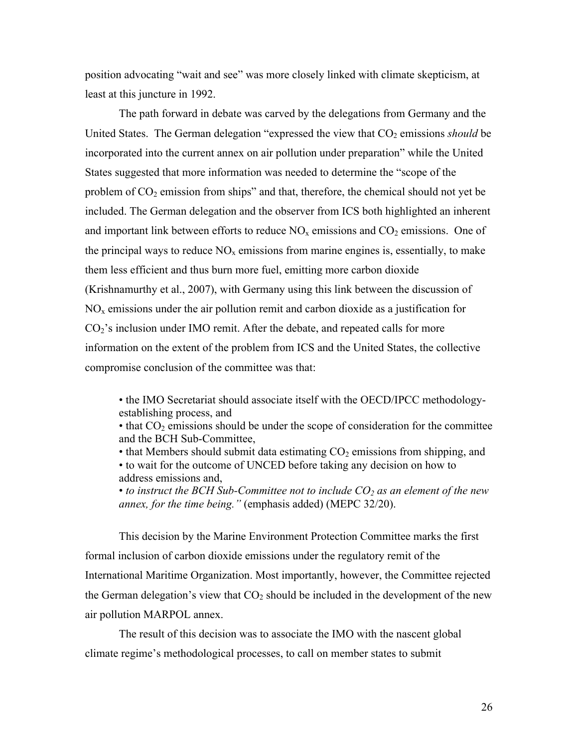position advocating "wait and see" was more closely linked with climate skepticism, at least at this juncture in 1992.

The path forward in debate was carved by the delegations from Germany and the United States. The German delegation "expressed the view that  $CO<sub>2</sub>$  emissions *should* be incorporated into the current annex on air pollution under preparation" while the United States suggested that more information was needed to determine the "scope of the problem of  $CO<sub>2</sub>$  emission from ships" and that, therefore, the chemical should not yet be included. The German delegation and the observer from ICS both highlighted an inherent and important link between efforts to reduce  $NO<sub>x</sub>$  emissions and  $CO<sub>2</sub>$  emissions. One of the principal ways to reduce  $NO<sub>x</sub>$  emissions from marine engines is, essentially, to make them less efficient and thus burn more fuel, emitting more carbon dioxide (Krishnamurthy et al., 2007), with Germany using this link between the discussion of  $NO<sub>x</sub>$  emissions under the air pollution remit and carbon dioxide as a justification for CO2's inclusion under IMO remit. After the debate, and repeated calls for more information on the extent of the problem from ICS and the United States, the collective compromise conclusion of the committee was that:

• the IMO Secretariat should associate itself with the OECD/IPCC methodologyestablishing process, and

 $\bullet$  that  $CO<sub>2</sub>$  emissions should be under the scope of consideration for the committee and the BCH Sub-Committee,

• that Members should submit data estimating  $CO<sub>2</sub>$  emissions from shipping, and • to wait for the outcome of UNCED before taking any decision on how to address emissions and,

• *to instruct the BCH Sub-Committee not to include*  $CO<sub>2</sub>$  *as an element of the new annex, for the time being."* (emphasis added) (MEPC 32/20).

This decision by the Marine Environment Protection Committee marks the first formal inclusion of carbon dioxide emissions under the regulatory remit of the International Maritime Organization. Most importantly, however, the Committee rejected the German delegation's view that  $CO<sub>2</sub>$  should be included in the development of the new air pollution MARPOL annex.

The result of this decision was to associate the IMO with the nascent global climate regime's methodological processes, to call on member states to submit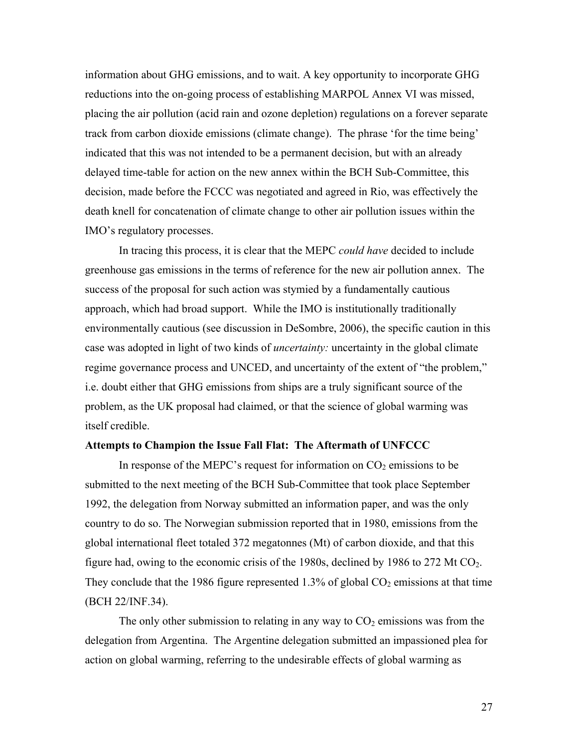information about GHG emissions, and to wait. A key opportunity to incorporate GHG reductions into the on-going process of establishing MARPOL Annex VI was missed, placing the air pollution (acid rain and ozone depletion) regulations on a forever separate track from carbon dioxide emissions (climate change). The phrase 'for the time being' indicated that this was not intended to be a permanent decision, but with an already delayed time-table for action on the new annex within the BCH Sub-Committee, this decision, made before the FCCC was negotiated and agreed in Rio, was effectively the death knell for concatenation of climate change to other air pollution issues within the IMO's regulatory processes.

In tracing this process, it is clear that the MEPC *could have* decided to include greenhouse gas emissions in the terms of reference for the new air pollution annex. The success of the proposal for such action was stymied by a fundamentally cautious approach, which had broad support. While the IMO is institutionally traditionally environmentally cautious (see discussion in DeSombre, 2006), the specific caution in this case was adopted in light of two kinds of *uncertainty:* uncertainty in the global climate regime governance process and UNCED, and uncertainty of the extent of "the problem," i.e. doubt either that GHG emissions from ships are a truly significant source of the problem, as the UK proposal had claimed, or that the science of global warming was itself credible.

#### **Attempts to Champion the Issue Fall Flat: The Aftermath of UNFCCC**

In response of the MEPC's request for information on  $CO<sub>2</sub>$  emissions to be submitted to the next meeting of the BCH Sub-Committee that took place September 1992, the delegation from Norway submitted an information paper, and was the only country to do so. The Norwegian submission reported that in 1980, emissions from the global international fleet totaled 372 megatonnes (Mt) of carbon dioxide, and that this figure had, owing to the economic crisis of the 1980s, declined by 1986 to 272 Mt  $CO<sub>2</sub>$ . They conclude that the 1986 figure represented 1.3% of global  $CO<sub>2</sub>$  emissions at that time (BCH 22/INF.34).

The only other submission to relating in any way to  $CO<sub>2</sub>$  emissions was from the delegation from Argentina. The Argentine delegation submitted an impassioned plea for action on global warming, referring to the undesirable effects of global warming as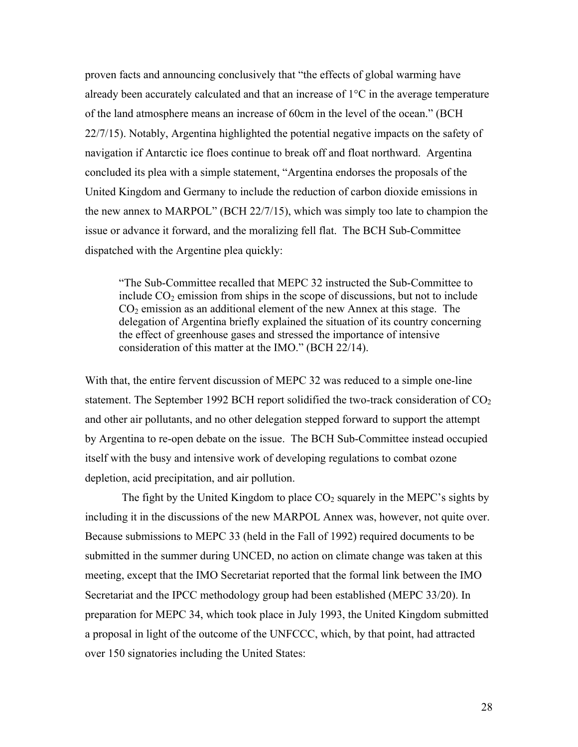proven facts and announcing conclusively that "the effects of global warming have already been accurately calculated and that an increase of  $1^{\circ}$ C in the average temperature of the land atmosphere means an increase of 60cm in the level of the ocean." (BCH 22/7/15). Notably, Argentina highlighted the potential negative impacts on the safety of navigation if Antarctic ice floes continue to break off and float northward. Argentina concluded its plea with a simple statement, "Argentina endorses the proposals of the United Kingdom and Germany to include the reduction of carbon dioxide emissions in the new annex to MARPOL" (BCH 22/7/15), which was simply too late to champion the issue or advance it forward, and the moralizing fell flat. The BCH Sub-Committee dispatched with the Argentine plea quickly:

"The Sub-Committee recalled that MEPC 32 instructed the Sub-Committee to include  $CO<sub>2</sub>$  emission from ships in the scope of discussions, but not to include  $CO<sub>2</sub>$  emission as an additional element of the new Annex at this stage. The delegation of Argentina briefly explained the situation of its country concerning the effect of greenhouse gases and stressed the importance of intensive consideration of this matter at the IMO." (BCH 22/14).

With that, the entire fervent discussion of MEPC 32 was reduced to a simple one-line statement. The September 1992 BCH report solidified the two-track consideration of  $CO<sub>2</sub>$ and other air pollutants, and no other delegation stepped forward to support the attempt by Argentina to re-open debate on the issue. The BCH Sub-Committee instead occupied itself with the busy and intensive work of developing regulations to combat ozone depletion, acid precipitation, and air pollution.

The fight by the United Kingdom to place  $CO<sub>2</sub>$  squarely in the MEPC's sights by including it in the discussions of the new MARPOL Annex was, however, not quite over. Because submissions to MEPC 33 (held in the Fall of 1992) required documents to be submitted in the summer during UNCED, no action on climate change was taken at this meeting, except that the IMO Secretariat reported that the formal link between the IMO Secretariat and the IPCC methodology group had been established (MEPC 33/20). In preparation for MEPC 34, which took place in July 1993, the United Kingdom submitted a proposal in light of the outcome of the UNFCCC, which, by that point, had attracted over 150 signatories including the United States: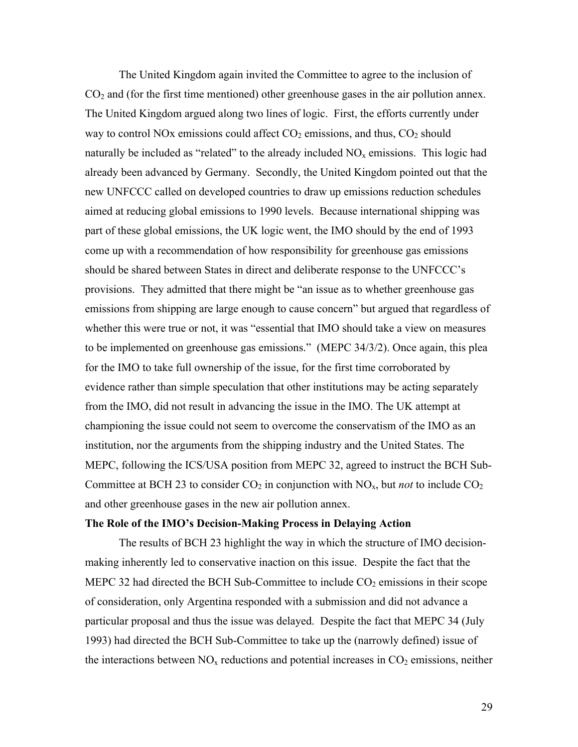The United Kingdom again invited the Committee to agree to the inclusion of  $CO<sub>2</sub>$  and (for the first time mentioned) other greenhouse gases in the air pollution annex. The United Kingdom argued along two lines of logic. First, the efforts currently under way to control NOx emissions could affect  $CO<sub>2</sub>$  emissions, and thus,  $CO<sub>2</sub>$  should naturally be included as "related" to the already included  $NO<sub>x</sub>$  emissions. This logic had already been advanced by Germany. Secondly, the United Kingdom pointed out that the new UNFCCC called on developed countries to draw up emissions reduction schedules aimed at reducing global emissions to 1990 levels. Because international shipping was part of these global emissions, the UK logic went, the IMO should by the end of 1993 come up with a recommendation of how responsibility for greenhouse gas emissions should be shared between States in direct and deliberate response to the UNFCCC's provisions. They admitted that there might be "an issue as to whether greenhouse gas emissions from shipping are large enough to cause concern" but argued that regardless of whether this were true or not, it was "essential that IMO should take a view on measures to be implemented on greenhouse gas emissions." (MEPC 34/3/2). Once again, this plea for the IMO to take full ownership of the issue, for the first time corroborated by evidence rather than simple speculation that other institutions may be acting separately from the IMO, did not result in advancing the issue in the IMO. The UK attempt at championing the issue could not seem to overcome the conservatism of the IMO as an institution, nor the arguments from the shipping industry and the United States. The MEPC, following the ICS/USA position from MEPC 32, agreed to instruct the BCH Sub-Committee at BCH 23 to consider  $CO_2$  in conjunction with  $NO_x$ , but *not* to include  $CO_2$ and other greenhouse gases in the new air pollution annex.

#### **The Role of the IMO's Decision-Making Process in Delaying Action**

The results of BCH 23 highlight the way in which the structure of IMO decisionmaking inherently led to conservative inaction on this issue. Despite the fact that the MEPC 32 had directed the BCH Sub-Committee to include  $CO<sub>2</sub>$  emissions in their scope of consideration, only Argentina responded with a submission and did not advance a particular proposal and thus the issue was delayed. Despite the fact that MEPC 34 (July 1993) had directed the BCH Sub-Committee to take up the (narrowly defined) issue of the interactions between  $NO<sub>x</sub>$  reductions and potential increases in  $CO<sub>2</sub>$  emissions, neither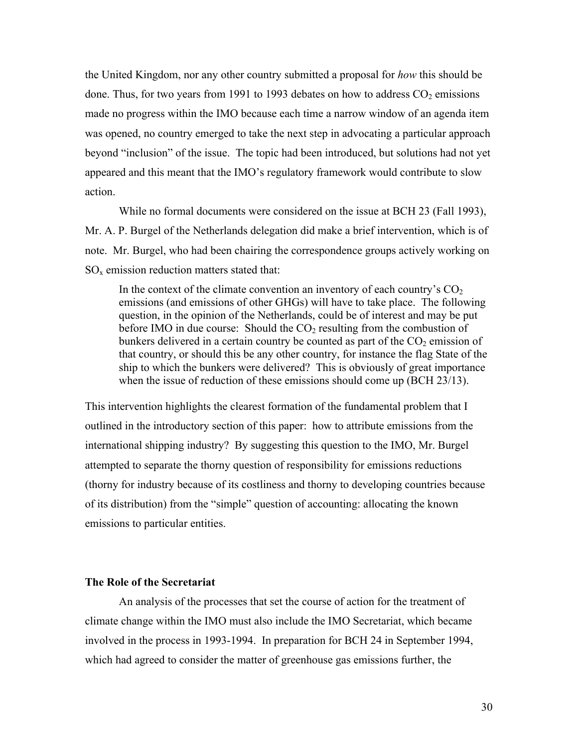the United Kingdom, nor any other country submitted a proposal for *how* this should be done. Thus, for two years from 1991 to 1993 debates on how to address  $CO<sub>2</sub>$  emissions made no progress within the IMO because each time a narrow window of an agenda item was opened, no country emerged to take the next step in advocating a particular approach beyond "inclusion" of the issue. The topic had been introduced, but solutions had not yet appeared and this meant that the IMO's regulatory framework would contribute to slow action.

While no formal documents were considered on the issue at BCH 23 (Fall 1993), Mr. A. P. Burgel of the Netherlands delegation did make a brief intervention, which is of note. Mr. Burgel, who had been chairing the correspondence groups actively working on  $SO<sub>x</sub>$  emission reduction matters stated that:

In the context of the climate convention an inventory of each country's  $CO<sub>2</sub>$ emissions (and emissions of other GHGs) will have to take place. The following question, in the opinion of the Netherlands, could be of interest and may be put before IMO in due course: Should the  $CO<sub>2</sub>$  resulting from the combustion of bunkers delivered in a certain country be counted as part of the  $CO<sub>2</sub>$  emission of that country, or should this be any other country, for instance the flag State of the ship to which the bunkers were delivered? This is obviously of great importance when the issue of reduction of these emissions should come up (BCH 23/13).

This intervention highlights the clearest formation of the fundamental problem that I outlined in the introductory section of this paper: how to attribute emissions from the international shipping industry? By suggesting this question to the IMO, Mr. Burgel attempted to separate the thorny question of responsibility for emissions reductions (thorny for industry because of its costliness and thorny to developing countries because of its distribution) from the "simple" question of accounting: allocating the known emissions to particular entities.

#### **The Role of the Secretariat**

An analysis of the processes that set the course of action for the treatment of climate change within the IMO must also include the IMO Secretariat, which became involved in the process in 1993-1994. In preparation for BCH 24 in September 1994, which had agreed to consider the matter of greenhouse gas emissions further, the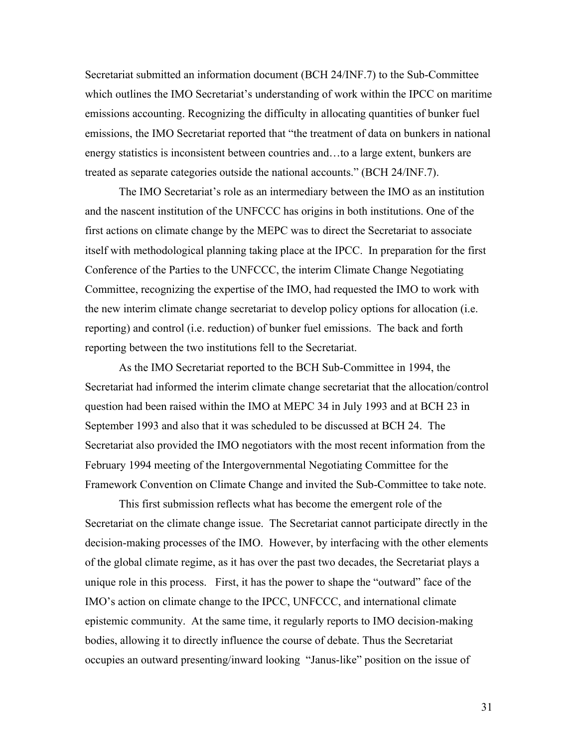Secretariat submitted an information document (BCH 24/INF.7) to the Sub-Committee which outlines the IMO Secretariat's understanding of work within the IPCC on maritime emissions accounting. Recognizing the difficulty in allocating quantities of bunker fuel emissions, the IMO Secretariat reported that "the treatment of data on bunkers in national energy statistics is inconsistent between countries and…to a large extent, bunkers are treated as separate categories outside the national accounts." (BCH 24/INF.7).

The IMO Secretariat's role as an intermediary between the IMO as an institution and the nascent institution of the UNFCCC has origins in both institutions. One of the first actions on climate change by the MEPC was to direct the Secretariat to associate itself with methodological planning taking place at the IPCC. In preparation for the first Conference of the Parties to the UNFCCC, the interim Climate Change Negotiating Committee, recognizing the expertise of the IMO, had requested the IMO to work with the new interim climate change secretariat to develop policy options for allocation (i.e. reporting) and control (i.e. reduction) of bunker fuel emissions. The back and forth reporting between the two institutions fell to the Secretariat.

As the IMO Secretariat reported to the BCH Sub-Committee in 1994, the Secretariat had informed the interim climate change secretariat that the allocation/control question had been raised within the IMO at MEPC 34 in July 1993 and at BCH 23 in September 1993 and also that it was scheduled to be discussed at BCH 24. The Secretariat also provided the IMO negotiators with the most recent information from the February 1994 meeting of the Intergovernmental Negotiating Committee for the Framework Convention on Climate Change and invited the Sub-Committee to take note.

This first submission reflects what has become the emergent role of the Secretariat on the climate change issue. The Secretariat cannot participate directly in the decision-making processes of the IMO. However, by interfacing with the other elements of the global climate regime, as it has over the past two decades, the Secretariat plays a unique role in this process. First, it has the power to shape the "outward" face of the IMO's action on climate change to the IPCC, UNFCCC, and international climate epistemic community. At the same time, it regularly reports to IMO decision-making bodies, allowing it to directly influence the course of debate. Thus the Secretariat occupies an outward presenting/inward looking "Janus-like" position on the issue of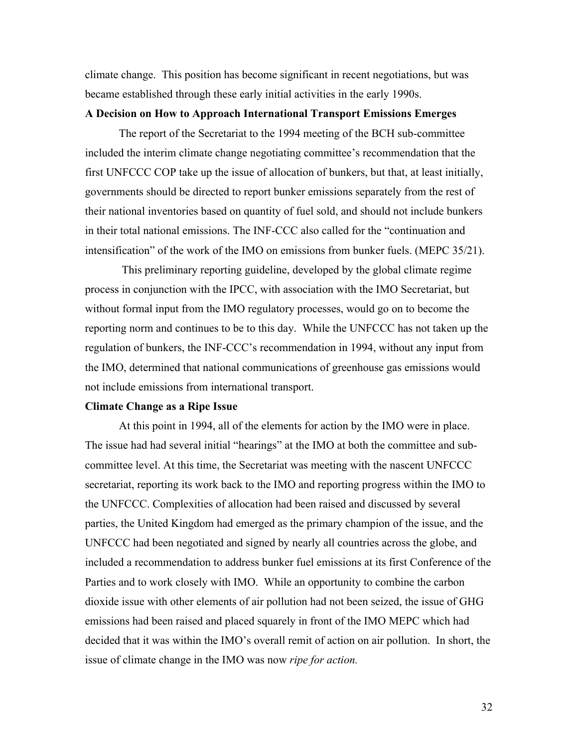climate change. This position has become significant in recent negotiations, but was became established through these early initial activities in the early 1990s.

#### **A Decision on How to Approach International Transport Emissions Emerges**

The report of the Secretariat to the 1994 meeting of the BCH sub-committee included the interim climate change negotiating committee's recommendation that the first UNFCCC COP take up the issue of allocation of bunkers, but that, at least initially, governments should be directed to report bunker emissions separately from the rest of their national inventories based on quantity of fuel sold, and should not include bunkers in their total national emissions. The INF-CCC also called for the "continuation and intensification" of the work of the IMO on emissions from bunker fuels. (MEPC 35/21).

 This preliminary reporting guideline, developed by the global climate regime process in conjunction with the IPCC, with association with the IMO Secretariat, but without formal input from the IMO regulatory processes, would go on to become the reporting norm and continues to be to this day. While the UNFCCC has not taken up the regulation of bunkers, the INF-CCC's recommendation in 1994, without any input from the IMO, determined that national communications of greenhouse gas emissions would not include emissions from international transport.

#### **Climate Change as a Ripe Issue**

At this point in 1994, all of the elements for action by the IMO were in place. The issue had had several initial "hearings" at the IMO at both the committee and subcommittee level. At this time, the Secretariat was meeting with the nascent UNFCCC secretariat, reporting its work back to the IMO and reporting progress within the IMO to the UNFCCC. Complexities of allocation had been raised and discussed by several parties, the United Kingdom had emerged as the primary champion of the issue, and the UNFCCC had been negotiated and signed by nearly all countries across the globe, and included a recommendation to address bunker fuel emissions at its first Conference of the Parties and to work closely with IMO. While an opportunity to combine the carbon dioxide issue with other elements of air pollution had not been seized, the issue of GHG emissions had been raised and placed squarely in front of the IMO MEPC which had decided that it was within the IMO's overall remit of action on air pollution. In short, the issue of climate change in the IMO was now *ripe for action.*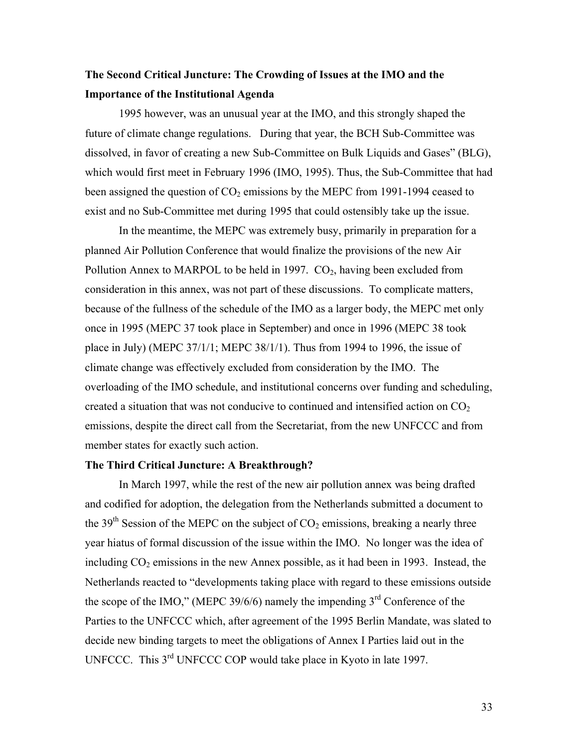### **The Second Critical Juncture: The Crowding of Issues at the IMO and the Importance of the Institutional Agenda**

1995 however, was an unusual year at the IMO, and this strongly shaped the future of climate change regulations. During that year, the BCH Sub-Committee was dissolved, in favor of creating a new Sub-Committee on Bulk Liquids and Gases" (BLG), which would first meet in February 1996 (IMO, 1995). Thus, the Sub-Committee that had been assigned the question of  $CO<sub>2</sub>$  emissions by the MEPC from 1991-1994 ceased to exist and no Sub-Committee met during 1995 that could ostensibly take up the issue.

In the meantime, the MEPC was extremely busy, primarily in preparation for a planned Air Pollution Conference that would finalize the provisions of the new Air Pollution Annex to MARPOL to be held in 1997.  $CO<sub>2</sub>$ , having been excluded from consideration in this annex, was not part of these discussions. To complicate matters, because of the fullness of the schedule of the IMO as a larger body, the MEPC met only once in 1995 (MEPC 37 took place in September) and once in 1996 (MEPC 38 took place in July) (MEPC 37/1/1; MEPC 38/1/1). Thus from 1994 to 1996, the issue of climate change was effectively excluded from consideration by the IMO. The overloading of the IMO schedule, and institutional concerns over funding and scheduling, created a situation that was not conducive to continued and intensified action on  $CO<sub>2</sub>$ emissions, despite the direct call from the Secretariat, from the new UNFCCC and from member states for exactly such action.

#### **The Third Critical Juncture: A Breakthrough?**

In March 1997, while the rest of the new air pollution annex was being drafted and codified for adoption, the delegation from the Netherlands submitted a document to the 39<sup>th</sup> Session of the MEPC on the subject of  $CO<sub>2</sub>$  emissions, breaking a nearly three year hiatus of formal discussion of the issue within the IMO. No longer was the idea of including  $CO<sub>2</sub>$  emissions in the new Annex possible, as it had been in 1993. Instead, the Netherlands reacted to "developments taking place with regard to these emissions outside the scope of the IMO," (MEPC 39/6/6) namely the impending  $3<sup>rd</sup>$  Conference of the Parties to the UNFCCC which, after agreement of the 1995 Berlin Mandate, was slated to decide new binding targets to meet the obligations of Annex I Parties laid out in the UNFCCC. This 3<sup>rd</sup> UNFCCC COP would take place in Kyoto in late 1997.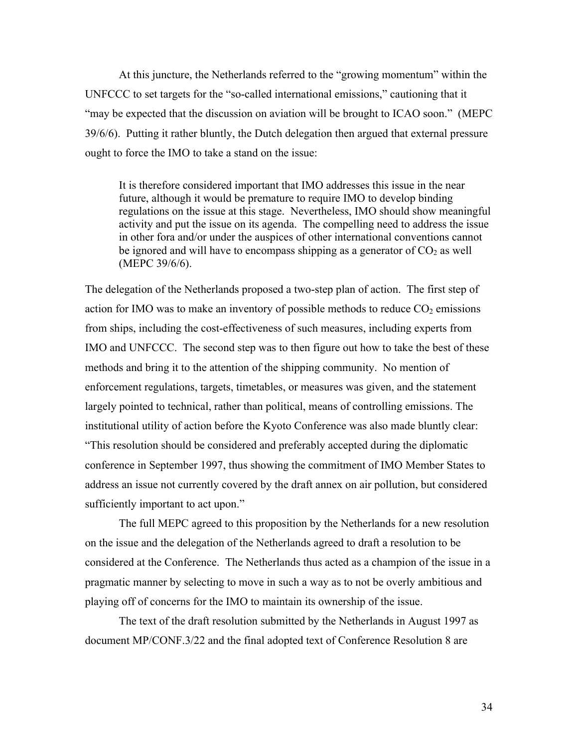At this juncture, the Netherlands referred to the "growing momentum" within the UNFCCC to set targets for the "so-called international emissions," cautioning that it "may be expected that the discussion on aviation will be brought to ICAO soon." (MEPC 39/6/6). Putting it rather bluntly, the Dutch delegation then argued that external pressure ought to force the IMO to take a stand on the issue:

It is therefore considered important that IMO addresses this issue in the near future, although it would be premature to require IMO to develop binding regulations on the issue at this stage. Nevertheless, IMO should show meaningful activity and put the issue on its agenda. The compelling need to address the issue in other fora and/or under the auspices of other international conventions cannot be ignored and will have to encompass shipping as a generator of  $CO<sub>2</sub>$  as well (MEPC 39/6/6).

The delegation of the Netherlands proposed a two-step plan of action. The first step of action for IMO was to make an inventory of possible methods to reduce  $CO<sub>2</sub>$  emissions from ships, including the cost-effectiveness of such measures, including experts from IMO and UNFCCC. The second step was to then figure out how to take the best of these methods and bring it to the attention of the shipping community. No mention of enforcement regulations, targets, timetables, or measures was given, and the statement largely pointed to technical, rather than political, means of controlling emissions. The institutional utility of action before the Kyoto Conference was also made bluntly clear: "This resolution should be considered and preferably accepted during the diplomatic conference in September 1997, thus showing the commitment of IMO Member States to address an issue not currently covered by the draft annex on air pollution, but considered sufficiently important to act upon."

The full MEPC agreed to this proposition by the Netherlands for a new resolution on the issue and the delegation of the Netherlands agreed to draft a resolution to be considered at the Conference. The Netherlands thus acted as a champion of the issue in a pragmatic manner by selecting to move in such a way as to not be overly ambitious and playing off of concerns for the IMO to maintain its ownership of the issue.

The text of the draft resolution submitted by the Netherlands in August 1997 as document MP/CONF.3/22 and the final adopted text of Conference Resolution 8 are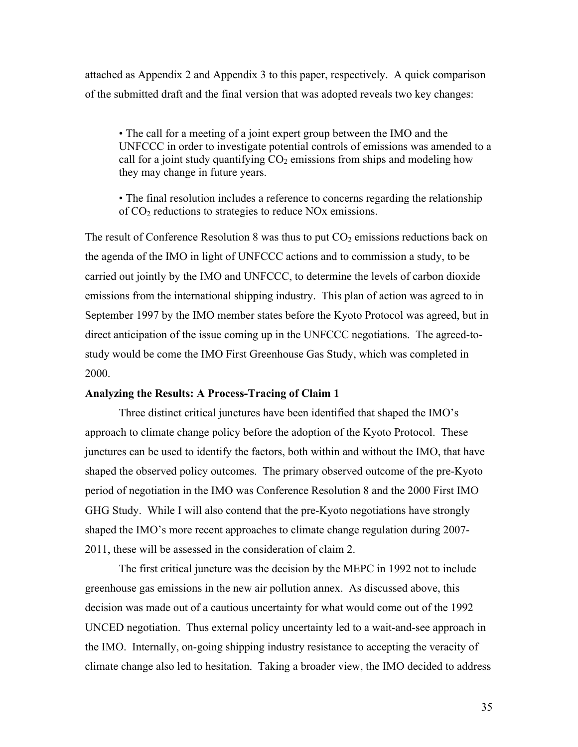attached as Appendix 2 and Appendix 3 to this paper, respectively. A quick comparison of the submitted draft and the final version that was adopted reveals two key changes:

• The call for a meeting of a joint expert group between the IMO and the UNFCCC in order to investigate potential controls of emissions was amended to a call for a joint study quantifying  $CO<sub>2</sub>$  emissions from ships and modeling how they may change in future years.

• The final resolution includes a reference to concerns regarding the relationship of CO2 reductions to strategies to reduce NOx emissions.

The result of Conference Resolution 8 was thus to put  $CO<sub>2</sub>$  emissions reductions back on the agenda of the IMO in light of UNFCCC actions and to commission a study, to be carried out jointly by the IMO and UNFCCC, to determine the levels of carbon dioxide emissions from the international shipping industry. This plan of action was agreed to in September 1997 by the IMO member states before the Kyoto Protocol was agreed, but in direct anticipation of the issue coming up in the UNFCCC negotiations. The agreed-tostudy would be come the IMO First Greenhouse Gas Study, which was completed in 2000.

#### **Analyzing the Results: A Process-Tracing of Claim 1**

Three distinct critical junctures have been identified that shaped the IMO's approach to climate change policy before the adoption of the Kyoto Protocol. These junctures can be used to identify the factors, both within and without the IMO, that have shaped the observed policy outcomes. The primary observed outcome of the pre-Kyoto period of negotiation in the IMO was Conference Resolution 8 and the 2000 First IMO GHG Study. While I will also contend that the pre-Kyoto negotiations have strongly shaped the IMO's more recent approaches to climate change regulation during 2007- 2011, these will be assessed in the consideration of claim 2.

The first critical juncture was the decision by the MEPC in 1992 not to include greenhouse gas emissions in the new air pollution annex. As discussed above, this decision was made out of a cautious uncertainty for what would come out of the 1992 UNCED negotiation. Thus external policy uncertainty led to a wait-and-see approach in the IMO. Internally, on-going shipping industry resistance to accepting the veracity of climate change also led to hesitation. Taking a broader view, the IMO decided to address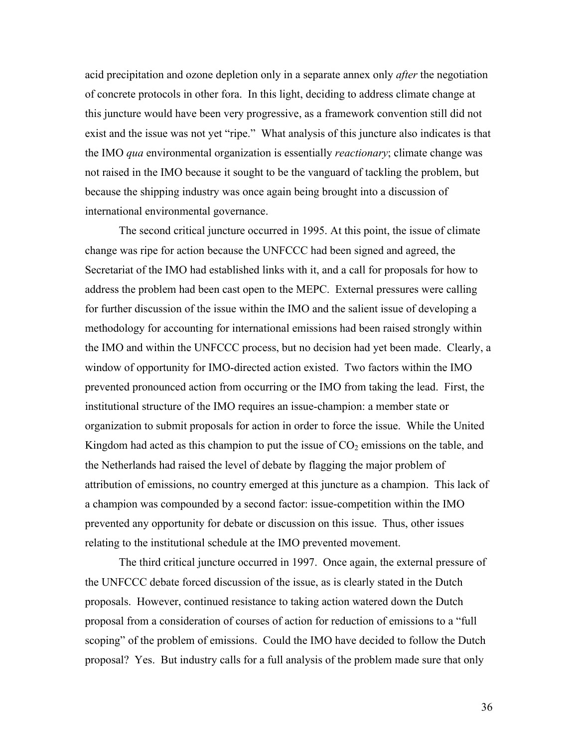acid precipitation and ozone depletion only in a separate annex only *after* the negotiation of concrete protocols in other fora. In this light, deciding to address climate change at this juncture would have been very progressive, as a framework convention still did not exist and the issue was not yet "ripe." What analysis of this juncture also indicates is that the IMO *qua* environmental organization is essentially *reactionary*; climate change was not raised in the IMO because it sought to be the vanguard of tackling the problem, but because the shipping industry was once again being brought into a discussion of international environmental governance.

The second critical juncture occurred in 1995. At this point, the issue of climate change was ripe for action because the UNFCCC had been signed and agreed, the Secretariat of the IMO had established links with it, and a call for proposals for how to address the problem had been cast open to the MEPC. External pressures were calling for further discussion of the issue within the IMO and the salient issue of developing a methodology for accounting for international emissions had been raised strongly within the IMO and within the UNFCCC process, but no decision had yet been made. Clearly, a window of opportunity for IMO-directed action existed. Two factors within the IMO prevented pronounced action from occurring or the IMO from taking the lead. First, the institutional structure of the IMO requires an issue-champion: a member state or organization to submit proposals for action in order to force the issue. While the United Kingdom had acted as this champion to put the issue of  $CO<sub>2</sub>$  emissions on the table, and the Netherlands had raised the level of debate by flagging the major problem of attribution of emissions, no country emerged at this juncture as a champion. This lack of a champion was compounded by a second factor: issue-competition within the IMO prevented any opportunity for debate or discussion on this issue. Thus, other issues relating to the institutional schedule at the IMO prevented movement.

The third critical juncture occurred in 1997. Once again, the external pressure of the UNFCCC debate forced discussion of the issue, as is clearly stated in the Dutch proposals. However, continued resistance to taking action watered down the Dutch proposal from a consideration of courses of action for reduction of emissions to a "full scoping" of the problem of emissions. Could the IMO have decided to follow the Dutch proposal? Yes. But industry calls for a full analysis of the problem made sure that only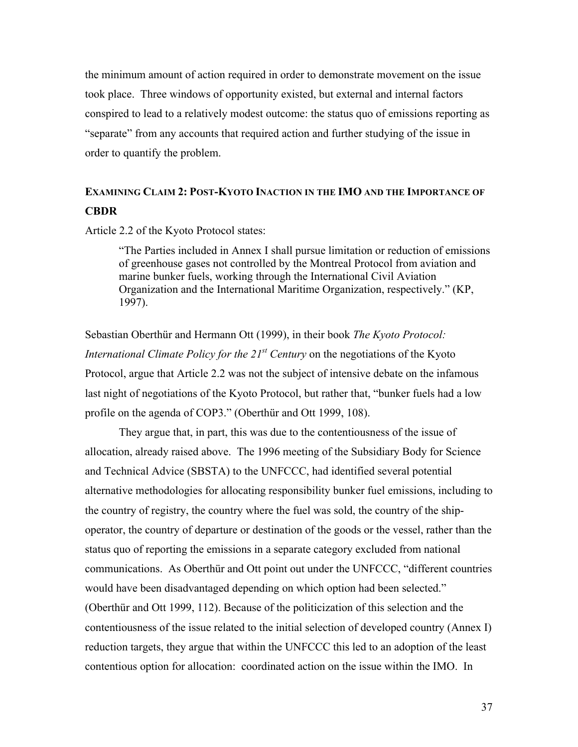the minimum amount of action required in order to demonstrate movement on the issue took place. Three windows of opportunity existed, but external and internal factors conspired to lead to a relatively modest outcome: the status quo of emissions reporting as "separate" from any accounts that required action and further studying of the issue in order to quantify the problem.

# **EXAMINING CLAIM 2: POST-KYOTO INACTION IN THE IMO AND THE IMPORTANCE OF CBDR**

Article 2.2 of the Kyoto Protocol states:

"The Parties included in Annex I shall pursue limitation or reduction of emissions of greenhouse gases not controlled by the Montreal Protocol from aviation and marine bunker fuels, working through the International Civil Aviation Organization and the International Maritime Organization, respectively." (KP, 1997).

Sebastian Oberthür and Hermann Ott (1999), in their book *The Kyoto Protocol: International Climate Policy for the 21st Century* on the negotiations of the Kyoto Protocol, argue that Article 2.2 was not the subject of intensive debate on the infamous last night of negotiations of the Kyoto Protocol, but rather that, "bunker fuels had a low profile on the agenda of COP3." (Oberthür and Ott 1999, 108).

They argue that, in part, this was due to the contentiousness of the issue of allocation, already raised above. The 1996 meeting of the Subsidiary Body for Science and Technical Advice (SBSTA) to the UNFCCC, had identified several potential alternative methodologies for allocating responsibility bunker fuel emissions, including to the country of registry, the country where the fuel was sold, the country of the shipoperator, the country of departure or destination of the goods or the vessel, rather than the status quo of reporting the emissions in a separate category excluded from national communications. As Oberthür and Ott point out under the UNFCCC, "different countries would have been disadvantaged depending on which option had been selected." (Oberthür and Ott 1999, 112). Because of the politicization of this selection and the contentiousness of the issue related to the initial selection of developed country (Annex I) reduction targets, they argue that within the UNFCCC this led to an adoption of the least contentious option for allocation: coordinated action on the issue within the IMO. In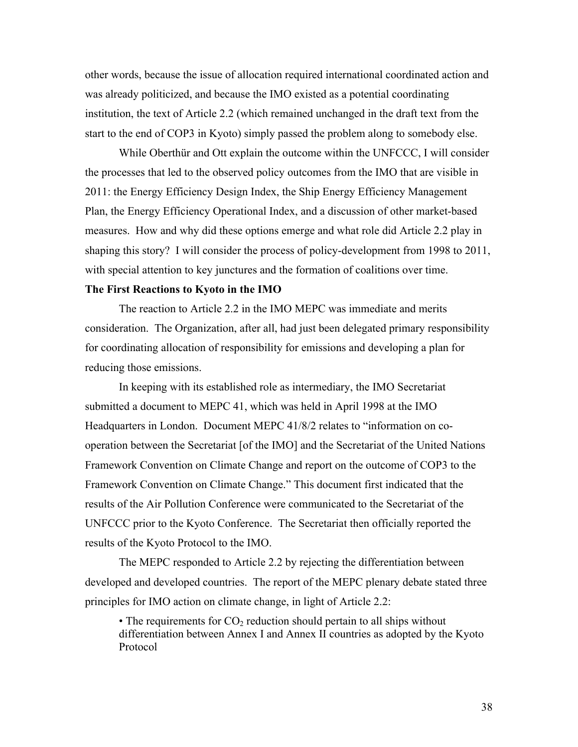other words, because the issue of allocation required international coordinated action and was already politicized, and because the IMO existed as a potential coordinating institution, the text of Article 2.2 (which remained unchanged in the draft text from the start to the end of COP3 in Kyoto) simply passed the problem along to somebody else.

While Oberthür and Ott explain the outcome within the UNFCCC, I will consider the processes that led to the observed policy outcomes from the IMO that are visible in 2011: the Energy Efficiency Design Index, the Ship Energy Efficiency Management Plan, the Energy Efficiency Operational Index, and a discussion of other market-based measures. How and why did these options emerge and what role did Article 2.2 play in shaping this story? I will consider the process of policy-development from 1998 to 2011, with special attention to key junctures and the formation of coalitions over time.

### **The First Reactions to Kyoto in the IMO**

The reaction to Article 2.2 in the IMO MEPC was immediate and merits consideration. The Organization, after all, had just been delegated primary responsibility for coordinating allocation of responsibility for emissions and developing a plan for reducing those emissions.

In keeping with its established role as intermediary, the IMO Secretariat submitted a document to MEPC 41, which was held in April 1998 at the IMO Headquarters in London. Document MEPC 41/8/2 relates to "information on cooperation between the Secretariat [of the IMO] and the Secretariat of the United Nations Framework Convention on Climate Change and report on the outcome of COP3 to the Framework Convention on Climate Change." This document first indicated that the results of the Air Pollution Conference were communicated to the Secretariat of the UNFCCC prior to the Kyoto Conference. The Secretariat then officially reported the results of the Kyoto Protocol to the IMO.

The MEPC responded to Article 2.2 by rejecting the differentiation between developed and developed countries. The report of the MEPC plenary debate stated three principles for IMO action on climate change, in light of Article 2.2:

• The requirements for  $CO<sub>2</sub>$  reduction should pertain to all ships without differentiation between Annex I and Annex II countries as adopted by the Kyoto Protocol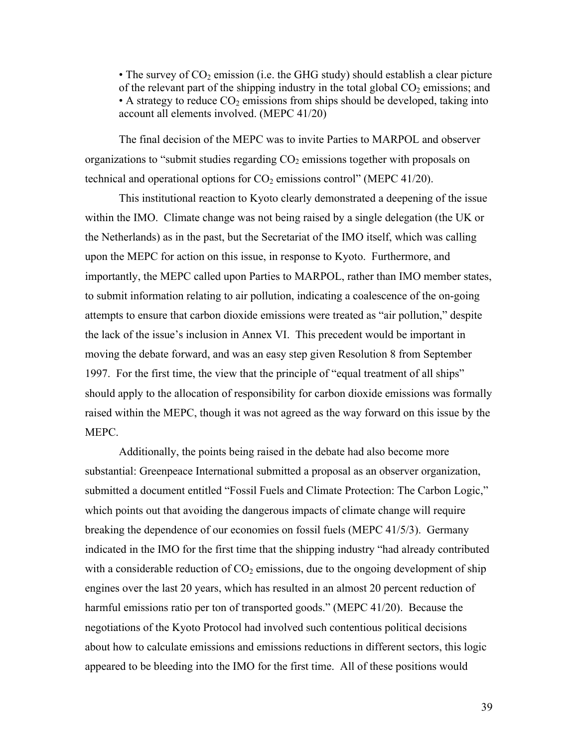• The survey of  $CO<sub>2</sub>$  emission (i.e. the GHG study) should establish a clear picture of the relevant part of the shipping industry in the total global  $CO<sub>2</sub>$  emissions; and • A strategy to reduce  $CO<sub>2</sub>$  emissions from ships should be developed, taking into account all elements involved. (MEPC 41/20)

The final decision of the MEPC was to invite Parties to MARPOL and observer organizations to "submit studies regarding  $CO<sub>2</sub>$  emissions together with proposals on technical and operational options for  $CO<sub>2</sub>$  emissions control" (MEPC 41/20).

This institutional reaction to Kyoto clearly demonstrated a deepening of the issue within the IMO. Climate change was not being raised by a single delegation (the UK or the Netherlands) as in the past, but the Secretariat of the IMO itself, which was calling upon the MEPC for action on this issue, in response to Kyoto. Furthermore, and importantly, the MEPC called upon Parties to MARPOL, rather than IMO member states, to submit information relating to air pollution, indicating a coalescence of the on-going attempts to ensure that carbon dioxide emissions were treated as "air pollution," despite the lack of the issue's inclusion in Annex VI. This precedent would be important in moving the debate forward, and was an easy step given Resolution 8 from September 1997. For the first time, the view that the principle of "equal treatment of all ships" should apply to the allocation of responsibility for carbon dioxide emissions was formally raised within the MEPC, though it was not agreed as the way forward on this issue by the MEPC.

Additionally, the points being raised in the debate had also become more substantial: Greenpeace International submitted a proposal as an observer organization, submitted a document entitled "Fossil Fuels and Climate Protection: The Carbon Logic," which points out that avoiding the dangerous impacts of climate change will require breaking the dependence of our economies on fossil fuels (MEPC 41/5/3). Germany indicated in the IMO for the first time that the shipping industry "had already contributed with a considerable reduction of  $CO<sub>2</sub>$  emissions, due to the ongoing development of ship engines over the last 20 years, which has resulted in an almost 20 percent reduction of harmful emissions ratio per ton of transported goods." (MEPC 41/20). Because the negotiations of the Kyoto Protocol had involved such contentious political decisions about how to calculate emissions and emissions reductions in different sectors, this logic appeared to be bleeding into the IMO for the first time. All of these positions would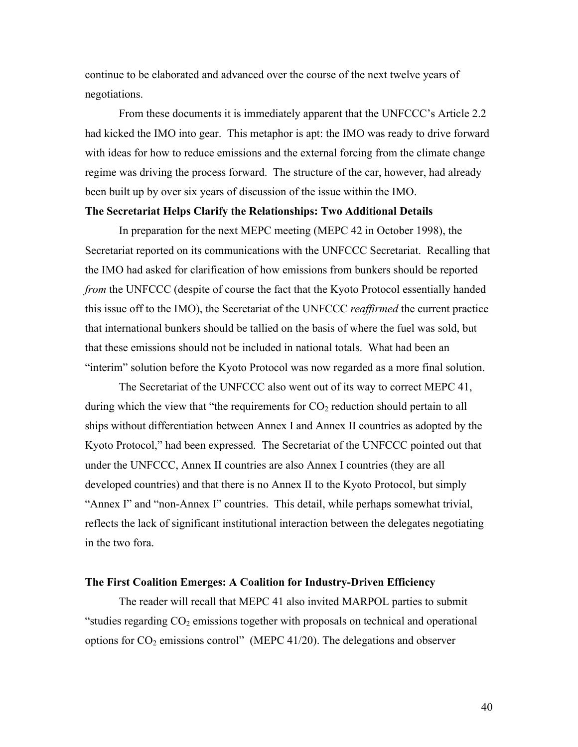continue to be elaborated and advanced over the course of the next twelve years of negotiations.

From these documents it is immediately apparent that the UNFCCC's Article 2.2 had kicked the IMO into gear. This metaphor is apt: the IMO was ready to drive forward with ideas for how to reduce emissions and the external forcing from the climate change regime was driving the process forward. The structure of the car, however, had already been built up by over six years of discussion of the issue within the IMO.

### **The Secretariat Helps Clarify the Relationships: Two Additional Details**

In preparation for the next MEPC meeting (MEPC 42 in October 1998), the Secretariat reported on its communications with the UNFCCC Secretariat. Recalling that the IMO had asked for clarification of how emissions from bunkers should be reported *from* the UNFCCC (despite of course the fact that the Kyoto Protocol essentially handed this issue off to the IMO), the Secretariat of the UNFCCC *reaffirmed* the current practice that international bunkers should be tallied on the basis of where the fuel was sold, but that these emissions should not be included in national totals. What had been an "interim" solution before the Kyoto Protocol was now regarded as a more final solution.

The Secretariat of the UNFCCC also went out of its way to correct MEPC 41, during which the view that "the requirements for  $CO<sub>2</sub>$  reduction should pertain to all ships without differentiation between Annex I and Annex II countries as adopted by the Kyoto Protocol," had been expressed. The Secretariat of the UNFCCC pointed out that under the UNFCCC, Annex II countries are also Annex I countries (they are all developed countries) and that there is no Annex II to the Kyoto Protocol, but simply "Annex I" and "non-Annex I" countries. This detail, while perhaps somewhat trivial, reflects the lack of significant institutional interaction between the delegates negotiating in the two fora.

#### **The First Coalition Emerges: A Coalition for Industry-Driven Efficiency**

The reader will recall that MEPC 41 also invited MARPOL parties to submit "studies regarding  $CO<sub>2</sub>$  emissions together with proposals on technical and operational options for  $CO_2$  emissions control" (MEPC 41/20). The delegations and observer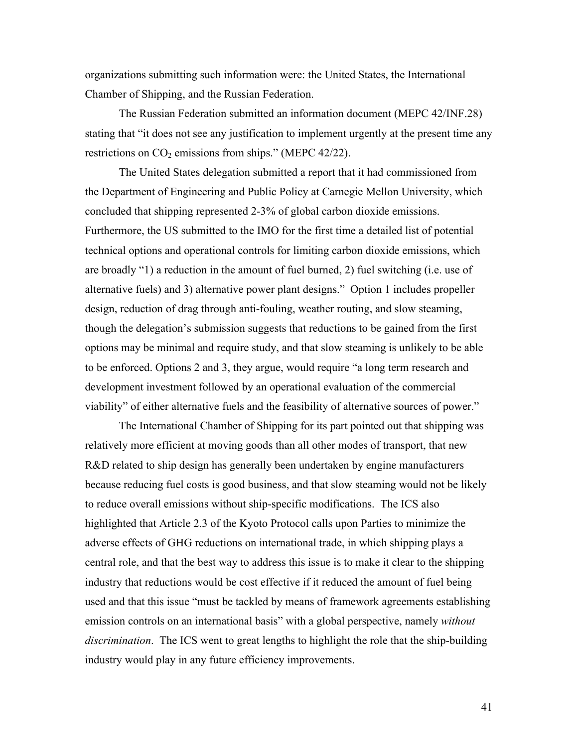organizations submitting such information were: the United States, the International Chamber of Shipping, and the Russian Federation.

The Russian Federation submitted an information document (MEPC 42/INF.28) stating that "it does not see any justification to implement urgently at the present time any restrictions on  $CO<sub>2</sub>$  emissions from ships." (MEPC 42/22).

The United States delegation submitted a report that it had commissioned from the Department of Engineering and Public Policy at Carnegie Mellon University, which concluded that shipping represented 2-3% of global carbon dioxide emissions. Furthermore, the US submitted to the IMO for the first time a detailed list of potential technical options and operational controls for limiting carbon dioxide emissions, which are broadly "1) a reduction in the amount of fuel burned, 2) fuel switching (i.e. use of alternative fuels) and 3) alternative power plant designs." Option 1 includes propeller design, reduction of drag through anti-fouling, weather routing, and slow steaming, though the delegation's submission suggests that reductions to be gained from the first options may be minimal and require study, and that slow steaming is unlikely to be able to be enforced. Options 2 and 3, they argue, would require "a long term research and development investment followed by an operational evaluation of the commercial viability" of either alternative fuels and the feasibility of alternative sources of power."

The International Chamber of Shipping for its part pointed out that shipping was relatively more efficient at moving goods than all other modes of transport, that new R&D related to ship design has generally been undertaken by engine manufacturers because reducing fuel costs is good business, and that slow steaming would not be likely to reduce overall emissions without ship-specific modifications. The ICS also highlighted that Article 2.3 of the Kyoto Protocol calls upon Parties to minimize the adverse effects of GHG reductions on international trade, in which shipping plays a central role, and that the best way to address this issue is to make it clear to the shipping industry that reductions would be cost effective if it reduced the amount of fuel being used and that this issue "must be tackled by means of framework agreements establishing emission controls on an international basis" with a global perspective, namely *without discrimination*. The ICS went to great lengths to highlight the role that the ship-building industry would play in any future efficiency improvements.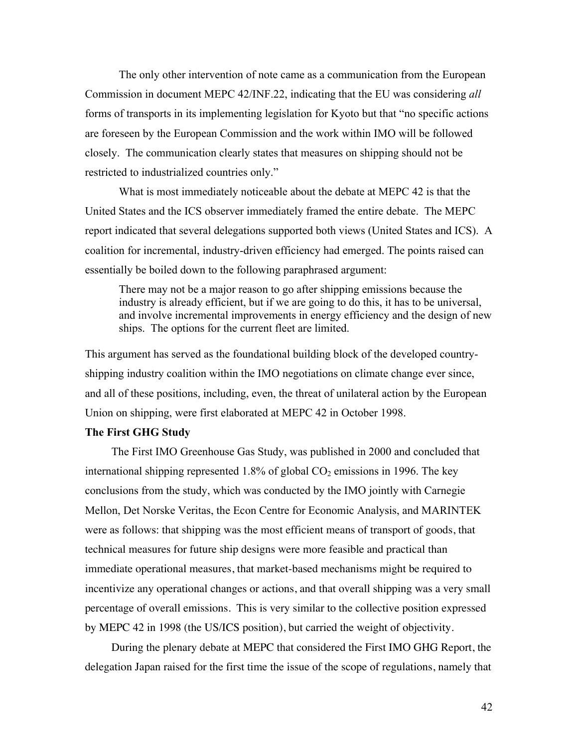The only other intervention of note came as a communication from the European Commission in document MEPC 42/INF.22, indicating that the EU was considering *all* forms of transports in its implementing legislation for Kyoto but that "no specific actions are foreseen by the European Commission and the work within IMO will be followed closely. The communication clearly states that measures on shipping should not be restricted to industrialized countries only."

What is most immediately noticeable about the debate at MEPC 42 is that the United States and the ICS observer immediately framed the entire debate. The MEPC report indicated that several delegations supported both views (United States and ICS). A coalition for incremental, industry-driven efficiency had emerged. The points raised can essentially be boiled down to the following paraphrased argument:

There may not be a major reason to go after shipping emissions because the industry is already efficient, but if we are going to do this, it has to be universal, and involve incremental improvements in energy efficiency and the design of new ships. The options for the current fleet are limited.

This argument has served as the foundational building block of the developed countryshipping industry coalition within the IMO negotiations on climate change ever since, and all of these positions, including, even, the threat of unilateral action by the European Union on shipping, were first elaborated at MEPC 42 in October 1998.

# **The First GHG Study**

The First IMO Greenhouse Gas Study, was published in 2000 and concluded that international shipping represented 1.8% of global  $CO<sub>2</sub>$  emissions in 1996. The key conclusions from the study, which was conducted by the IMO jointly with Carnegie Mellon, Det Norske Veritas, the Econ Centre for Economic Analysis, and MARINTEK were as follows: that shipping was the most efficient means of transport of goods, that technical measures for future ship designs were more feasible and practical than immediate operational measures, that market-based mechanisms might be required to incentivize any operational changes or actions, and that overall shipping was a very small percentage of overall emissions. This is very similar to the collective position expressed by MEPC 42 in 1998 (the US/ICS position), but carried the weight of objectivity.

During the plenary debate at MEPC that considered the First IMO GHG Report, the delegation Japan raised for the first time the issue of the scope of regulations, namely that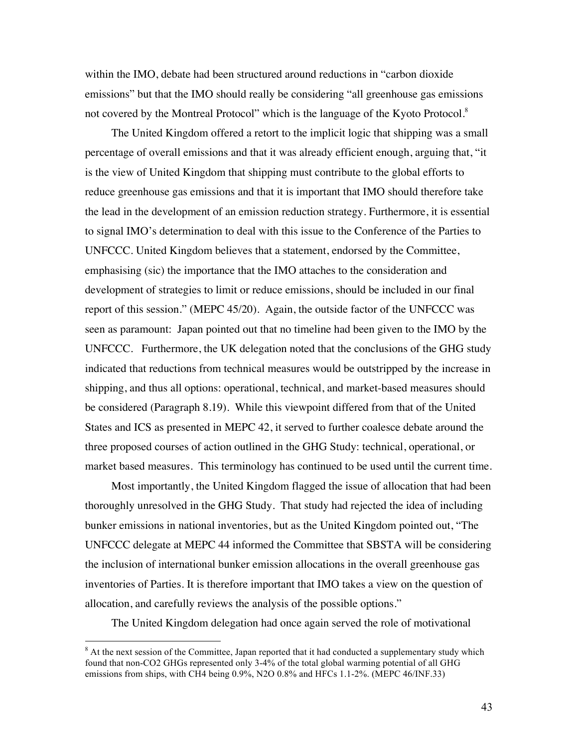within the IMO, debate had been structured around reductions in "carbon dioxide emissions" but that the IMO should really be considering "all greenhouse gas emissions not covered by the Montreal Protocol" which is the language of the Kyoto Protocol.<sup>8</sup>

The United Kingdom offered a retort to the implicit logic that shipping was a small percentage of overall emissions and that it was already efficient enough, arguing that, "it is the view of United Kingdom that shipping must contribute to the global efforts to reduce greenhouse gas emissions and that it is important that IMO should therefore take the lead in the development of an emission reduction strategy. Furthermore, it is essential to signal IMO's determination to deal with this issue to the Conference of the Parties to UNFCCC. United Kingdom believes that a statement, endorsed by the Committee, emphasising (sic) the importance that the IMO attaches to the consideration and development of strategies to limit or reduce emissions, should be included in our final report of this session." (MEPC 45/20). Again, the outside factor of the UNFCCC was seen as paramount: Japan pointed out that no timeline had been given to the IMO by the UNFCCC. Furthermore, the UK delegation noted that the conclusions of the GHG study indicated that reductions from technical measures would be outstripped by the increase in shipping, and thus all options: operational, technical, and market-based measures should be considered (Paragraph 8.19). While this viewpoint differed from that of the United States and ICS as presented in MEPC 42, it served to further coalesce debate around the three proposed courses of action outlined in the GHG Study: technical, operational, or market based measures. This terminology has continued to be used until the current time.

Most importantly, the United Kingdom flagged the issue of allocation that had been thoroughly unresolved in the GHG Study. That study had rejected the idea of including bunker emissions in national inventories, but as the United Kingdom pointed out, "The UNFCCC delegate at MEPC 44 informed the Committee that SBSTA will be considering the inclusion of international bunker emission allocations in the overall greenhouse gas inventories of Parties. It is therefore important that IMO takes a view on the question of allocation, and carefully reviews the analysis of the possible options."

The United Kingdom delegation had once again served the role of motivational

 <sup>8</sup> <sup>8</sup> At the next session of the Committee, Japan reported that it had conducted a supplementary study which found that non-CO2 GHGs represented only 3-4% of the total global warming potential of all GHG emissions from ships, with CH4 being 0.9%, N2O 0.8% and HFCs 1.1-2%. (MEPC 46/INF.33)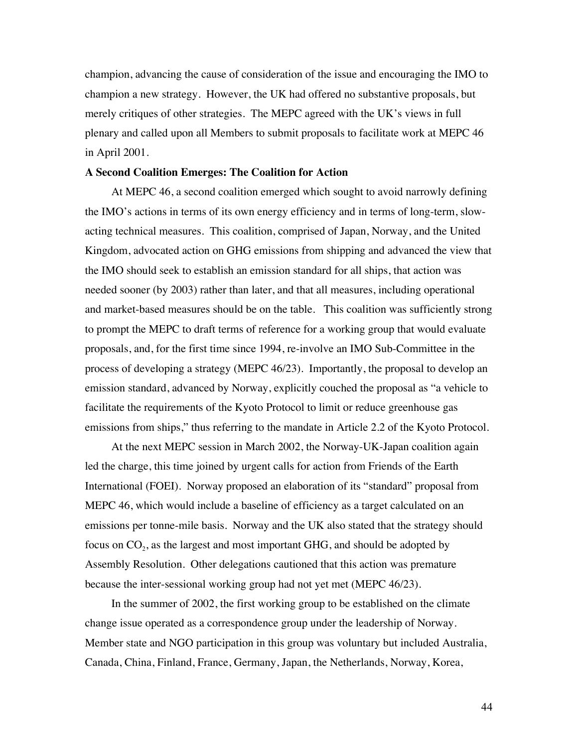champion, advancing the cause of consideration of the issue and encouraging the IMO to champion a new strategy. However, the UK had offered no substantive proposals, but merely critiques of other strategies. The MEPC agreed with the UK's views in full plenary and called upon all Members to submit proposals to facilitate work at MEPC 46 in April 2001.

### **A Second Coalition Emerges: The Coalition for Action**

At MEPC 46, a second coalition emerged which sought to avoid narrowly defining the IMO's actions in terms of its own energy efficiency and in terms of long-term, slowacting technical measures. This coalition, comprised of Japan, Norway, and the United Kingdom, advocated action on GHG emissions from shipping and advanced the view that the IMO should seek to establish an emission standard for all ships, that action was needed sooner (by 2003) rather than later, and that all measures, including operational and market-based measures should be on the table. This coalition was sufficiently strong to prompt the MEPC to draft terms of reference for a working group that would evaluate proposals, and, for the first time since 1994, re-involve an IMO Sub-Committee in the process of developing a strategy (MEPC 46/23). Importantly, the proposal to develop an emission standard, advanced by Norway, explicitly couched the proposal as "a vehicle to facilitate the requirements of the Kyoto Protocol to limit or reduce greenhouse gas emissions from ships," thus referring to the mandate in Article 2.2 of the Kyoto Protocol.

At the next MEPC session in March 2002, the Norway-UK-Japan coalition again led the charge, this time joined by urgent calls for action from Friends of the Earth International (FOEI). Norway proposed an elaboration of its "standard" proposal from MEPC 46, which would include a baseline of efficiency as a target calculated on an emissions per tonne-mile basis. Norway and the UK also stated that the strategy should focus on  $CO<sub>2</sub>$ , as the largest and most important GHG, and should be adopted by Assembly Resolution. Other delegations cautioned that this action was premature because the inter-sessional working group had not yet met (MEPC 46/23).

In the summer of 2002, the first working group to be established on the climate change issue operated as a correspondence group under the leadership of Norway. Member state and NGO participation in this group was voluntary but included Australia, Canada, China, Finland, France, Germany, Japan, the Netherlands, Norway, Korea,

44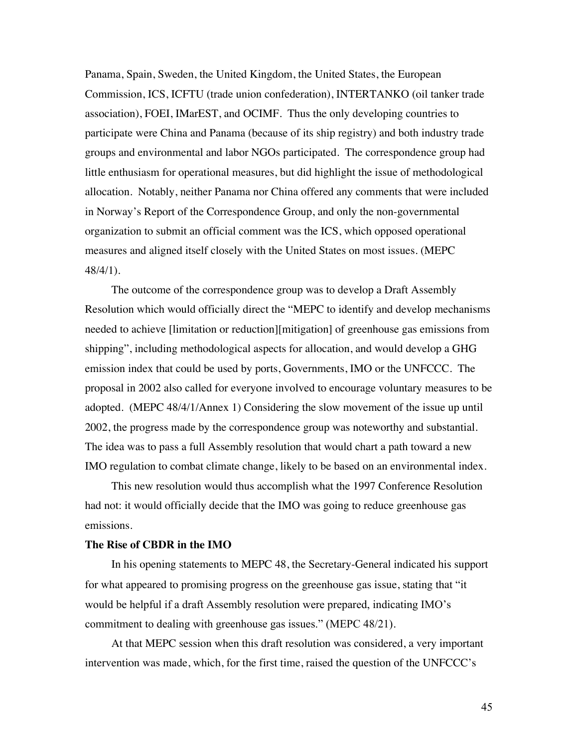Panama, Spain, Sweden, the United Kingdom, the United States, the European Commission, ICS, ICFTU (trade union confederation), INTERTANKO (oil tanker trade association), FOEI, IMarEST, and OCIMF. Thus the only developing countries to participate were China and Panama (because of its ship registry) and both industry trade groups and environmental and labor NGOs participated. The correspondence group had little enthusiasm for operational measures, but did highlight the issue of methodological allocation. Notably, neither Panama nor China offered any comments that were included in Norway's Report of the Correspondence Group, and only the non-governmental organization to submit an official comment was the ICS, which opposed operational measures and aligned itself closely with the United States on most issues. (MEPC 48/4/1).

The outcome of the correspondence group was to develop a Draft Assembly Resolution which would officially direct the "MEPC to identify and develop mechanisms needed to achieve [limitation or reduction][mitigation] of greenhouse gas emissions from shipping", including methodological aspects for allocation, and would develop a GHG emission index that could be used by ports, Governments, IMO or the UNFCCC. The proposal in 2002 also called for everyone involved to encourage voluntary measures to be adopted. (MEPC 48/4/1/Annex 1) Considering the slow movement of the issue up until 2002, the progress made by the correspondence group was noteworthy and substantial. The idea was to pass a full Assembly resolution that would chart a path toward a new IMO regulation to combat climate change, likely to be based on an environmental index.

This new resolution would thus accomplish what the 1997 Conference Resolution had not: it would officially decide that the IMO was going to reduce greenhouse gas emissions.

### **The Rise of CBDR in the IMO**

In his opening statements to MEPC 48, the Secretary-General indicated his support for what appeared to promising progress on the greenhouse gas issue, stating that "it would be helpful if a draft Assembly resolution were prepared, indicating IMO's commitment to dealing with greenhouse gas issues." (MEPC 48/21).

At that MEPC session when this draft resolution was considered, a very important intervention was made, which, for the first time, raised the question of the UNFCCC's

45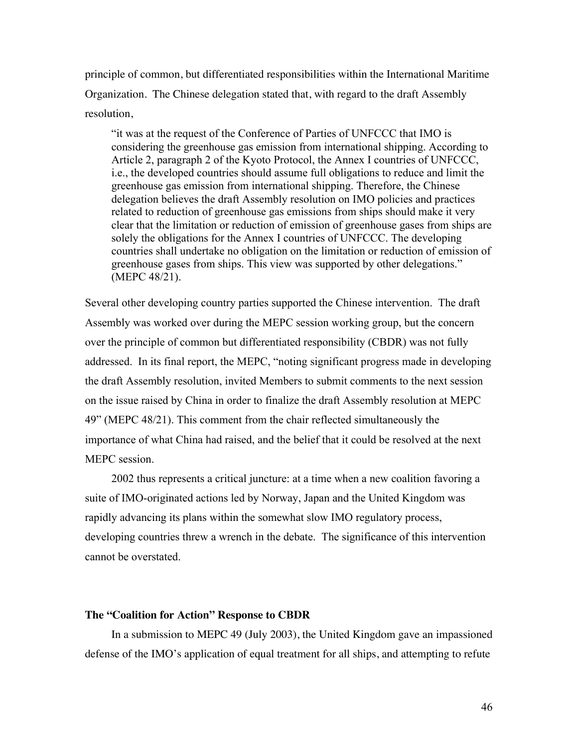principle of common, but differentiated responsibilities within the International Maritime Organization. The Chinese delegation stated that, with regard to the draft Assembly resolution,

"it was at the request of the Conference of Parties of UNFCCC that IMO is considering the greenhouse gas emission from international shipping. According to Article 2, paragraph 2 of the Kyoto Protocol, the Annex I countries of UNFCCC, i.e., the developed countries should assume full obligations to reduce and limit the greenhouse gas emission from international shipping. Therefore, the Chinese delegation believes the draft Assembly resolution on IMO policies and practices related to reduction of greenhouse gas emissions from ships should make it very clear that the limitation or reduction of emission of greenhouse gases from ships are solely the obligations for the Annex I countries of UNFCCC. The developing countries shall undertake no obligation on the limitation or reduction of emission of greenhouse gases from ships. This view was supported by other delegations." (MEPC 48/21).

Several other developing country parties supported the Chinese intervention. The draft Assembly was worked over during the MEPC session working group, but the concern over the principle of common but differentiated responsibility (CBDR) was not fully addressed. In its final report, the MEPC, "noting significant progress made in developing the draft Assembly resolution, invited Members to submit comments to the next session on the issue raised by China in order to finalize the draft Assembly resolution at MEPC 49" (MEPC 48/21). This comment from the chair reflected simultaneously the importance of what China had raised, and the belief that it could be resolved at the next MEPC session.

2002 thus represents a critical juncture: at a time when a new coalition favoring a suite of IMO-originated actions led by Norway, Japan and the United Kingdom was rapidly advancing its plans within the somewhat slow IMO regulatory process, developing countries threw a wrench in the debate. The significance of this intervention cannot be overstated.

# **The "Coalition for Action" Response to CBDR**

In a submission to MEPC 49 (July 2003), the United Kingdom gave an impassioned defense of the IMO's application of equal treatment for all ships, and attempting to refute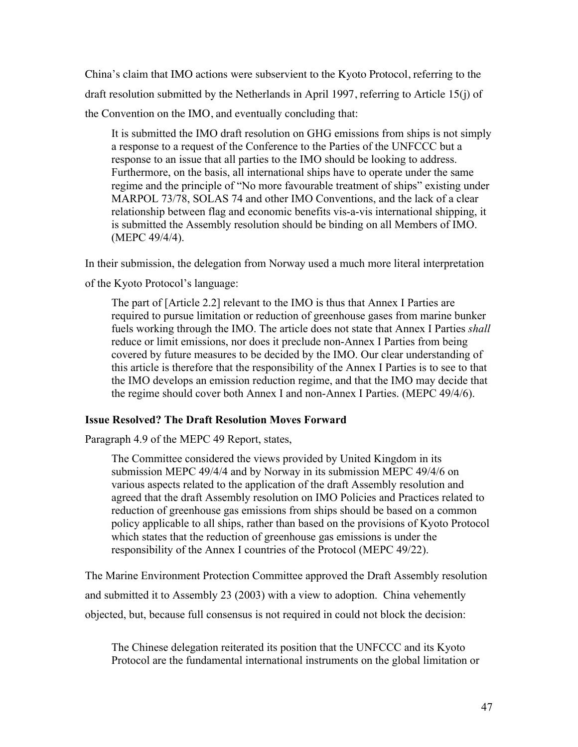China's claim that IMO actions were subservient to the Kyoto Protocol, referring to the draft resolution submitted by the Netherlands in April 1997, referring to Article 15(j) of the Convention on the IMO, and eventually concluding that:

It is submitted the IMO draft resolution on GHG emissions from ships is not simply a response to a request of the Conference to the Parties of the UNFCCC but a response to an issue that all parties to the IMO should be looking to address. Furthermore, on the basis, all international ships have to operate under the same regime and the principle of "No more favourable treatment of ships" existing under MARPOL 73/78, SOLAS 74 and other IMO Conventions, and the lack of a clear relationship between flag and economic benefits vis-a-vis international shipping, it is submitted the Assembly resolution should be binding on all Members of IMO. (MEPC 49/4/4).

In their submission, the delegation from Norway used a much more literal interpretation

of the Kyoto Protocol's language:

The part of [Article 2.2] relevant to the IMO is thus that Annex I Parties are required to pursue limitation or reduction of greenhouse gases from marine bunker fuels working through the IMO. The article does not state that Annex I Parties *shall*  reduce or limit emissions, nor does it preclude non-Annex I Parties from being covered by future measures to be decided by the IMO. Our clear understanding of this article is therefore that the responsibility of the Annex I Parties is to see to that the IMO develops an emission reduction regime, and that the IMO may decide that the regime should cover both Annex I and non-Annex I Parties. (MEPC 49/4/6).

# **Issue Resolved? The Draft Resolution Moves Forward**

Paragraph 4.9 of the MEPC 49 Report, states,

The Committee considered the views provided by United Kingdom in its submission MEPC 49/4/4 and by Norway in its submission MEPC 49/4/6 on various aspects related to the application of the draft Assembly resolution and agreed that the draft Assembly resolution on IMO Policies and Practices related to reduction of greenhouse gas emissions from ships should be based on a common policy applicable to all ships, rather than based on the provisions of Kyoto Protocol which states that the reduction of greenhouse gas emissions is under the responsibility of the Annex I countries of the Protocol (MEPC 49/22).

The Marine Environment Protection Committee approved the Draft Assembly resolution and submitted it to Assembly 23 (2003) with a view to adoption. China vehemently objected, but, because full consensus is not required in could not block the decision:

The Chinese delegation reiterated its position that the UNFCCC and its Kyoto Protocol are the fundamental international instruments on the global limitation or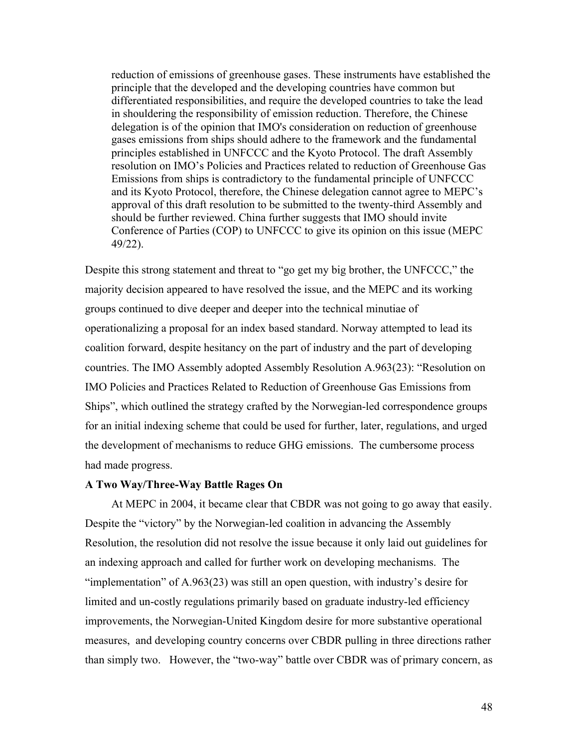reduction of emissions of greenhouse gases. These instruments have established the principle that the developed and the developing countries have common but differentiated responsibilities, and require the developed countries to take the lead in shouldering the responsibility of emission reduction. Therefore, the Chinese delegation is of the opinion that IMO's consideration on reduction of greenhouse gases emissions from ships should adhere to the framework and the fundamental principles established in UNFCCC and the Kyoto Protocol. The draft Assembly resolution on IMO's Policies and Practices related to reduction of Greenhouse Gas Emissions from ships is contradictory to the fundamental principle of UNFCCC and its Kyoto Protocol, therefore, the Chinese delegation cannot agree to MEPC's approval of this draft resolution to be submitted to the twenty-third Assembly and should be further reviewed. China further suggests that IMO should invite Conference of Parties (COP) to UNFCCC to give its opinion on this issue (MEPC 49/22).

Despite this strong statement and threat to "go get my big brother, the UNFCCC," the majority decision appeared to have resolved the issue, and the MEPC and its working groups continued to dive deeper and deeper into the technical minutiae of operationalizing a proposal for an index based standard. Norway attempted to lead its coalition forward, despite hesitancy on the part of industry and the part of developing countries. The IMO Assembly adopted Assembly Resolution A.963(23): "Resolution on IMO Policies and Practices Related to Reduction of Greenhouse Gas Emissions from Ships", which outlined the strategy crafted by the Norwegian-led correspondence groups for an initial indexing scheme that could be used for further, later, regulations, and urged the development of mechanisms to reduce GHG emissions. The cumbersome process had made progress.

### **A Two Way/Three-Way Battle Rages On**

At MEPC in 2004, it became clear that CBDR was not going to go away that easily. Despite the "victory" by the Norwegian-led coalition in advancing the Assembly Resolution, the resolution did not resolve the issue because it only laid out guidelines for an indexing approach and called for further work on developing mechanisms. The "implementation" of A.963(23) was still an open question, with industry's desire for limited and un-costly regulations primarily based on graduate industry-led efficiency improvements, the Norwegian-United Kingdom desire for more substantive operational measures, and developing country concerns over CBDR pulling in three directions rather than simply two. However, the "two-way" battle over CBDR was of primary concern, as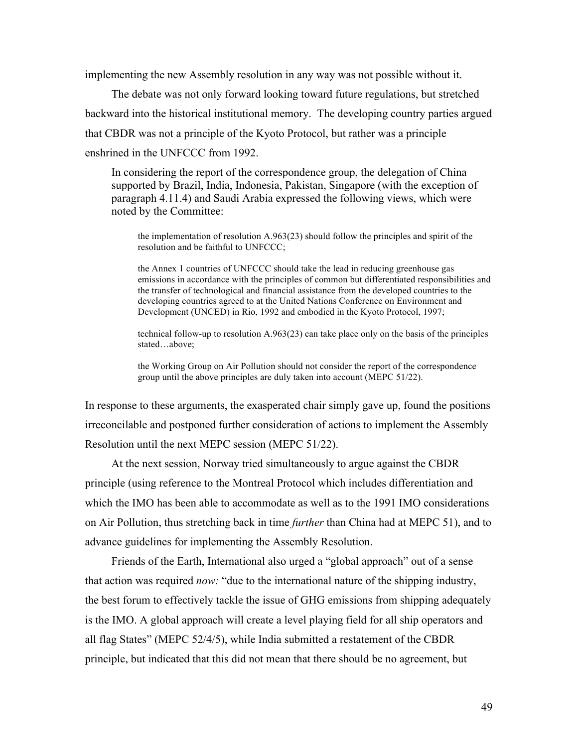implementing the new Assembly resolution in any way was not possible without it.

The debate was not only forward looking toward future regulations, but stretched backward into the historical institutional memory. The developing country parties argued that CBDR was not a principle of the Kyoto Protocol, but rather was a principle enshrined in the UNFCCC from 1992.

In considering the report of the correspondence group, the delegation of China supported by Brazil, India, Indonesia, Pakistan, Singapore (with the exception of paragraph 4.11.4) and Saudi Arabia expressed the following views, which were noted by the Committee:

the implementation of resolution A.963(23) should follow the principles and spirit of the resolution and be faithful to UNFCCC;

the Annex 1 countries of UNFCCC should take the lead in reducing greenhouse gas emissions in accordance with the principles of common but differentiated responsibilities and the transfer of technological and financial assistance from the developed countries to the developing countries agreed to at the United Nations Conference on Environment and Development (UNCED) in Rio, 1992 and embodied in the Kyoto Protocol, 1997;

technical follow-up to resolution A.963(23) can take place only on the basis of the principles stated…above;

the Working Group on Air Pollution should not consider the report of the correspondence group until the above principles are duly taken into account (MEPC 51/22).

In response to these arguments, the exasperated chair simply gave up, found the positions irreconcilable and postponed further consideration of actions to implement the Assembly Resolution until the next MEPC session (MEPC 51/22).

At the next session, Norway tried simultaneously to argue against the CBDR principle (using reference to the Montreal Protocol which includes differentiation and which the IMO has been able to accommodate as well as to the 1991 IMO considerations on Air Pollution, thus stretching back in time *further* than China had at MEPC 51), and to advance guidelines for implementing the Assembly Resolution.

Friends of the Earth, International also urged a "global approach" out of a sense that action was required *now:* "due to the international nature of the shipping industry, the best forum to effectively tackle the issue of GHG emissions from shipping adequately is the IMO. A global approach will create a level playing field for all ship operators and all flag States" (MEPC 52/4/5), while India submitted a restatement of the CBDR principle, but indicated that this did not mean that there should be no agreement, but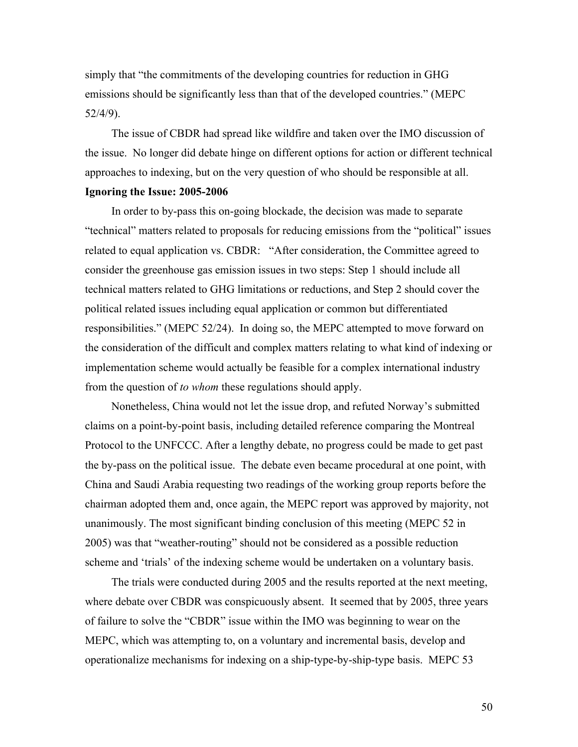simply that "the commitments of the developing countries for reduction in GHG emissions should be significantly less than that of the developed countries." (MEPC 52/4/9).

The issue of CBDR had spread like wildfire and taken over the IMO discussion of the issue. No longer did debate hinge on different options for action or different technical approaches to indexing, but on the very question of who should be responsible at all. **Ignoring the Issue: 2005-2006**

In order to by-pass this on-going blockade, the decision was made to separate "technical" matters related to proposals for reducing emissions from the "political" issues related to equal application vs. CBDR: "After consideration, the Committee agreed to consider the greenhouse gas emission issues in two steps: Step 1 should include all technical matters related to GHG limitations or reductions, and Step 2 should cover the political related issues including equal application or common but differentiated responsibilities." (MEPC 52/24). In doing so, the MEPC attempted to move forward on the consideration of the difficult and complex matters relating to what kind of indexing or implementation scheme would actually be feasible for a complex international industry from the question of *to whom* these regulations should apply.

Nonetheless, China would not let the issue drop, and refuted Norway's submitted claims on a point-by-point basis, including detailed reference comparing the Montreal Protocol to the UNFCCC. After a lengthy debate, no progress could be made to get past the by-pass on the political issue. The debate even became procedural at one point, with China and Saudi Arabia requesting two readings of the working group reports before the chairman adopted them and, once again, the MEPC report was approved by majority, not unanimously. The most significant binding conclusion of this meeting (MEPC 52 in 2005) was that "weather-routing" should not be considered as a possible reduction scheme and 'trials' of the indexing scheme would be undertaken on a voluntary basis.

The trials were conducted during 2005 and the results reported at the next meeting, where debate over CBDR was conspicuously absent. It seemed that by 2005, three years of failure to solve the "CBDR" issue within the IMO was beginning to wear on the MEPC, which was attempting to, on a voluntary and incremental basis, develop and operationalize mechanisms for indexing on a ship-type-by-ship-type basis. MEPC 53

50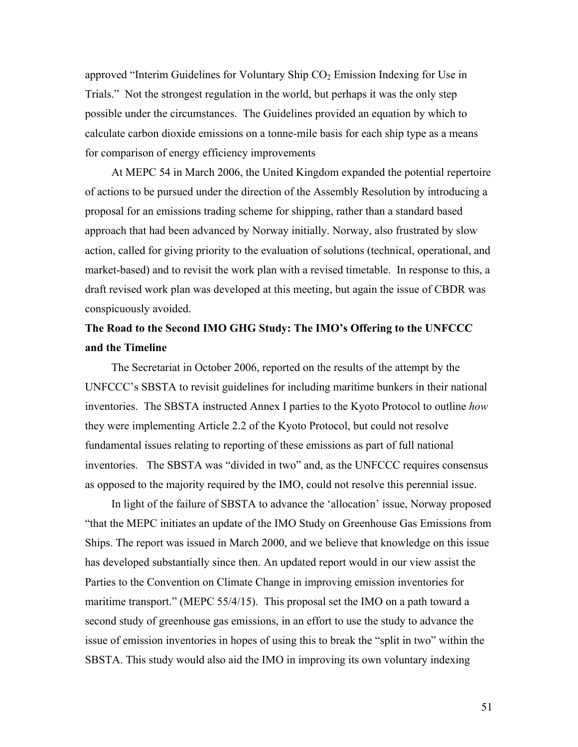approved "Interim Guidelines for Voluntary Ship  $CO<sub>2</sub>$  Emission Indexing for Use in Trials." Not the strongest regulation in the world, but perhaps it was the only step possible under the circumstances. The Guidelines provided an equation by which to calculate carbon dioxide emissions on a tonne-mile basis for each ship type as a means for comparison of energy efficiency improvements

At MEPC 54 in March 2006, the United Kingdom expanded the potential repertoire of actions to be pursued under the direction of the Assembly Resolution by introducing a proposal for an emissions trading scheme for shipping, rather than a standard based approach that had been advanced by Norway initially. Norway, also frustrated by slow action, called for giving priority to the evaluation of solutions (technical, operational, and market-based) and to revisit the work plan with a revised timetable. In response to this, a draft revised work plan was developed at this meeting, but again the issue of CBDR was conspicuously avoided.

# **The Road to the Second IMO GHG Study: The IMO's Offering to the UNFCCC and the Timeline**

The Secretariat in October 2006, reported on the results of the attempt by the UNFCCC's SBSTA to revisit guidelines for including maritime bunkers in their national inventories. The SBSTA instructed Annex I parties to the Kyoto Protocol to outline *how* they were implementing Article 2.2 of the Kyoto Protocol, but could not resolve fundamental issues relating to reporting of these emissions as part of full national inventories. The SBSTA was "divided in two" and, as the UNFCCC requires consensus as opposed to the majority required by the IMO, could not resolve this perennial issue.

In light of the failure of SBSTA to advance the 'allocation' issue, Norway proposed "that the MEPC initiates an update of the IMO Study on Greenhouse Gas Emissions from Ships. The report was issued in March 2000, and we believe that knowledge on this issue has developed substantially since then. An updated report would in our view assist the Parties to the Convention on Climate Change in improving emission inventories for maritime transport." (MEPC 55/4/15). This proposal set the IMO on a path toward a second study of greenhouse gas emissions, in an effort to use the study to advance the issue of emission inventories in hopes of using this to break the "split in two" within the SBSTA. This study would also aid the IMO in improving its own voluntary indexing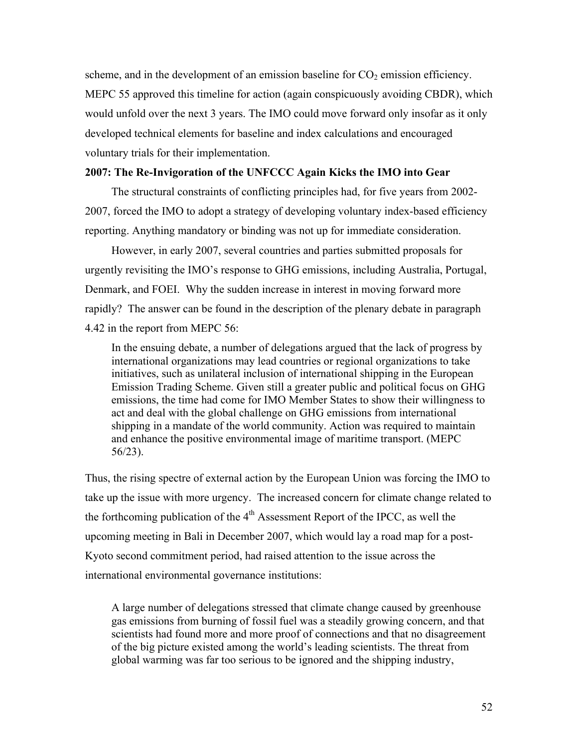scheme, and in the development of an emission baseline for  $CO<sub>2</sub>$  emission efficiency. MEPC 55 approved this timeline for action (again conspicuously avoiding CBDR), which would unfold over the next 3 years. The IMO could move forward only insofar as it only developed technical elements for baseline and index calculations and encouraged voluntary trials for their implementation.

# **2007: The Re-Invigoration of the UNFCCC Again Kicks the IMO into Gear**

The structural constraints of conflicting principles had, for five years from 2002- 2007, forced the IMO to adopt a strategy of developing voluntary index-based efficiency reporting. Anything mandatory or binding was not up for immediate consideration.

However, in early 2007, several countries and parties submitted proposals for urgently revisiting the IMO's response to GHG emissions, including Australia, Portugal, Denmark, and FOEI. Why the sudden increase in interest in moving forward more rapidly? The answer can be found in the description of the plenary debate in paragraph 4.42 in the report from MEPC 56:

In the ensuing debate, a number of delegations argued that the lack of progress by international organizations may lead countries or regional organizations to take initiatives, such as unilateral inclusion of international shipping in the European Emission Trading Scheme. Given still a greater public and political focus on GHG emissions, the time had come for IMO Member States to show their willingness to act and deal with the global challenge on GHG emissions from international shipping in a mandate of the world community. Action was required to maintain and enhance the positive environmental image of maritime transport. (MEPC 56/23).

Thus, the rising spectre of external action by the European Union was forcing the IMO to take up the issue with more urgency. The increased concern for climate change related to the forthcoming publication of the  $4<sup>th</sup>$  Assessment Report of the IPCC, as well the upcoming meeting in Bali in December 2007, which would lay a road map for a post-Kyoto second commitment period, had raised attention to the issue across the international environmental governance institutions:

A large number of delegations stressed that climate change caused by greenhouse gas emissions from burning of fossil fuel was a steadily growing concern, and that scientists had found more and more proof of connections and that no disagreement of the big picture existed among the world's leading scientists. The threat from global warming was far too serious to be ignored and the shipping industry,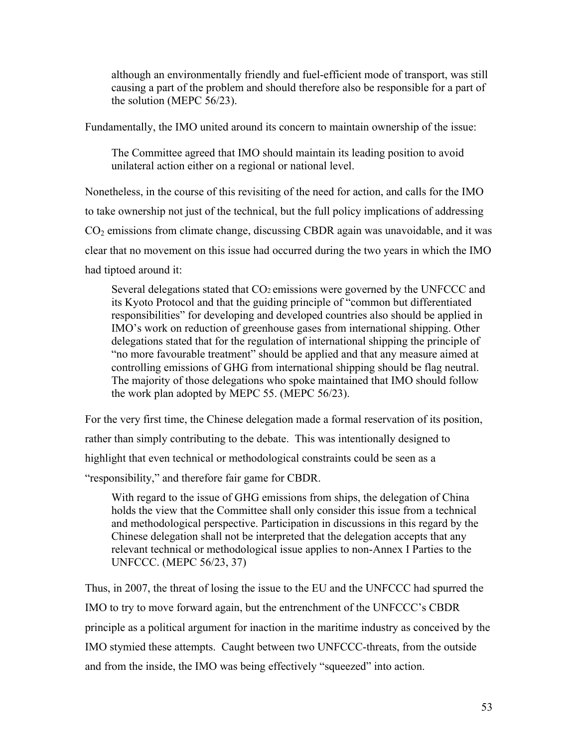although an environmentally friendly and fuel-efficient mode of transport, was still causing a part of the problem and should therefore also be responsible for a part of the solution (MEPC 56/23).

Fundamentally, the IMO united around its concern to maintain ownership of the issue:

The Committee agreed that IMO should maintain its leading position to avoid unilateral action either on a regional or national level.

Nonetheless, in the course of this revisiting of the need for action, and calls for the IMO to take ownership not just of the technical, but the full policy implications of addressing  $CO<sub>2</sub>$  emissions from climate change, discussing CBDR again was unavoidable, and it was clear that no movement on this issue had occurred during the two years in which the IMO had tiptoed around it:

Several delegations stated that CO2 emissions were governed by the UNFCCC and its Kyoto Protocol and that the guiding principle of "common but differentiated responsibilities" for developing and developed countries also should be applied in IMO's work on reduction of greenhouse gases from international shipping. Other delegations stated that for the regulation of international shipping the principle of "no more favourable treatment" should be applied and that any measure aimed at controlling emissions of GHG from international shipping should be flag neutral. The majority of those delegations who spoke maintained that IMO should follow the work plan adopted by MEPC 55. (MEPC 56/23).

For the very first time, the Chinese delegation made a formal reservation of its position, rather than simply contributing to the debate. This was intentionally designed to highlight that even technical or methodological constraints could be seen as a "responsibility," and therefore fair game for CBDR.

With regard to the issue of GHG emissions from ships, the delegation of China holds the view that the Committee shall only consider this issue from a technical and methodological perspective. Participation in discussions in this regard by the Chinese delegation shall not be interpreted that the delegation accepts that any relevant technical or methodological issue applies to non-Annex I Parties to the UNFCCC. (MEPC 56/23, 37)

Thus, in 2007, the threat of losing the issue to the EU and the UNFCCC had spurred the IMO to try to move forward again, but the entrenchment of the UNFCCC's CBDR principle as a political argument for inaction in the maritime industry as conceived by the IMO stymied these attempts. Caught between two UNFCCC-threats, from the outside and from the inside, the IMO was being effectively "squeezed" into action.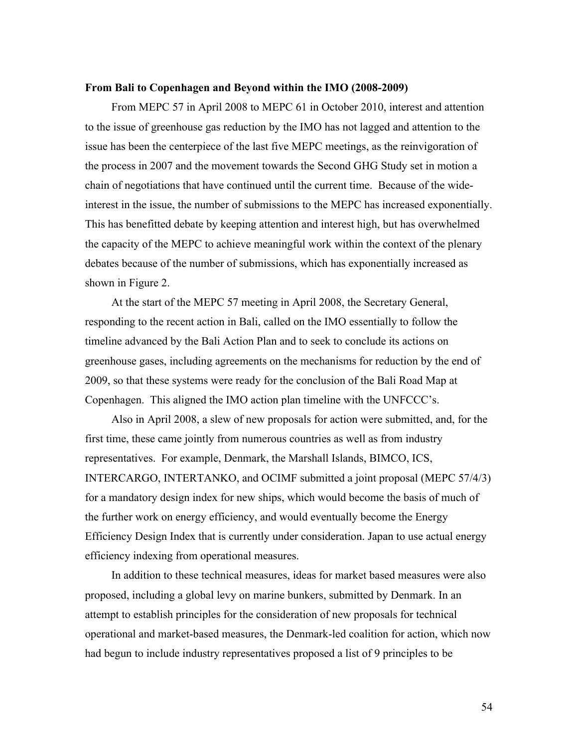### **From Bali to Copenhagen and Beyond within the IMO (2008-2009)**

From MEPC 57 in April 2008 to MEPC 61 in October 2010, interest and attention to the issue of greenhouse gas reduction by the IMO has not lagged and attention to the issue has been the centerpiece of the last five MEPC meetings, as the reinvigoration of the process in 2007 and the movement towards the Second GHG Study set in motion a chain of negotiations that have continued until the current time. Because of the wideinterest in the issue, the number of submissions to the MEPC has increased exponentially. This has benefitted debate by keeping attention and interest high, but has overwhelmed the capacity of the MEPC to achieve meaningful work within the context of the plenary debates because of the number of submissions, which has exponentially increased as shown in Figure 2.

At the start of the MEPC 57 meeting in April 2008, the Secretary General, responding to the recent action in Bali, called on the IMO essentially to follow the timeline advanced by the Bali Action Plan and to seek to conclude its actions on greenhouse gases, including agreements on the mechanisms for reduction by the end of 2009, so that these systems were ready for the conclusion of the Bali Road Map at Copenhagen. This aligned the IMO action plan timeline with the UNFCCC's.

Also in April 2008, a slew of new proposals for action were submitted, and, for the first time, these came jointly from numerous countries as well as from industry representatives. For example, Denmark, the Marshall Islands, BIMCO, ICS, INTERCARGO, INTERTANKO, and OCIMF submitted a joint proposal (MEPC 57/4/3) for a mandatory design index for new ships, which would become the basis of much of the further work on energy efficiency, and would eventually become the Energy Efficiency Design Index that is currently under consideration. Japan to use actual energy efficiency indexing from operational measures.

In addition to these technical measures, ideas for market based measures were also proposed, including a global levy on marine bunkers, submitted by Denmark. In an attempt to establish principles for the consideration of new proposals for technical operational and market-based measures, the Denmark-led coalition for action, which now had begun to include industry representatives proposed a list of 9 principles to be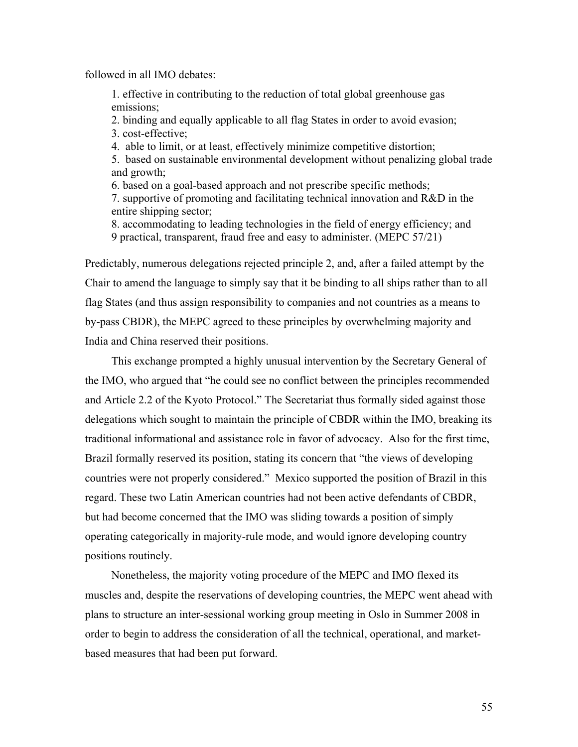followed in all IMO debates:

1. effective in contributing to the reduction of total global greenhouse gas emissions;

2. binding and equally applicable to all flag States in order to avoid evasion; 3. cost-effective;

4. able to limit, or at least, effectively minimize competitive distortion;

5. based on sustainable environmental development without penalizing global trade and growth;

6. based on a goal-based approach and not prescribe specific methods;

7. supportive of promoting and facilitating technical innovation and R&D in the entire shipping sector;

8. accommodating to leading technologies in the field of energy efficiency; and 9 practical, transparent, fraud free and easy to administer. (MEPC 57/21)

Predictably, numerous delegations rejected principle 2, and, after a failed attempt by the Chair to amend the language to simply say that it be binding to all ships rather than to all flag States (and thus assign responsibility to companies and not countries as a means to by-pass CBDR), the MEPC agreed to these principles by overwhelming majority and India and China reserved their positions.

This exchange prompted a highly unusual intervention by the Secretary General of the IMO, who argued that "he could see no conflict between the principles recommended and Article 2.2 of the Kyoto Protocol." The Secretariat thus formally sided against those delegations which sought to maintain the principle of CBDR within the IMO, breaking its traditional informational and assistance role in favor of advocacy. Also for the first time, Brazil formally reserved its position, stating its concern that "the views of developing countries were not properly considered." Mexico supported the position of Brazil in this regard. These two Latin American countries had not been active defendants of CBDR, but had become concerned that the IMO was sliding towards a position of simply operating categorically in majority-rule mode, and would ignore developing country positions routinely.

Nonetheless, the majority voting procedure of the MEPC and IMO flexed its muscles and, despite the reservations of developing countries, the MEPC went ahead with plans to structure an inter-sessional working group meeting in Oslo in Summer 2008 in order to begin to address the consideration of all the technical, operational, and marketbased measures that had been put forward.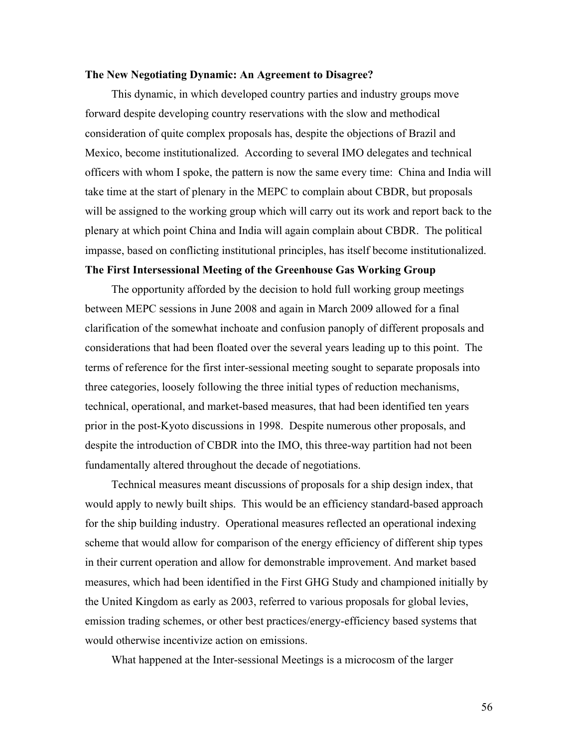### **The New Negotiating Dynamic: An Agreement to Disagree?**

This dynamic, in which developed country parties and industry groups move forward despite developing country reservations with the slow and methodical consideration of quite complex proposals has, despite the objections of Brazil and Mexico, become institutionalized. According to several IMO delegates and technical officers with whom I spoke, the pattern is now the same every time: China and India will take time at the start of plenary in the MEPC to complain about CBDR, but proposals will be assigned to the working group which will carry out its work and report back to the plenary at which point China and India will again complain about CBDR. The political impasse, based on conflicting institutional principles, has itself become institutionalized.

# **The First Intersessional Meeting of the Greenhouse Gas Working Group**

The opportunity afforded by the decision to hold full working group meetings between MEPC sessions in June 2008 and again in March 2009 allowed for a final clarification of the somewhat inchoate and confusion panoply of different proposals and considerations that had been floated over the several years leading up to this point. The terms of reference for the first inter-sessional meeting sought to separate proposals into three categories, loosely following the three initial types of reduction mechanisms, technical, operational, and market-based measures, that had been identified ten years prior in the post-Kyoto discussions in 1998. Despite numerous other proposals, and despite the introduction of CBDR into the IMO, this three-way partition had not been fundamentally altered throughout the decade of negotiations.

Technical measures meant discussions of proposals for a ship design index, that would apply to newly built ships. This would be an efficiency standard-based approach for the ship building industry. Operational measures reflected an operational indexing scheme that would allow for comparison of the energy efficiency of different ship types in their current operation and allow for demonstrable improvement. And market based measures, which had been identified in the First GHG Study and championed initially by the United Kingdom as early as 2003, referred to various proposals for global levies, emission trading schemes, or other best practices/energy-efficiency based systems that would otherwise incentivize action on emissions.

What happened at the Inter-sessional Meetings is a microcosm of the larger

56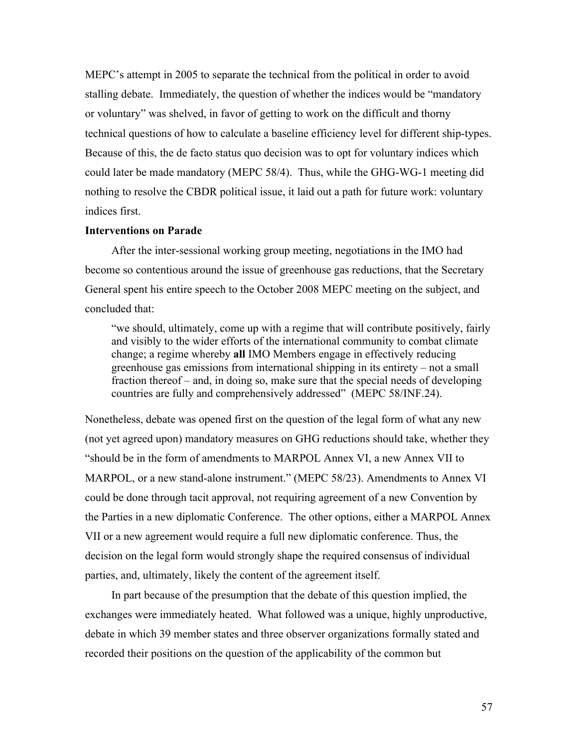MEPC's attempt in 2005 to separate the technical from the political in order to avoid stalling debate. Immediately, the question of whether the indices would be "mandatory or voluntary" was shelved, in favor of getting to work on the difficult and thorny technical questions of how to calculate a baseline efficiency level for different ship-types. Because of this, the de facto status quo decision was to opt for voluntary indices which could later be made mandatory (MEPC 58/4). Thus, while the GHG-WG-1 meeting did nothing to resolve the CBDR political issue, it laid out a path for future work: voluntary indices first.

### **Interventions on Parade**

After the inter-sessional working group meeting, negotiations in the IMO had become so contentious around the issue of greenhouse gas reductions, that the Secretary General spent his entire speech to the October 2008 MEPC meeting on the subject, and concluded that:

"we should, ultimately, come up with a regime that will contribute positively, fairly and visibly to the wider efforts of the international community to combat climate change; a regime whereby **all** IMO Members engage in effectively reducing greenhouse gas emissions from international shipping in its entirety – not a small fraction thereof – and, in doing so, make sure that the special needs of developing countries are fully and comprehensively addressed" (MEPC 58/INF.24).

Nonetheless, debate was opened first on the question of the legal form of what any new (not yet agreed upon) mandatory measures on GHG reductions should take, whether they "should be in the form of amendments to MARPOL Annex VI, a new Annex VII to MARPOL, or a new stand-alone instrument." (MEPC 58/23). Amendments to Annex VI could be done through tacit approval, not requiring agreement of a new Convention by the Parties in a new diplomatic Conference. The other options, either a MARPOL Annex VII or a new agreement would require a full new diplomatic conference. Thus, the decision on the legal form would strongly shape the required consensus of individual parties, and, ultimately, likely the content of the agreement itself.

In part because of the presumption that the debate of this question implied, the exchanges were immediately heated. What followed was a unique, highly unproductive, debate in which 39 member states and three observer organizations formally stated and recorded their positions on the question of the applicability of the common but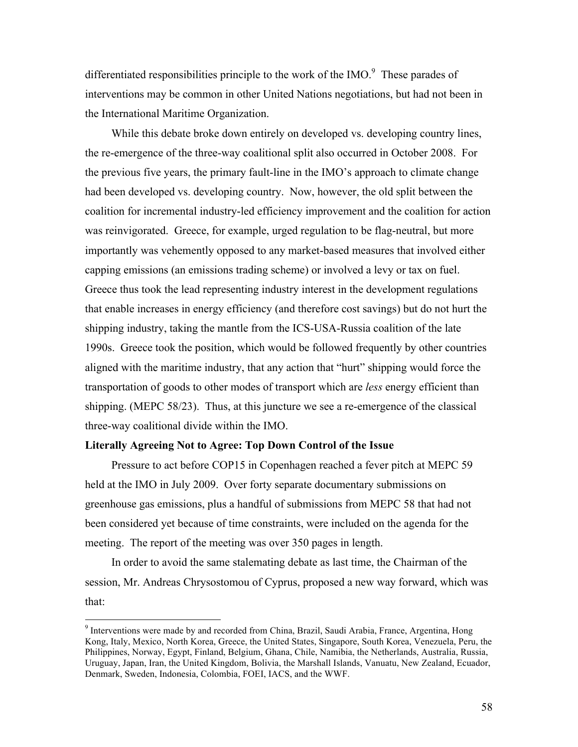differentiated responsibilities principle to the work of the IMO. $\degree$  These parades of interventions may be common in other United Nations negotiations, but had not been in the International Maritime Organization.

While this debate broke down entirely on developed vs. developing country lines, the re-emergence of the three-way coalitional split also occurred in October 2008. For the previous five years, the primary fault-line in the IMO's approach to climate change had been developed vs. developing country. Now, however, the old split between the coalition for incremental industry-led efficiency improvement and the coalition for action was reinvigorated. Greece, for example, urged regulation to be flag-neutral, but more importantly was vehemently opposed to any market-based measures that involved either capping emissions (an emissions trading scheme) or involved a levy or tax on fuel. Greece thus took the lead representing industry interest in the development regulations that enable increases in energy efficiency (and therefore cost savings) but do not hurt the shipping industry, taking the mantle from the ICS-USA-Russia coalition of the late 1990s. Greece took the position, which would be followed frequently by other countries aligned with the maritime industry, that any action that "hurt" shipping would force the transportation of goods to other modes of transport which are *less* energy efficient than shipping. (MEPC 58/23). Thus, at this juncture we see a re-emergence of the classical three-way coalitional divide within the IMO.

### **Literally Agreeing Not to Agree: Top Down Control of the Issue**

Pressure to act before COP15 in Copenhagen reached a fever pitch at MEPC 59 held at the IMO in July 2009. Over forty separate documentary submissions on greenhouse gas emissions, plus a handful of submissions from MEPC 58 that had not been considered yet because of time constraints, were included on the agenda for the meeting. The report of the meeting was over 350 pages in length.

In order to avoid the same stalemating debate as last time, the Chairman of the session, Mr. Andreas Chrysostomou of Cyprus, proposed a new way forward, which was that:

<sup>-&</sup>lt;br>9 <sup>9</sup> Interventions were made by and recorded from China, Brazil, Saudi Arabia, France, Argentina, Hong Kong, Italy, Mexico, North Korea, Greece, the United States, Singapore, South Korea, Venezuela, Peru, the Philippines, Norway, Egypt, Finland, Belgium, Ghana, Chile, Namibia, the Netherlands, Australia, Russia, Uruguay, Japan, Iran, the United Kingdom, Bolivia, the Marshall Islands, Vanuatu, New Zealand, Ecuador, Denmark, Sweden, Indonesia, Colombia, FOEI, IACS, and the WWF.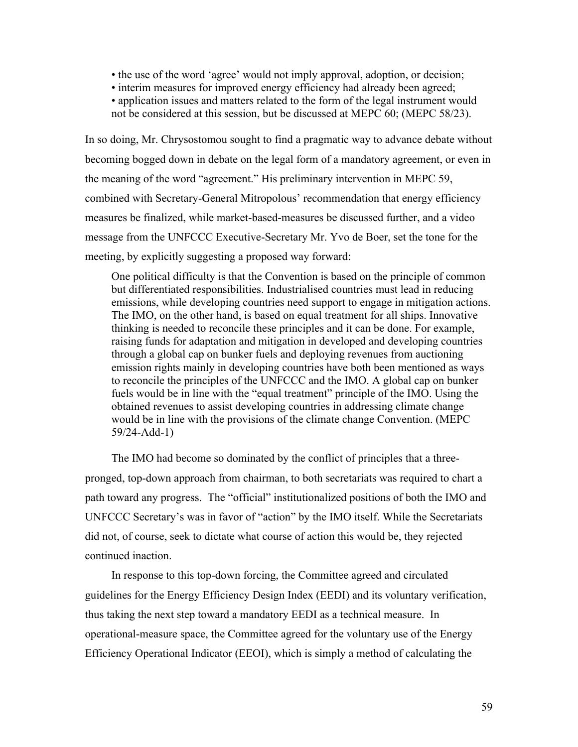- the use of the word 'agree' would not imply approval, adoption, or decision;
- interim measures for improved energy efficiency had already been agreed;
- application issues and matters related to the form of the legal instrument would not be considered at this session, but be discussed at MEPC 60; (MEPC 58/23).

In so doing, Mr. Chrysostomou sought to find a pragmatic way to advance debate without becoming bogged down in debate on the legal form of a mandatory agreement, or even in the meaning of the word "agreement." His preliminary intervention in MEPC 59, combined with Secretary-General Mitropolous' recommendation that energy efficiency measures be finalized, while market-based-measures be discussed further, and a video message from the UNFCCC Executive-Secretary Mr. Yvo de Boer, set the tone for the meeting, by explicitly suggesting a proposed way forward:

One political difficulty is that the Convention is based on the principle of common but differentiated responsibilities. Industrialised countries must lead in reducing emissions, while developing countries need support to engage in mitigation actions. The IMO, on the other hand, is based on equal treatment for all ships. Innovative thinking is needed to reconcile these principles and it can be done. For example, raising funds for adaptation and mitigation in developed and developing countries through a global cap on bunker fuels and deploying revenues from auctioning emission rights mainly in developing countries have both been mentioned as ways to reconcile the principles of the UNFCCC and the IMO. A global cap on bunker fuels would be in line with the "equal treatment" principle of the IMO. Using the obtained revenues to assist developing countries in addressing climate change would be in line with the provisions of the climate change Convention. (MEPC 59/24-Add-1)

The IMO had become so dominated by the conflict of principles that a threepronged, top-down approach from chairman, to both secretariats was required to chart a path toward any progress. The "official" institutionalized positions of both the IMO and UNFCCC Secretary's was in favor of "action" by the IMO itself. While the Secretariats did not, of course, seek to dictate what course of action this would be, they rejected continued inaction.

In response to this top-down forcing, the Committee agreed and circulated guidelines for the Energy Efficiency Design Index (EEDI) and its voluntary verification, thus taking the next step toward a mandatory EEDI as a technical measure. In operational-measure space, the Committee agreed for the voluntary use of the Energy Efficiency Operational Indicator (EEOI), which is simply a method of calculating the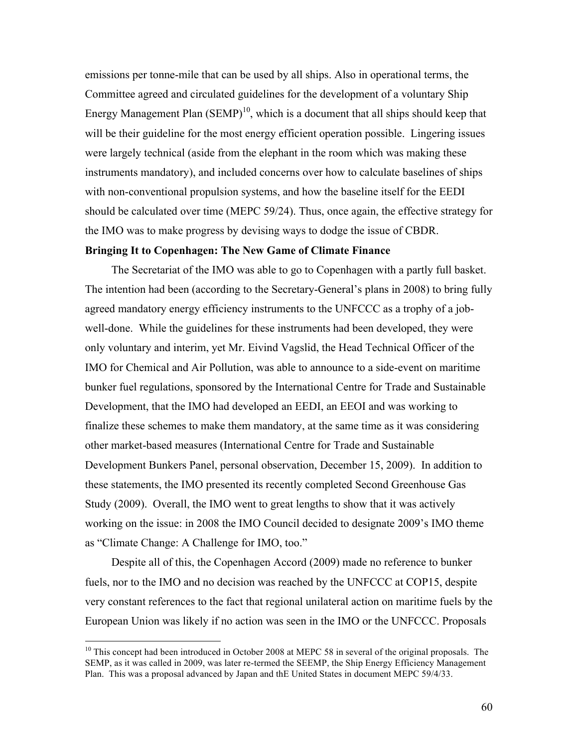emissions per tonne-mile that can be used by all ships. Also in operational terms, the Committee agreed and circulated guidelines for the development of a voluntary Ship Energy Management Plan  $(SEMP)^{10}$ , which is a document that all ships should keep that will be their guideline for the most energy efficient operation possible. Lingering issues were largely technical (aside from the elephant in the room which was making these instruments mandatory), and included concerns over how to calculate baselines of ships with non-conventional propulsion systems, and how the baseline itself for the EEDI should be calculated over time (MEPC 59/24). Thus, once again, the effective strategy for the IMO was to make progress by devising ways to dodge the issue of CBDR.

### **Bringing It to Copenhagen: The New Game of Climate Finance**

The Secretariat of the IMO was able to go to Copenhagen with a partly full basket. The intention had been (according to the Secretary-General's plans in 2008) to bring fully agreed mandatory energy efficiency instruments to the UNFCCC as a trophy of a jobwell-done. While the guidelines for these instruments had been developed, they were only voluntary and interim, yet Mr. Eivind Vagslid, the Head Technical Officer of the IMO for Chemical and Air Pollution, was able to announce to a side-event on maritime bunker fuel regulations, sponsored by the International Centre for Trade and Sustainable Development, that the IMO had developed an EEDI, an EEOI and was working to finalize these schemes to make them mandatory, at the same time as it was considering other market-based measures (International Centre for Trade and Sustainable Development Bunkers Panel, personal observation, December 15, 2009). In addition to these statements, the IMO presented its recently completed Second Greenhouse Gas Study (2009). Overall, the IMO went to great lengths to show that it was actively working on the issue: in 2008 the IMO Council decided to designate 2009's IMO theme as "Climate Change: A Challenge for IMO, too."

Despite all of this, the Copenhagen Accord (2009) made no reference to bunker fuels, nor to the IMO and no decision was reached by the UNFCCC at COP15, despite very constant references to the fact that regional unilateral action on maritime fuels by the European Union was likely if no action was seen in the IMO or the UNFCCC. Proposals

<sup>&</sup>lt;sup>10</sup> This concept had been introduced in October 2008 at MEPC 58 in several of the original proposals. The SEMP, as it was called in 2009, was later re-termed the SEEMP, the Ship Energy Efficiency Management Plan. This was a proposal advanced by Japan and thE United States in document MEPC 59/4/33.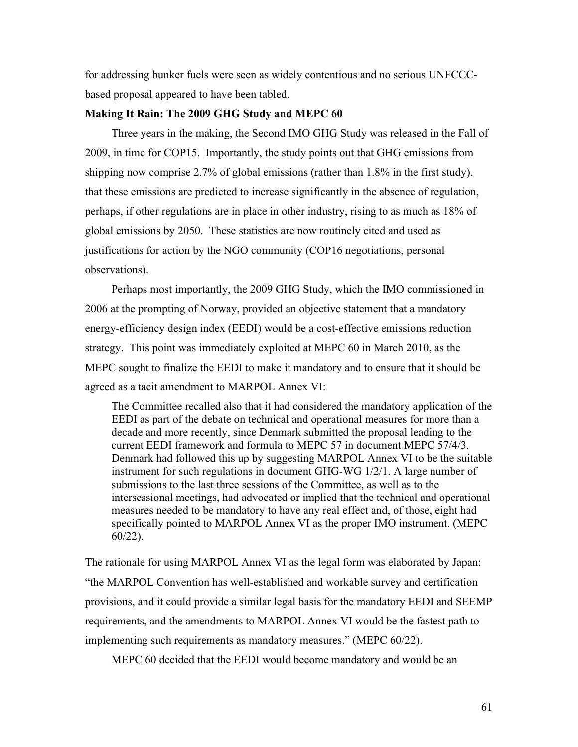for addressing bunker fuels were seen as widely contentious and no serious UNFCCCbased proposal appeared to have been tabled.

### **Making It Rain: The 2009 GHG Study and MEPC 60**

Three years in the making, the Second IMO GHG Study was released in the Fall of 2009, in time for COP15. Importantly, the study points out that GHG emissions from shipping now comprise 2.7% of global emissions (rather than 1.8% in the first study), that these emissions are predicted to increase significantly in the absence of regulation, perhaps, if other regulations are in place in other industry, rising to as much as 18% of global emissions by 2050. These statistics are now routinely cited and used as justifications for action by the NGO community (COP16 negotiations, personal observations).

Perhaps most importantly, the 2009 GHG Study, which the IMO commissioned in 2006 at the prompting of Norway, provided an objective statement that a mandatory energy-efficiency design index (EEDI) would be a cost-effective emissions reduction strategy. This point was immediately exploited at MEPC 60 in March 2010, as the MEPC sought to finalize the EEDI to make it mandatory and to ensure that it should be agreed as a tacit amendment to MARPOL Annex VI:

The Committee recalled also that it had considered the mandatory application of the EEDI as part of the debate on technical and operational measures for more than a decade and more recently, since Denmark submitted the proposal leading to the current EEDI framework and formula to MEPC 57 in document MEPC 57/4/3. Denmark had followed this up by suggesting MARPOL Annex VI to be the suitable instrument for such regulations in document GHG-WG 1/2/1. A large number of submissions to the last three sessions of the Committee, as well as to the intersessional meetings, had advocated or implied that the technical and operational measures needed to be mandatory to have any real effect and, of those, eight had specifically pointed to MARPOL Annex VI as the proper IMO instrument. (MEPC 60/22).

The rationale for using MARPOL Annex VI as the legal form was elaborated by Japan: "the MARPOL Convention has well-established and workable survey and certification provisions, and it could provide a similar legal basis for the mandatory EEDI and SEEMP requirements, and the amendments to MARPOL Annex VI would be the fastest path to implementing such requirements as mandatory measures." (MEPC 60/22).

MEPC 60 decided that the EEDI would become mandatory and would be an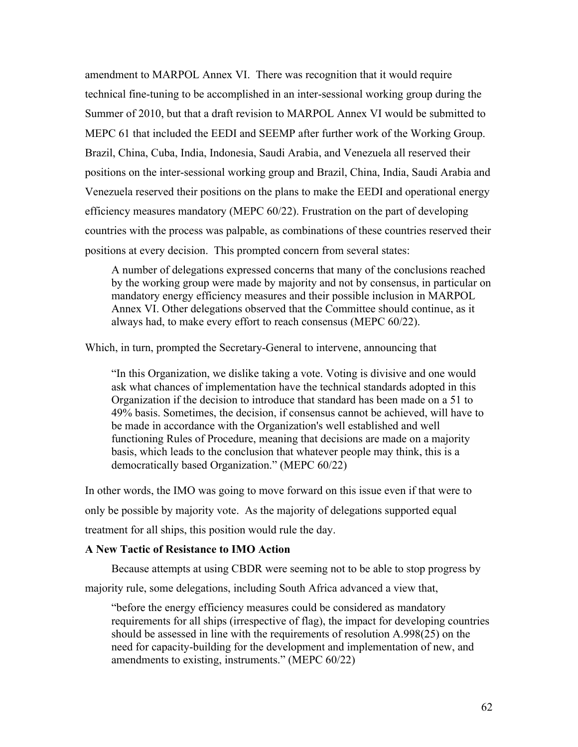amendment to MARPOL Annex VI. There was recognition that it would require technical fine-tuning to be accomplished in an inter-sessional working group during the Summer of 2010, but that a draft revision to MARPOL Annex VI would be submitted to MEPC 61 that included the EEDI and SEEMP after further work of the Working Group. Brazil, China, Cuba, India, Indonesia, Saudi Arabia, and Venezuela all reserved their positions on the inter-sessional working group and Brazil, China, India, Saudi Arabia and Venezuela reserved their positions on the plans to make the EEDI and operational energy efficiency measures mandatory (MEPC 60/22). Frustration on the part of developing countries with the process was palpable, as combinations of these countries reserved their positions at every decision. This prompted concern from several states:

A number of delegations expressed concerns that many of the conclusions reached by the working group were made by majority and not by consensus, in particular on mandatory energy efficiency measures and their possible inclusion in MARPOL Annex VI. Other delegations observed that the Committee should continue, as it always had, to make every effort to reach consensus (MEPC 60/22).

Which, in turn, prompted the Secretary-General to intervene, announcing that

"In this Organization, we dislike taking a vote. Voting is divisive and one would ask what chances of implementation have the technical standards adopted in this Organization if the decision to introduce that standard has been made on a 51 to 49% basis. Sometimes, the decision, if consensus cannot be achieved, will have to be made in accordance with the Organization's well established and well functioning Rules of Procedure, meaning that decisions are made on a majority basis, which leads to the conclusion that whatever people may think, this is a democratically based Organization." (MEPC 60/22)

In other words, the IMO was going to move forward on this issue even if that were to only be possible by majority vote. As the majority of delegations supported equal treatment for all ships, this position would rule the day.

# **A New Tactic of Resistance to IMO Action**

Because attempts at using CBDR were seeming not to be able to stop progress by

majority rule, some delegations, including South Africa advanced a view that,

"before the energy efficiency measures could be considered as mandatory requirements for all ships (irrespective of flag), the impact for developing countries should be assessed in line with the requirements of resolution A.998(25) on the need for capacity-building for the development and implementation of new, and amendments to existing, instruments." (MEPC 60/22)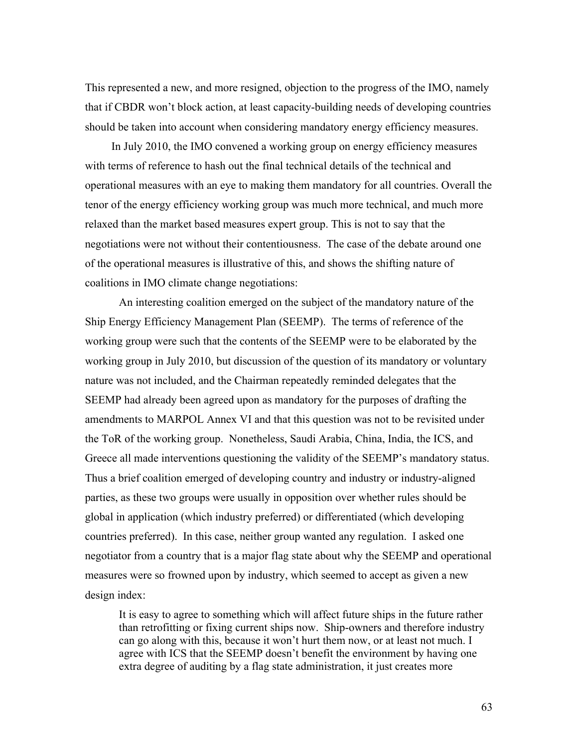This represented a new, and more resigned, objection to the progress of the IMO, namely that if CBDR won't block action, at least capacity-building needs of developing countries should be taken into account when considering mandatory energy efficiency measures.

In July 2010, the IMO convened a working group on energy efficiency measures with terms of reference to hash out the final technical details of the technical and operational measures with an eye to making them mandatory for all countries. Overall the tenor of the energy efficiency working group was much more technical, and much more relaxed than the market based measures expert group. This is not to say that the negotiations were not without their contentiousness. The case of the debate around one of the operational measures is illustrative of this, and shows the shifting nature of coalitions in IMO climate change negotiations:

An interesting coalition emerged on the subject of the mandatory nature of the Ship Energy Efficiency Management Plan (SEEMP). The terms of reference of the working group were such that the contents of the SEEMP were to be elaborated by the working group in July 2010, but discussion of the question of its mandatory or voluntary nature was not included, and the Chairman repeatedly reminded delegates that the SEEMP had already been agreed upon as mandatory for the purposes of drafting the amendments to MARPOL Annex VI and that this question was not to be revisited under the ToR of the working group. Nonetheless, Saudi Arabia, China, India, the ICS, and Greece all made interventions questioning the validity of the SEEMP's mandatory status. Thus a brief coalition emerged of developing country and industry or industry-aligned parties, as these two groups were usually in opposition over whether rules should be global in application (which industry preferred) or differentiated (which developing countries preferred). In this case, neither group wanted any regulation. I asked one negotiator from a country that is a major flag state about why the SEEMP and operational measures were so frowned upon by industry, which seemed to accept as given a new design index:

It is easy to agree to something which will affect future ships in the future rather than retrofitting or fixing current ships now. Ship-owners and therefore industry can go along with this, because it won't hurt them now, or at least not much. I agree with ICS that the SEEMP doesn't benefit the environment by having one extra degree of auditing by a flag state administration, it just creates more

63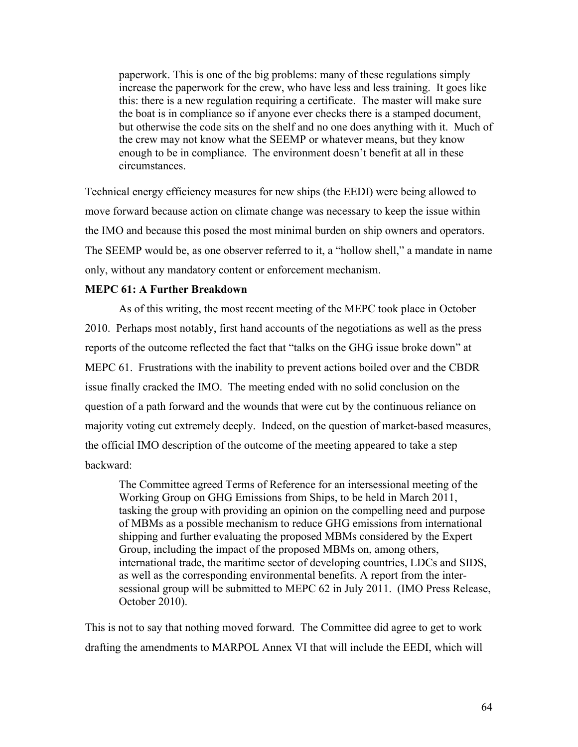paperwork. This is one of the big problems: many of these regulations simply increase the paperwork for the crew, who have less and less training. It goes like this: there is a new regulation requiring a certificate. The master will make sure the boat is in compliance so if anyone ever checks there is a stamped document, but otherwise the code sits on the shelf and no one does anything with it. Much of the crew may not know what the SEEMP or whatever means, but they know enough to be in compliance. The environment doesn't benefit at all in these circumstances.

Technical energy efficiency measures for new ships (the EEDI) were being allowed to move forward because action on climate change was necessary to keep the issue within the IMO and because this posed the most minimal burden on ship owners and operators. The SEEMP would be, as one observer referred to it, a "hollow shell," a mandate in name only, without any mandatory content or enforcement mechanism.

### **MEPC 61: A Further Breakdown**

As of this writing, the most recent meeting of the MEPC took place in October 2010. Perhaps most notably, first hand accounts of the negotiations as well as the press reports of the outcome reflected the fact that "talks on the GHG issue broke down" at MEPC 61. Frustrations with the inability to prevent actions boiled over and the CBDR issue finally cracked the IMO. The meeting ended with no solid conclusion on the question of a path forward and the wounds that were cut by the continuous reliance on majority voting cut extremely deeply. Indeed, on the question of market-based measures, the official IMO description of the outcome of the meeting appeared to take a step backward:

The Committee agreed Terms of Reference for an intersessional meeting of the Working Group on GHG Emissions from Ships, to be held in March 2011, tasking the group with providing an opinion on the compelling need and purpose of MBMs as a possible mechanism to reduce GHG emissions from international shipping and further evaluating the proposed MBMs considered by the Expert Group, including the impact of the proposed MBMs on, among others, international trade, the maritime sector of developing countries, LDCs and SIDS, as well as the corresponding environmental benefits. A report from the intersessional group will be submitted to MEPC 62 in July 2011. (IMO Press Release, October 2010).

This is not to say that nothing moved forward. The Committee did agree to get to work drafting the amendments to MARPOL Annex VI that will include the EEDI, which will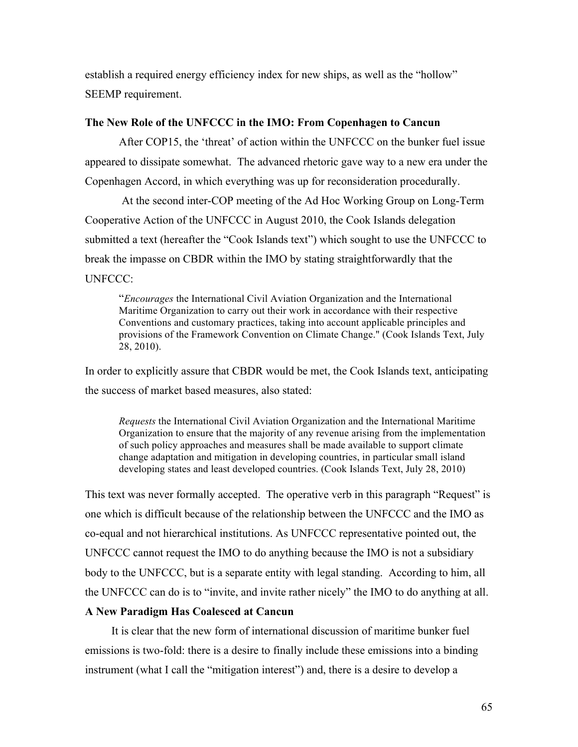establish a required energy efficiency index for new ships, as well as the "hollow" SEEMP requirement.

# **The New Role of the UNFCCC in the IMO: From Copenhagen to Cancun**

After COP15, the 'threat' of action within the UNFCCC on the bunker fuel issue appeared to dissipate somewhat. The advanced rhetoric gave way to a new era under the Copenhagen Accord, in which everything was up for reconsideration procedurally.

At the second inter-COP meeting of the Ad Hoc Working Group on Long-Term Cooperative Action of the UNFCCC in August 2010, the Cook Islands delegation submitted a text (hereafter the "Cook Islands text") which sought to use the UNFCCC to break the impasse on CBDR within the IMO by stating straightforwardly that the UNFCCC:

"*Encourages* the International Civil Aviation Organization and the International Maritime Organization to carry out their work in accordance with their respective Conventions and customary practices, taking into account applicable principles and provisions of the Framework Convention on Climate Change." (Cook Islands Text, July 28, 2010).

In order to explicitly assure that CBDR would be met, the Cook Islands text, anticipating the success of market based measures, also stated:

*Requests* the International Civil Aviation Organization and the International Maritime Organization to ensure that the majority of any revenue arising from the implementation of such policy approaches and measures shall be made available to support climate change adaptation and mitigation in developing countries, in particular small island developing states and least developed countries. (Cook Islands Text, July 28, 2010)

This text was never formally accepted. The operative verb in this paragraph "Request" is one which is difficult because of the relationship between the UNFCCC and the IMO as co-equal and not hierarchical institutions. As UNFCCC representative pointed out, the UNFCCC cannot request the IMO to do anything because the IMO is not a subsidiary body to the UNFCCC, but is a separate entity with legal standing. According to him, all the UNFCCC can do is to "invite, and invite rather nicely" the IMO to do anything at all.

# **A New Paradigm Has Coalesced at Cancun**

It is clear that the new form of international discussion of maritime bunker fuel emissions is two-fold: there is a desire to finally include these emissions into a binding instrument (what I call the "mitigation interest") and, there is a desire to develop a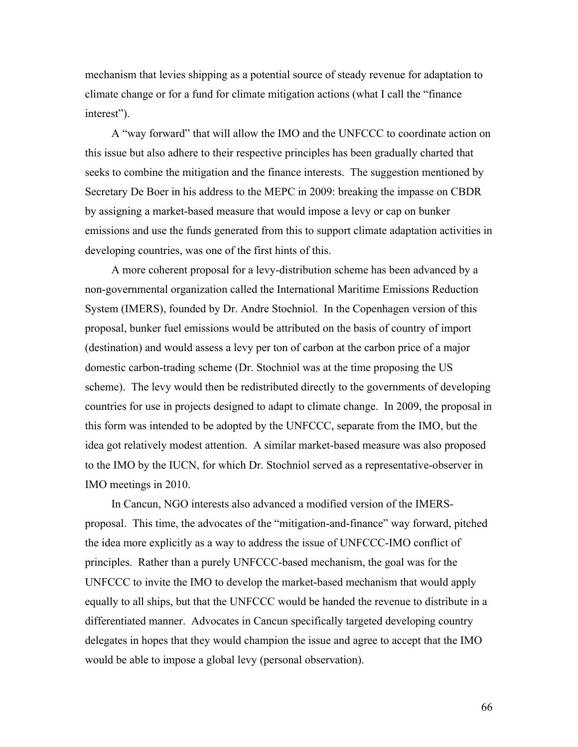mechanism that levies shipping as a potential source of steady revenue for adaptation to climate change or for a fund for climate mitigation actions (what I call the "finance interest").

A "way forward" that will allow the IMO and the UNFCCC to coordinate action on this issue but also adhere to their respective principles has been gradually charted that seeks to combine the mitigation and the finance interests. The suggestion mentioned by Secretary De Boer in his address to the MEPC in 2009: breaking the impasse on CBDR by assigning a market-based measure that would impose a levy or cap on bunker emissions and use the funds generated from this to support climate adaptation activities in developing countries, was one of the first hints of this.

A more coherent proposal for a levy-distribution scheme has been advanced by a non-governmental organization called the International Maritime Emissions Reduction System (IMERS), founded by Dr. Andre Stochniol. In the Copenhagen version of this proposal, bunker fuel emissions would be attributed on the basis of country of import (destination) and would assess a levy per ton of carbon at the carbon price of a major domestic carbon-trading scheme (Dr. Stochniol was at the time proposing the US scheme). The levy would then be redistributed directly to the governments of developing countries for use in projects designed to adapt to climate change. In 2009, the proposal in this form was intended to be adopted by the UNFCCC, separate from the IMO, but the idea got relatively modest attention. A similar market-based measure was also proposed to the IMO by the IUCN, for which Dr. Stochniol served as a representative-observer in IMO meetings in 2010.

In Cancun, NGO interests also advanced a modified version of the IMERSproposal. This time, the advocates of the "mitigation-and-finance" way forward, pitched the idea more explicitly as a way to address the issue of UNFCCC-IMO conflict of principles. Rather than a purely UNFCCC-based mechanism, the goal was for the UNFCCC to invite the IMO to develop the market-based mechanism that would apply equally to all ships, but that the UNFCCC would be handed the revenue to distribute in a differentiated manner. Advocates in Cancun specifically targeted developing country delegates in hopes that they would champion the issue and agree to accept that the IMO would be able to impose a global levy (personal observation).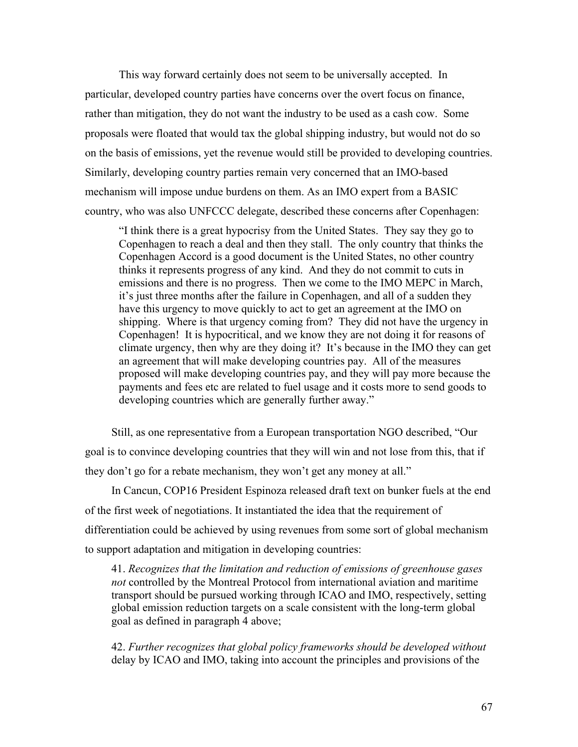This way forward certainly does not seem to be universally accepted. In particular, developed country parties have concerns over the overt focus on finance, rather than mitigation, they do not want the industry to be used as a cash cow. Some proposals were floated that would tax the global shipping industry, but would not do so on the basis of emissions, yet the revenue would still be provided to developing countries. Similarly, developing country parties remain very concerned that an IMO-based mechanism will impose undue burdens on them. As an IMO expert from a BASIC country, who was also UNFCCC delegate, described these concerns after Copenhagen:

"I think there is a great hypocrisy from the United States. They say they go to Copenhagen to reach a deal and then they stall. The only country that thinks the Copenhagen Accord is a good document is the United States, no other country thinks it represents progress of any kind. And they do not commit to cuts in emissions and there is no progress. Then we come to the IMO MEPC in March, it's just three months after the failure in Copenhagen, and all of a sudden they have this urgency to move quickly to act to get an agreement at the IMO on shipping. Where is that urgency coming from? They did not have the urgency in Copenhagen! It is hypocritical, and we know they are not doing it for reasons of climate urgency, then why are they doing it? It's because in the IMO they can get an agreement that will make developing countries pay. All of the measures proposed will make developing countries pay, and they will pay more because the payments and fees etc are related to fuel usage and it costs more to send goods to developing countries which are generally further away."

Still, as one representative from a European transportation NGO described, "Our goal is to convince developing countries that they will win and not lose from this, that if they don't go for a rebate mechanism, they won't get any money at all."

In Cancun, COP16 President Espinoza released draft text on bunker fuels at the end of the first week of negotiations. It instantiated the idea that the requirement of differentiation could be achieved by using revenues from some sort of global mechanism to support adaptation and mitigation in developing countries:

41. *Recognizes that the limitation and reduction of emissions of greenhouse gases not* controlled by the Montreal Protocol from international aviation and maritime transport should be pursued working through ICAO and IMO, respectively, setting global emission reduction targets on a scale consistent with the long-term global goal as defined in paragraph 4 above;

42. *Further recognizes that global policy frameworks should be developed without* delay by ICAO and IMO, taking into account the principles and provisions of the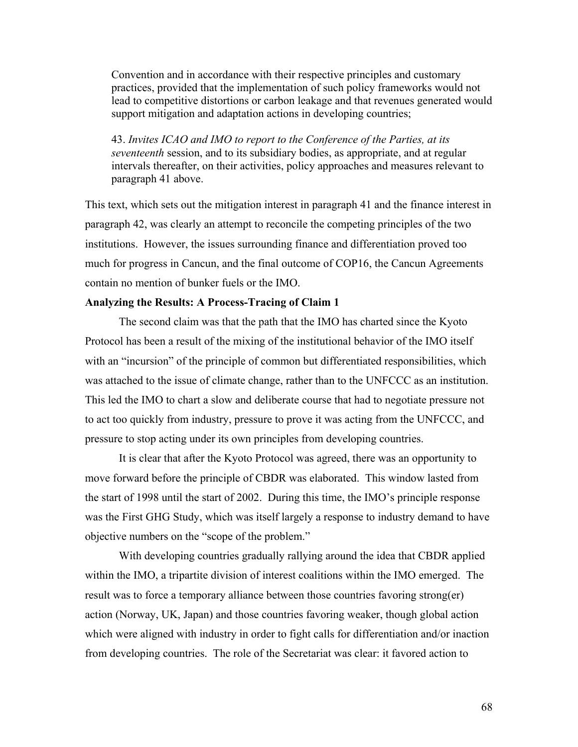Convention and in accordance with their respective principles and customary practices, provided that the implementation of such policy frameworks would not lead to competitive distortions or carbon leakage and that revenues generated would support mitigation and adaptation actions in developing countries;

43. *Invites ICAO and IMO to report to the Conference of the Parties, at its seventeenth* session, and to its subsidiary bodies, as appropriate, and at regular intervals thereafter, on their activities, policy approaches and measures relevant to paragraph 41 above.

This text, which sets out the mitigation interest in paragraph 41 and the finance interest in paragraph 42, was clearly an attempt to reconcile the competing principles of the two institutions. However, the issues surrounding finance and differentiation proved too much for progress in Cancun, and the final outcome of COP16, the Cancun Agreements contain no mention of bunker fuels or the IMO.

# **Analyzing the Results: A Process-Tracing of Claim 1**

The second claim was that the path that the IMO has charted since the Kyoto Protocol has been a result of the mixing of the institutional behavior of the IMO itself with an "incursion" of the principle of common but differentiated responsibilities, which was attached to the issue of climate change, rather than to the UNFCCC as an institution. This led the IMO to chart a slow and deliberate course that had to negotiate pressure not to act too quickly from industry, pressure to prove it was acting from the UNFCCC, and pressure to stop acting under its own principles from developing countries.

It is clear that after the Kyoto Protocol was agreed, there was an opportunity to move forward before the principle of CBDR was elaborated. This window lasted from the start of 1998 until the start of 2002. During this time, the IMO's principle response was the First GHG Study, which was itself largely a response to industry demand to have objective numbers on the "scope of the problem."

With developing countries gradually rallying around the idea that CBDR applied within the IMO, a tripartite division of interest coalitions within the IMO emerged. The result was to force a temporary alliance between those countries favoring strong(er) action (Norway, UK, Japan) and those countries favoring weaker, though global action which were aligned with industry in order to fight calls for differentiation and/or inaction from developing countries. The role of the Secretariat was clear: it favored action to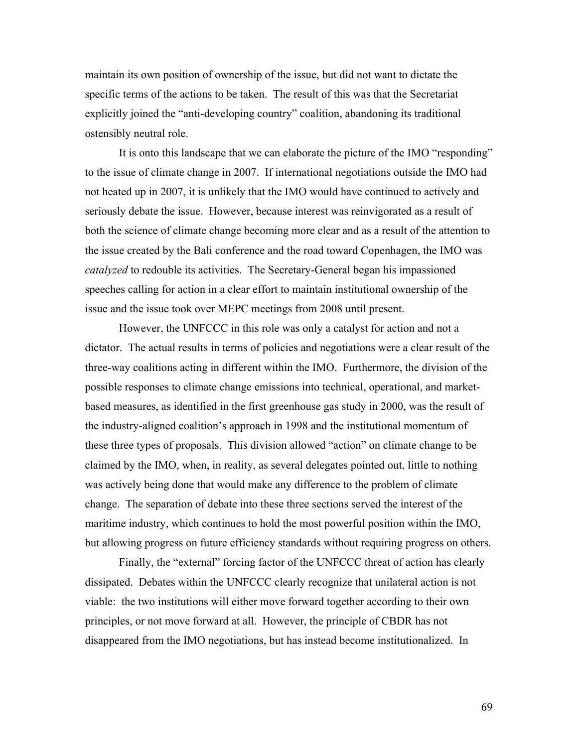maintain its own position of ownership of the issue, but did not want to dictate the specific terms of the actions to be taken. The result of this was that the Secretariat explicitly joined the "anti-developing country" coalition, abandoning its traditional ostensibly neutral role.

It is onto this landscape that we can elaborate the picture of the IMO "responding" to the issue of climate change in 2007. If international negotiations outside the IMO had not heated up in 2007, it is unlikely that the IMO would have continued to actively and seriously debate the issue. However, because interest was reinvigorated as a result of both the science of climate change becoming more clear and as a result of the attention to the issue created by the Bali conference and the road toward Copenhagen, the IMO was *catalyzed* to redouble its activities. The Secretary-General began his impassioned speeches calling for action in a clear effort to maintain institutional ownership of the issue and the issue took over MEPC meetings from 2008 until present.

However, the UNFCCC in this role was only a catalyst for action and not a dictator. The actual results in terms of policies and negotiations were a clear result of the three-way coalitions acting in different within the IMO. Furthermore, the division of the possible responses to climate change emissions into technical, operational, and marketbased measures, as identified in the first greenhouse gas study in 2000, was the result of the industry-aligned coalition's approach in 1998 and the institutional momentum of these three types of proposals. This division allowed "action" on climate change to be claimed by the IMO, when, in reality, as several delegates pointed out, little to nothing was actively being done that would make any difference to the problem of climate change. The separation of debate into these three sections served the interest of the maritime industry, which continues to hold the most powerful position within the IMO, but allowing progress on future efficiency standards without requiring progress on others.

Finally, the "external" forcing factor of the UNFCCC threat of action has clearly dissipated. Debates within the UNFCCC clearly recognize that unilateral action is not viable: the two institutions will either move forward together according to their own principles, or not move forward at all. However, the principle of CBDR has not disappeared from the IMO negotiations, but has instead become institutionalized. In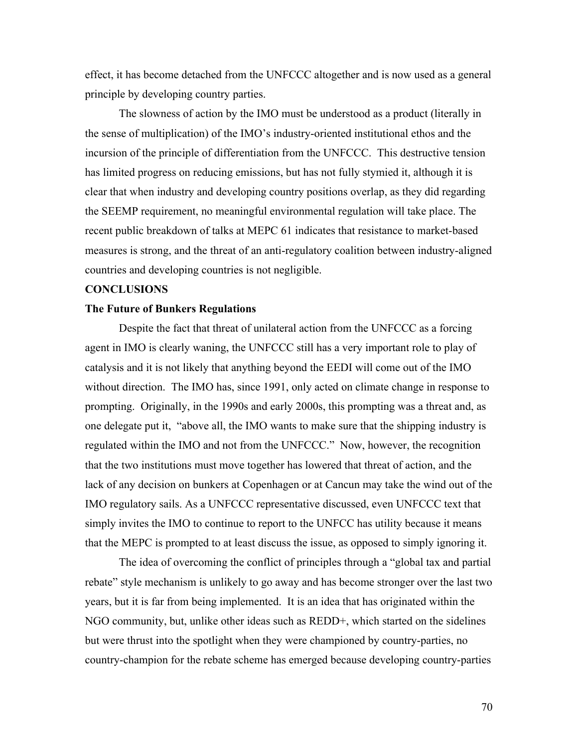effect, it has become detached from the UNFCCC altogether and is now used as a general principle by developing country parties.

The slowness of action by the IMO must be understood as a product (literally in the sense of multiplication) of the IMO's industry-oriented institutional ethos and the incursion of the principle of differentiation from the UNFCCC. This destructive tension has limited progress on reducing emissions, but has not fully stymied it, although it is clear that when industry and developing country positions overlap, as they did regarding the SEEMP requirement, no meaningful environmental regulation will take place. The recent public breakdown of talks at MEPC 61 indicates that resistance to market-based measures is strong, and the threat of an anti-regulatory coalition between industry-aligned countries and developing countries is not negligible.

### **CONCLUSIONS**

### **The Future of Bunkers Regulations**

Despite the fact that threat of unilateral action from the UNFCCC as a forcing agent in IMO is clearly waning, the UNFCCC still has a very important role to play of catalysis and it is not likely that anything beyond the EEDI will come out of the IMO without direction. The IMO has, since 1991, only acted on climate change in response to prompting. Originally, in the 1990s and early 2000s, this prompting was a threat and, as one delegate put it, "above all, the IMO wants to make sure that the shipping industry is regulated within the IMO and not from the UNFCCC." Now, however, the recognition that the two institutions must move together has lowered that threat of action, and the lack of any decision on bunkers at Copenhagen or at Cancun may take the wind out of the IMO regulatory sails. As a UNFCCC representative discussed, even UNFCCC text that simply invites the IMO to continue to report to the UNFCC has utility because it means that the MEPC is prompted to at least discuss the issue, as opposed to simply ignoring it.

The idea of overcoming the conflict of principles through a "global tax and partial rebate" style mechanism is unlikely to go away and has become stronger over the last two years, but it is far from being implemented. It is an idea that has originated within the NGO community, but, unlike other ideas such as REDD+, which started on the sidelines but were thrust into the spotlight when they were championed by country-parties, no country-champion for the rebate scheme has emerged because developing country-parties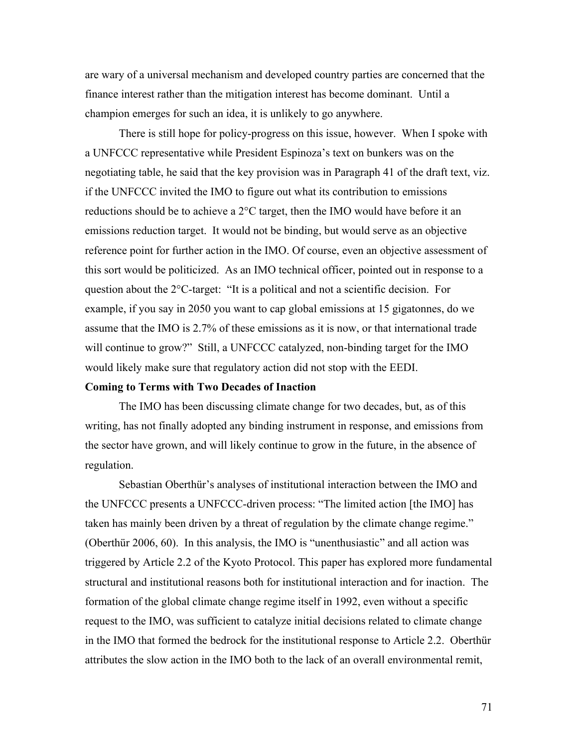are wary of a universal mechanism and developed country parties are concerned that the finance interest rather than the mitigation interest has become dominant. Until a champion emerges for such an idea, it is unlikely to go anywhere.

There is still hope for policy-progress on this issue, however. When I spoke with a UNFCCC representative while President Espinoza's text on bunkers was on the negotiating table, he said that the key provision was in Paragraph 41 of the draft text, viz. if the UNFCCC invited the IMO to figure out what its contribution to emissions reductions should be to achieve a 2°C target, then the IMO would have before it an emissions reduction target. It would not be binding, but would serve as an objective reference point for further action in the IMO. Of course, even an objective assessment of this sort would be politicized. As an IMO technical officer, pointed out in response to a question about the 2°C-target: "It is a political and not a scientific decision. For example, if you say in 2050 you want to cap global emissions at 15 gigatonnes, do we assume that the IMO is 2.7% of these emissions as it is now, or that international trade will continue to grow?" Still, a UNFCCC catalyzed, non-binding target for the IMO would likely make sure that regulatory action did not stop with the EEDI.

### **Coming to Terms with Two Decades of Inaction**

The IMO has been discussing climate change for two decades, but, as of this writing, has not finally adopted any binding instrument in response, and emissions from the sector have grown, and will likely continue to grow in the future, in the absence of regulation.

Sebastian Oberthür's analyses of institutional interaction between the IMO and the UNFCCC presents a UNFCCC-driven process: "The limited action [the IMO] has taken has mainly been driven by a threat of regulation by the climate change regime." (Oberthür 2006, 60). In this analysis, the IMO is "unenthusiastic" and all action was triggered by Article 2.2 of the Kyoto Protocol. This paper has explored more fundamental structural and institutional reasons both for institutional interaction and for inaction. The formation of the global climate change regime itself in 1992, even without a specific request to the IMO, was sufficient to catalyze initial decisions related to climate change in the IMO that formed the bedrock for the institutional response to Article 2.2. Oberthür attributes the slow action in the IMO both to the lack of an overall environmental remit,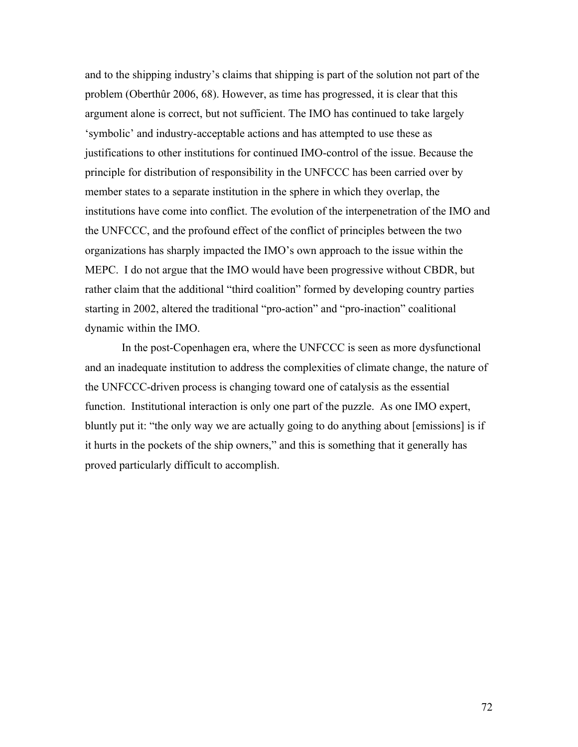and to the shipping industry's claims that shipping is part of the solution not part of the problem (Oberthûr 2006, 68). However, as time has progressed, it is clear that this argument alone is correct, but not sufficient. The IMO has continued to take largely 'symbolic' and industry-acceptable actions and has attempted to use these as justifications to other institutions for continued IMO-control of the issue. Because the principle for distribution of responsibility in the UNFCCC has been carried over by member states to a separate institution in the sphere in which they overlap, the institutions have come into conflict. The evolution of the interpenetration of the IMO and the UNFCCC, and the profound effect of the conflict of principles between the two organizations has sharply impacted the IMO's own approach to the issue within the MEPC. I do not argue that the IMO would have been progressive without CBDR, but rather claim that the additional "third coalition" formed by developing country parties starting in 2002, altered the traditional "pro-action" and "pro-inaction" coalitional dynamic within the IMO.

 In the post-Copenhagen era, where the UNFCCC is seen as more dysfunctional and an inadequate institution to address the complexities of climate change, the nature of the UNFCCC-driven process is changing toward one of catalysis as the essential function. Institutional interaction is only one part of the puzzle. As one IMO expert, bluntly put it: "the only way we are actually going to do anything about [emissions] is if it hurts in the pockets of the ship owners," and this is something that it generally has proved particularly difficult to accomplish.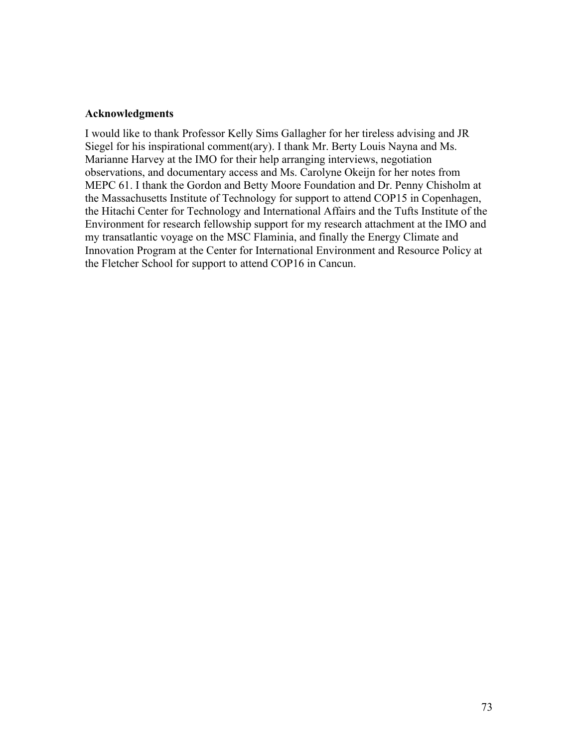# **Acknowledgments**

I would like to thank Professor Kelly Sims Gallagher for her tireless advising and JR Siegel for his inspirational comment(ary). I thank Mr. Berty Louis Nayna and Ms. Marianne Harvey at the IMO for their help arranging interviews, negotiation observations, and documentary access and Ms. Carolyne Okeijn for her notes from MEPC 61. I thank the Gordon and Betty Moore Foundation and Dr. Penny Chisholm at the Massachusetts Institute of Technology for support to attend COP15 in Copenhagen, the Hitachi Center for Technology and International Affairs and the Tufts Institute of the Environment for research fellowship support for my research attachment at the IMO and my transatlantic voyage on the MSC Flaminia, and finally the Energy Climate and Innovation Program at the Center for International Environment and Resource Policy at the Fletcher School for support to attend COP16 in Cancun.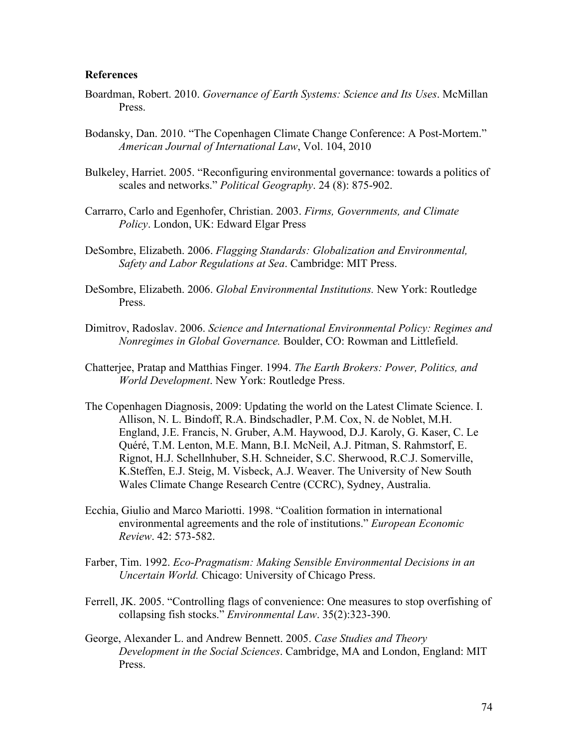# **References**

- Boardman, Robert. 2010. *Governance of Earth Systems: Science and Its Uses*. McMillan **Press**.
- Bodansky, Dan. 2010. "The Copenhagen Climate Change Conference: A Post-Mortem." *American Journal of International Law*, Vol. 104, 2010
- Bulkeley, Harriet. 2005. "Reconfiguring environmental governance: towards a politics of scales and networks." *Political Geography*. 24 (8): 875-902.
- Carrarro, Carlo and Egenhofer, Christian. 2003. *Firms, Governments, and Climate Policy*. London, UK: Edward Elgar Press
- DeSombre, Elizabeth. 2006. *Flagging Standards: Globalization and Environmental, Safety and Labor Regulations at Sea*. Cambridge: MIT Press.
- DeSombre, Elizabeth. 2006. *Global Environmental Institutions.* New York: Routledge Press.
- Dimitrov, Radoslav. 2006. *Science and International Environmental Policy: Regimes and Nonregimes in Global Governance.* Boulder, CO: Rowman and Littlefield.
- Chatterjee, Pratap and Matthias Finger. 1994. *The Earth Brokers: Power, Politics, and World Development*. New York: Routledge Press.
- The Copenhagen Diagnosis, 2009: Updating the world on the Latest Climate Science. I. Allison, N. L. Bindoff, R.A. Bindschadler, P.M. Cox, N. de Noblet, M.H. England, J.E. Francis, N. Gruber, A.M. Haywood, D.J. Karoly, G. Kaser, C. Le Quéré, T.M. Lenton, M.E. Mann, B.I. McNeil, A.J. Pitman, S. Rahmstorf, E. Rignot, H.J. Schellnhuber, S.H. Schneider, S.C. Sherwood, R.C.J. Somerville, K.Steffen, E.J. Steig, M. Visbeck, A.J. Weaver. The University of New South Wales Climate Change Research Centre (CCRC), Sydney, Australia.
- Ecchia, Giulio and Marco Mariotti. 1998. "Coalition formation in international environmental agreements and the role of institutions." *European Economic Review*. 42: 573-582.
- Farber, Tim. 1992. *Eco-Pragmatism: Making Sensible Environmental Decisions in an Uncertain World.* Chicago: University of Chicago Press.
- Ferrell, JK. 2005. "Controlling flags of convenience: One measures to stop overfishing of collapsing fish stocks." *Environmental Law*. 35(2):323-390.
- George, Alexander L. and Andrew Bennett. 2005. *Case Studies and Theory Development in the Social Sciences*. Cambridge, MA and London, England: MIT Press.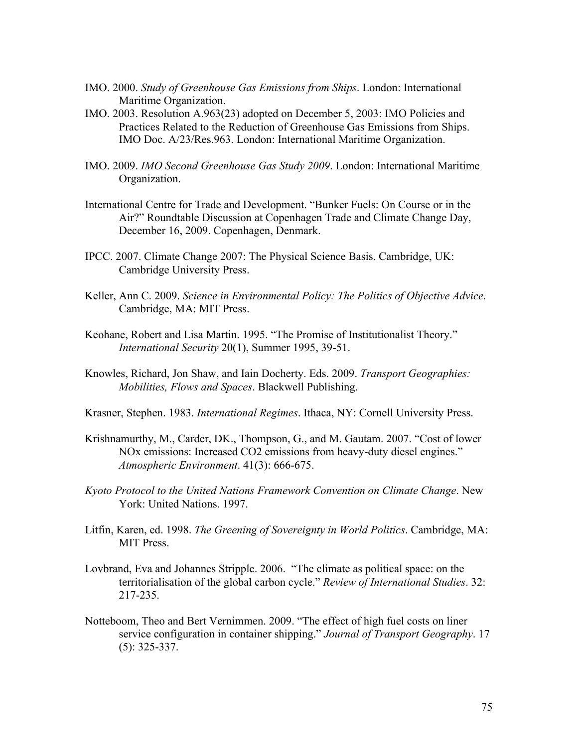- IMO. 2000. *Study of Greenhouse Gas Emissions from Ships*. London: International Maritime Organization.
- IMO. 2003. Resolution A.963(23) adopted on December 5, 2003: IMO Policies and Practices Related to the Reduction of Greenhouse Gas Emissions from Ships. IMO Doc. A/23/Res.963. London: International Maritime Organization.
- IMO. 2009. *IMO Second Greenhouse Gas Study 2009*. London: International Maritime Organization.
- International Centre for Trade and Development. "Bunker Fuels: On Course or in the Air?" Roundtable Discussion at Copenhagen Trade and Climate Change Day, December 16, 2009. Copenhagen, Denmark.
- IPCC. 2007. Climate Change 2007: The Physical Science Basis. Cambridge, UK: Cambridge University Press.
- Keller, Ann C. 2009. *Science in Environmental Policy: The Politics of Objective Advice.* Cambridge, MA: MIT Press.
- Keohane, Robert and Lisa Martin. 1995. "The Promise of Institutionalist Theory." *International Security* 20(1), Summer 1995, 39-51.
- Knowles, Richard, Jon Shaw, and Iain Docherty. Eds. 2009. *Transport Geographies: Mobilities, Flows and Spaces*. Blackwell Publishing.
- Krasner, Stephen. 1983. *International Regimes*. Ithaca, NY: Cornell University Press.
- Krishnamurthy, M., Carder, DK., Thompson, G., and M. Gautam. 2007. "Cost of lower NOx emissions: Increased CO2 emissions from heavy-duty diesel engines." *Atmospheric Environment*. 41(3): 666-675.
- *Kyoto Protocol to the United Nations Framework Convention on Climate Change*. New York: United Nations. 1997.
- Litfin, Karen, ed. 1998. *The Greening of Sovereignty in World Politics*. Cambridge, MA: MIT Press.
- Lovbrand, Eva and Johannes Stripple. 2006. "The climate as political space: on the territorialisation of the global carbon cycle." *Review of International Studies*. 32: 217-235.
- Notteboom, Theo and Bert Vernimmen. 2009. "The effect of high fuel costs on liner service configuration in container shipping." *Journal of Transport Geography*. 17 (5): 325-337.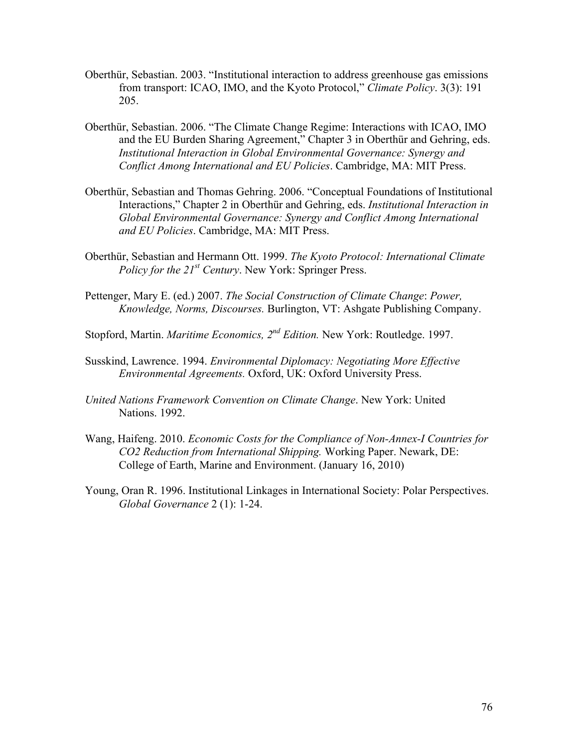- Oberthür, Sebastian. 2003. "Institutional interaction to address greenhouse gas emissions from transport: ICAO, IMO, and the Kyoto Protocol," *Climate Policy*. 3(3): 191 205.
- Oberthür, Sebastian. 2006. "The Climate Change Regime: Interactions with ICAO, IMO and the EU Burden Sharing Agreement," Chapter 3 in Oberthür and Gehring, eds. *Institutional Interaction in Global Environmental Governance: Synergy and Conflict Among International and EU Policies*. Cambridge, MA: MIT Press.
- Oberthür, Sebastian and Thomas Gehring. 2006. "Conceptual Foundations of Institutional Interactions," Chapter 2 in Oberthür and Gehring, eds. *Institutional Interaction in Global Environmental Governance: Synergy and Conflict Among International and EU Policies*. Cambridge, MA: MIT Press.
- Oberthür, Sebastian and Hermann Ott. 1999. *The Kyoto Protocol: International Climate Policy for the 21st Century*. New York: Springer Press.
- Pettenger, Mary E. (ed.) 2007. *The Social Construction of Climate Change*: *Power, Knowledge, Norms, Discourses.* Burlington, VT: Ashgate Publishing Company.
- Stopford, Martin. *Maritime Economics, 2nd Edition.* New York: Routledge. 1997.
- Susskind, Lawrence. 1994. *Environmental Diplomacy: Negotiating More Effective Environmental Agreements.* Oxford, UK: Oxford University Press.
- *United Nations Framework Convention on Climate Change*. New York: United Nations. 1992.
- Wang, Haifeng. 2010. *Economic Costs for the Compliance of Non-Annex-I Countries for CO2 Reduction from International Shipping.* Working Paper. Newark, DE: College of Earth, Marine and Environment. (January 16, 2010)
- Young, Oran R. 1996. Institutional Linkages in International Society: Polar Perspectives. *Global Governance* 2 (1): 1-24.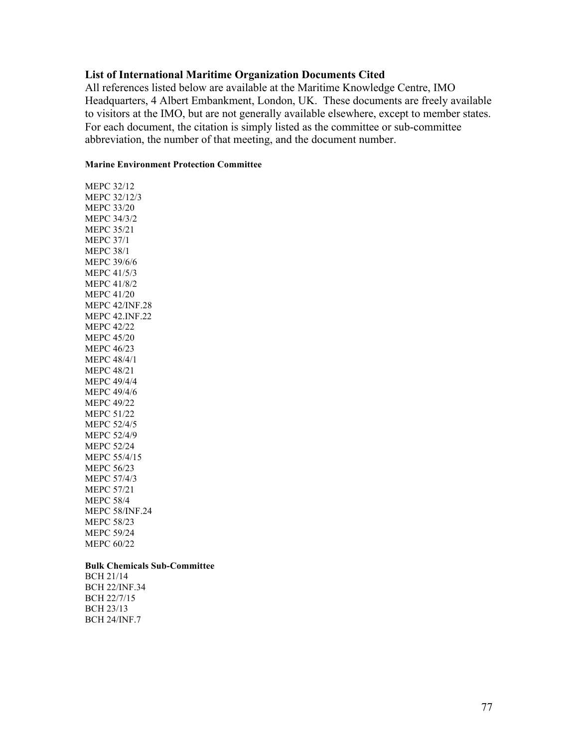# **List of International Maritime Organization Documents Cited**

All references listed below are available at the Maritime Knowledge Centre, IMO Headquarters, 4 Albert Embankment, London, UK. These documents are freely available to visitors at the IMO, but are not generally available elsewhere, except to member states. For each document, the citation is simply listed as the committee or sub-committee abbreviation, the number of that meeting, and the document number.

## **Marine Environment Protection Committee**

MEPC 32/12 MEPC 32/12/3 MEPC 33/20 MEPC 34/3/2 MEPC 35/21 MEPC 37/1 MEPC 38/1 MEPC 39/6/6 MEPC 41/5/3 MEPC 41/8/2 MEPC 41/20 MEPC 42/INF.28 MEPC 42.INF.22 MEPC 42/22 MEPC 45/20 MEPC 46/23 MEPC 48/4/1 MEPC 48/21 MEPC 49/4/4 MEPC 49/4/6 MEPC 49/22 MEPC 51/22 MEPC 52/4/5 MEPC 52/4/9 MEPC 52/24 MEPC 55/4/15 MEPC 56/23 MEPC 57/4/3 MEPC 57/21 MEPC 58/4 MEPC 58/INF.24 MEPC 58/23 MEPC 59/24 MEPC 60/22

### **Bulk Chemicals Sub-Committee**

BCH 21/14 BCH 22/INF.34 BCH 22/7/15 BCH 23/13 BCH 24/INF.7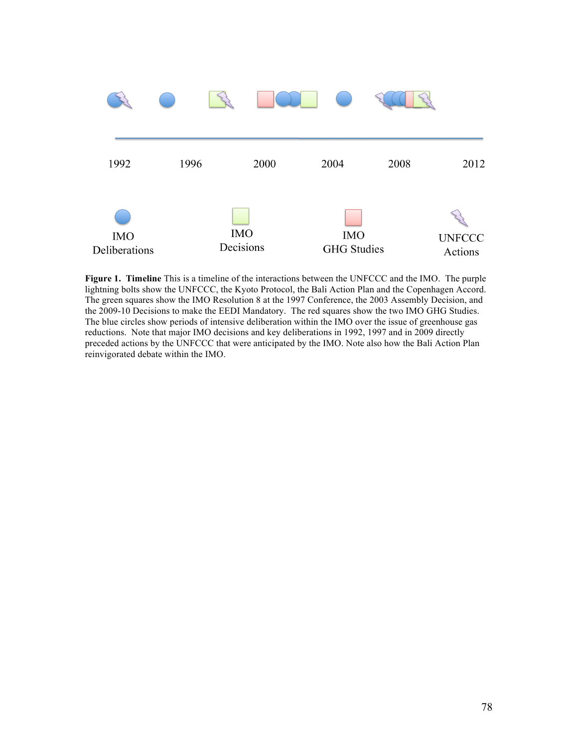

**Figure 1. Timeline** This is a timeline of the interactions between the UNFCCC and the IMO. The purple lightning bolts show the UNFCCC, the Kyoto Protocol, the Bali Action Plan and the Copenhagen Accord. The green squares show the IMO Resolution 8 at the 1997 Conference, the 2003 Assembly Decision, and the 2009-10 Decisions to make the EEDI Mandatory. The red squares show the two IMO GHG Studies. The blue circles show periods of intensive deliberation within the IMO over the issue of greenhouse gas reductions. Note that major IMO decisions and key deliberations in 1992, 1997 and in 2009 directly preceded actions by the UNFCCC that were anticipated by the IMO. Note also how the Bali Action Plan reinvigorated debate within the IMO.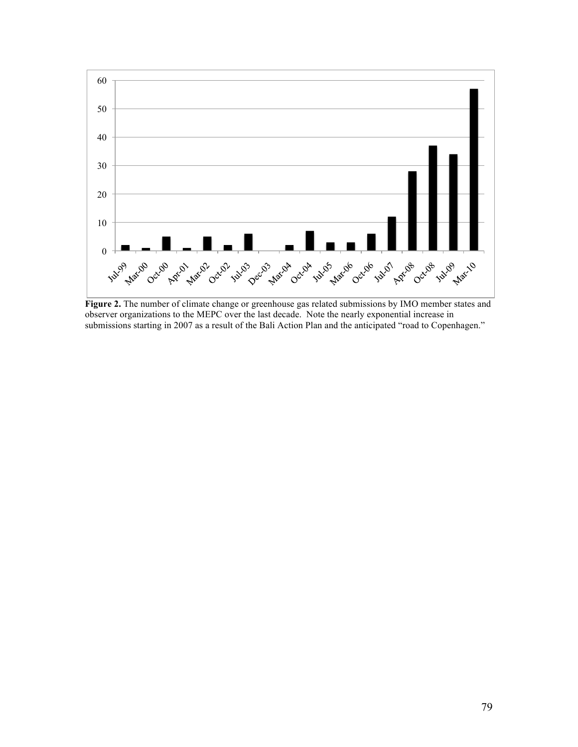

**Figure 2.** The number of climate change or greenhouse gas related submissions by IMO member states and observer organizations to the MEPC over the last decade. Note the nearly exponential increase in submissions starting in 2007 as a result of the Bali Action Plan and the anticipated "road to Copenhagen."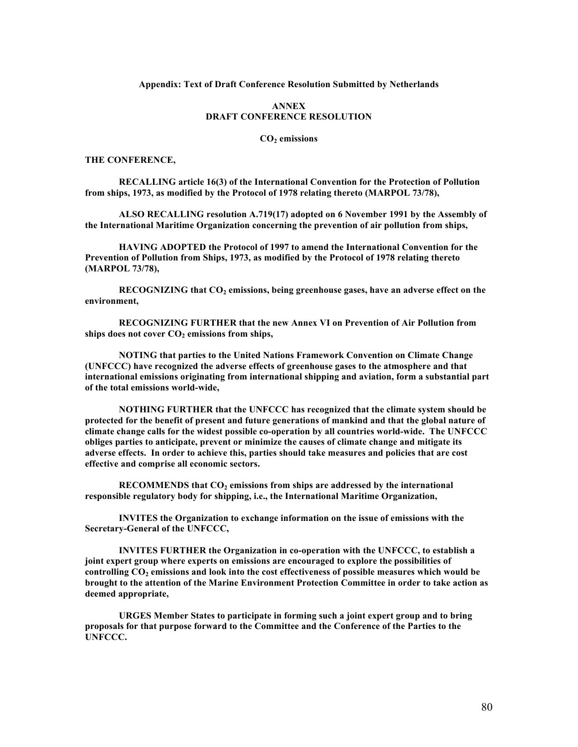#### **Appendix: Text of Draft Conference Resolution Submitted by Netherlands**

## **ANNEX DRAFT CONFERENCE RESOLUTION**

#### CO<sub>2</sub> emissions

## **THE CONFERENCE,**

**RECALLING article 16(3) of the International Convention for the Protection of Pollution from ships, 1973, as modified by the Protocol of 1978 relating thereto (MARPOL 73/78),**

**ALSO RECALLING resolution A.719(17) adopted on 6 November 1991 by the Assembly of the International Maritime Organization concerning the prevention of air pollution from ships,**

**HAVING ADOPTED the Protocol of 1997 to amend the International Convention for the Prevention of Pollution from Ships, 1973, as modified by the Protocol of 1978 relating thereto (MARPOL 73/78),**

RECOGNIZING that CO<sub>2</sub> emissions, being greenhouse gases, have an adverse effect on the **environment,**

**RECOGNIZING FURTHER that the new Annex VI on Prevention of Air Pollution from**  ships does not cover CO<sub>2</sub> emissions from ships,

**NOTING that parties to the United Nations Framework Convention on Climate Change (UNFCCC) have recognized the adverse effects of greenhouse gases to the atmosphere and that international emissions originating from international shipping and aviation, form a substantial part of the total emissions world-wide,**

**NOTHING FURTHER that the UNFCCC has recognized that the climate system should be protected for the benefit of present and future generations of mankind and that the global nature of climate change calls for the widest possible co-operation by all countries world-wide. The UNFCCC obliges parties to anticipate, prevent or minimize the causes of climate change and mitigate its adverse effects. In order to achieve this, parties should take measures and policies that are cost effective and comprise all economic sectors.**

**RECOMMENDS that CO<sub>2</sub> emissions from ships are addressed by the international responsible regulatory body for shipping, i.e., the International Maritime Organization,**

**INVITES the Organization to exchange information on the issue of emissions with the Secretary-General of the UNFCCC,**

**INVITES FURTHER the Organization in co-operation with the UNFCCC, to establish a joint expert group where experts on emissions are encouraged to explore the possibilities of**  controlling CO<sub>2</sub> emissions and look into the cost effectiveness of possible measures which would be **brought to the attention of the Marine Environment Protection Committee in order to take action as deemed appropriate,**

**URGES Member States to participate in forming such a joint expert group and to bring proposals for that purpose forward to the Committee and the Conference of the Parties to the UNFCCC.**